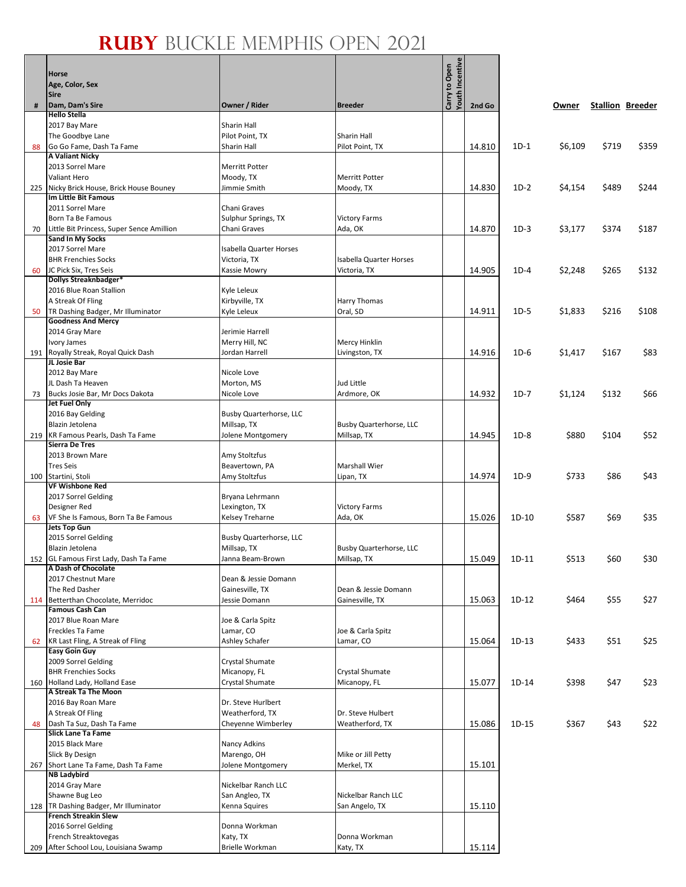|     |                                                                  |                                  |                                         | Youth Incentive |        |         |         |       |                         |
|-----|------------------------------------------------------------------|----------------------------------|-----------------------------------------|-----------------|--------|---------|---------|-------|-------------------------|
|     | <b>Horse</b><br>Age, Color, Sex                                  |                                  |                                         | Carry to Open   |        |         |         |       |                         |
|     | <b>Sire</b>                                                      |                                  |                                         |                 |        |         |         |       |                         |
| #   | Dam, Dam's Sire                                                  | Owner / Rider                    | <b>Breeder</b>                          |                 | 2nd Go |         | Owner   |       | <b>Stallion Breeder</b> |
|     | <b>Hello Stella</b>                                              | Sharin Hall                      |                                         |                 |        |         |         |       |                         |
|     | 2017 Bay Mare<br>The Goodbye Lane                                | Pilot Point, TX                  | Sharin Hall                             |                 |        |         |         |       |                         |
| 88  | Go Go Fame, Dash Ta Fame                                         | Sharin Hall                      | Pilot Point, TX                         |                 | 14.810 | $1D-1$  | \$6,109 | \$719 | \$359                   |
|     | <b>A Valiant Nicky</b>                                           |                                  |                                         |                 |        |         |         |       |                         |
|     | 2013 Sorrel Mare                                                 | <b>Merritt Potter</b>            |                                         |                 |        |         |         |       |                         |
|     | <b>Valiant Hero</b><br>225 Nicky Brick House, Brick House Bouney | Moody, TX<br>Jimmie Smith        | <b>Merritt Potter</b><br>Moody, TX      |                 | 14.830 | $1D-2$  | \$4,154 | \$489 | \$244                   |
|     | <b>Im Little Bit Famous</b>                                      |                                  |                                         |                 |        |         |         |       |                         |
|     | 2011 Sorrel Mare                                                 | Chani Graves                     |                                         |                 |        |         |         |       |                         |
|     | Born Ta Be Famous                                                | Sulphur Springs, TX              | <b>Victory Farms</b>                    |                 |        |         |         |       |                         |
| 70  | Little Bit Princess, Super Sence Amillion<br>Sand In My Socks    | Chani Graves                     | Ada, OK                                 |                 | 14.870 | $1D-3$  | \$3,177 | \$374 | \$187                   |
|     | 2017 Sorrel Mare                                                 | <b>Isabella Quarter Horses</b>   |                                         |                 |        |         |         |       |                         |
|     | <b>BHR Frenchies Socks</b>                                       | Victoria, TX                     | Isabella Quarter Horses                 |                 |        |         |         |       |                         |
| 60  | JC Pick Six, Tres Seis                                           | Kassie Mowry                     | Victoria, TX                            |                 | 14.905 | $1D-4$  | \$2,248 | \$265 | \$132                   |
|     | Dollys Streaknbadger*<br>2016 Blue Roan Stallion                 | Kyle Leleux                      |                                         |                 |        |         |         |       |                         |
|     | A Streak Of Fling                                                | Kirbyville, TX                   | Harry Thomas                            |                 |        |         |         |       |                         |
| 50  | TR Dashing Badger, Mr Illuminator                                | Kyle Leleux                      | Oral, SD                                |                 | 14.911 | $1D-5$  | \$1,833 | \$216 | \$108                   |
|     | <b>Goodness And Mercy</b>                                        |                                  |                                         |                 |        |         |         |       |                         |
|     | 2014 Gray Mare                                                   | Jerimie Harrell                  |                                         |                 |        |         |         |       |                         |
|     | <b>Ivory James</b><br>191 Royally Streak, Royal Quick Dash       | Merry Hill, NC<br>Jordan Harrell | Mercy Hinklin<br>Livingston, TX         |                 | 14.916 | $1D-6$  | \$1,417 | \$167 | \$83                    |
|     | JL Josie Bar                                                     |                                  |                                         |                 |        |         |         |       |                         |
|     | 2012 Bay Mare                                                    | Nicole Love                      |                                         |                 |        |         |         |       |                         |
|     | JL Dash Ta Heaven                                                | Morton, MS                       | Jud Little                              |                 |        |         |         |       |                         |
| 73  | Bucks Josie Bar, Mr Docs Dakota<br>Jet Fuel Only                 | Nicole Love                      | Ardmore, OK                             |                 | 14.932 | $1D-7$  | \$1,124 | \$132 | \$66                    |
|     | 2016 Bay Gelding                                                 | Busby Quarterhorse, LLC          |                                         |                 |        |         |         |       |                         |
|     | Blazin Jetolena                                                  | Millsap, TX                      | Busby Quarterhorse, LLC                 |                 |        |         |         |       |                         |
| 219 | KR Famous Pearls, Dash Ta Fame<br><b>Sierra De Tres</b>          | Jolene Montgomery                | Millsap, TX                             |                 | 14.945 | $1D-8$  | \$880   | \$104 | \$52                    |
|     | 2013 Brown Mare                                                  | Amy Stoltzfus                    |                                         |                 |        |         |         |       |                         |
|     | <b>Tres Seis</b>                                                 | Beavertown, PA                   | <b>Marshall Wier</b>                    |                 |        |         |         |       |                         |
|     | 100 Startini, Stoli                                              | Amy Stoltzfus                    | Lipan, TX                               |                 | 14.974 | $1D-9$  | \$733   | \$86  | \$43                    |
|     | <b>VF Wishbone Red</b>                                           |                                  |                                         |                 |        |         |         |       |                         |
|     | 2017 Sorrel Gelding<br>Designer Red                              | Bryana Lehrmann<br>Lexington, TX | <b>Victory Farms</b>                    |                 |        |         |         |       |                         |
| 63  | VF She Is Famous, Born Ta Be Famous                              | Kelsey Treharne                  | Ada, OK                                 |                 | 15.026 | $1D-10$ | \$587   | \$69  | \$35                    |
|     | <b>Jets Top Gun</b>                                              |                                  |                                         |                 |        |         |         |       |                         |
|     | 2015 Sorrel Gelding                                              | Busby Quarterhorse, LLC          |                                         |                 |        |         |         |       |                         |
|     | Blazin Jetolena<br>152 GL Famous First Lady, Dash Ta Fame        | Millsap, TX<br>Janna Beam-Brown  | Busby Quarterhorse, LLC<br>Millsap, TX  |                 | 15.049 | $1D-11$ | \$513   | \$60  | \$30                    |
|     | A Dash of Chocolate                                              |                                  |                                         |                 |        |         |         |       |                         |
|     | 2017 Chestnut Mare                                               | Dean & Jessie Domann             |                                         |                 |        |         |         |       |                         |
|     | The Red Dasher<br>114 Betterthan Chocolate, Merridoc             | Gainesville, TX<br>Jessie Domann | Dean & Jessie Domann<br>Gainesville, TX |                 | 15.063 | $1D-12$ | \$464   | \$55  | \$27                    |
|     | <b>Famous Cash Can</b>                                           |                                  |                                         |                 |        |         |         |       |                         |
|     | 2017 Blue Roan Mare                                              | Joe & Carla Spitz                |                                         |                 |        |         |         |       |                         |
|     | Freckles Ta Fame                                                 | Lamar, CO                        | Joe & Carla Spitz                       |                 |        |         |         |       |                         |
| 62  | KR Last Fling, A Streak of Fling<br><b>Easy Goin Guy</b>         | Ashley Schafer                   | Lamar, CO                               |                 | 15.064 | $1D-13$ | \$433   | \$51  | \$25                    |
|     | 2009 Sorrel Gelding                                              | Crystal Shumate                  |                                         |                 |        |         |         |       |                         |
|     | <b>BHR Frenchies Socks</b>                                       | Micanopy, FL                     | Crystal Shumate                         |                 |        |         |         |       |                         |
|     | 160 Holland Lady, Holland Ease                                   | Crystal Shumate                  | Micanopy, FL                            |                 | 15.077 | 1D-14   | \$398   | \$47  | \$23                    |
|     | A Streak Ta The Moon<br>2016 Bay Roan Mare                       | Dr. Steve Hurlbert               |                                         |                 |        |         |         |       |                         |
|     | A Streak Of Fling                                                | Weatherford, TX                  | Dr. Steve Hulbert                       |                 |        |         |         |       |                         |
| 48  | Dash Ta Suz, Dash Ta Fame                                        | Cheyenne Wimberley               | Weatherford, TX                         |                 | 15.086 | $1D-15$ | \$367   | \$43  | \$22                    |
|     | <b>Slick Lane Ta Fame</b>                                        |                                  |                                         |                 |        |         |         |       |                         |
|     | 2015 Black Mare<br>Slick By Design                               | Nancy Adkins<br>Marengo, OH      | Mike or Jill Petty                      |                 |        |         |         |       |                         |
|     | 267 Short Lane Ta Fame, Dash Ta Fame                             | Jolene Montgomery                | Merkel, TX                              |                 | 15.101 |         |         |       |                         |
|     | <b>NB Ladybird</b>                                               |                                  |                                         |                 |        |         |         |       |                         |
|     | 2014 Gray Mare                                                   | Nickelbar Ranch LLC              |                                         |                 |        |         |         |       |                         |
|     | Shawne Bug Leo<br>128   TR Dashing Badger, Mr Illuminator        | San Angleo, TX<br>Kenna Squires  | Nickelbar Ranch LLC<br>San Angelo, TX   |                 | 15.110 |         |         |       |                         |
|     | <b>French Streakin Slew</b>                                      |                                  |                                         |                 |        |         |         |       |                         |
|     | 2016 Sorrel Gelding                                              | Donna Workman                    |                                         |                 |        |         |         |       |                         |
|     | French Streaktovegas                                             | Katy, TX                         | Donna Workman                           |                 |        |         |         |       |                         |
|     | 209 After School Lou, Louisiana Swamp                            | Brielle Workman                  | Katy, TX                                |                 | 15.114 |         |         |       |                         |

ive.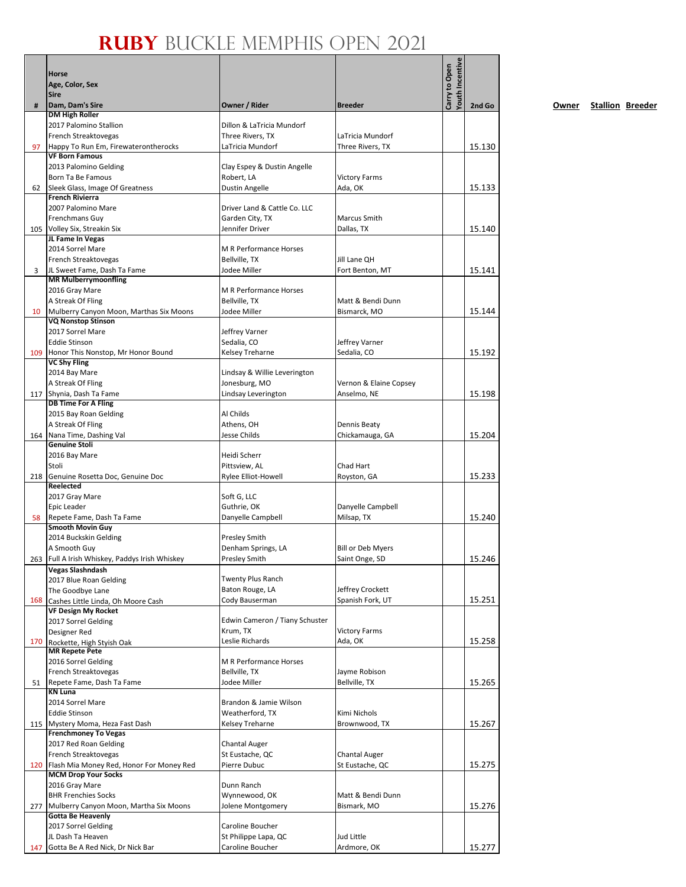|     | <b>Horse</b>                                                               |                                             |                                | Youth Incentive<br>Carry to Open |        |
|-----|----------------------------------------------------------------------------|---------------------------------------------|--------------------------------|----------------------------------|--------|
|     | Age, Color, Sex                                                            |                                             |                                |                                  |        |
|     | <b>Sire</b>                                                                |                                             |                                |                                  |        |
| #   | Dam, Dam's Sire<br><b>DM High Roller</b>                                   | Owner / Rider                               | <b>Breeder</b>                 |                                  | 2nd Go |
|     | 2017 Palomino Stallion                                                     | Dillon & LaTricia Mundorf                   |                                |                                  |        |
|     | French Streaktovegas                                                       | Three Rivers, TX                            | LaTricia Mundorf               |                                  |        |
| 97  | Happy To Run Em, Firewaterontherocks                                       | LaTricia Mundorf                            | Three Rivers, TX               |                                  | 15.130 |
|     | <b>VF Born Famous</b>                                                      |                                             |                                |                                  |        |
|     | 2013 Palomino Gelding                                                      | Clay Espey & Dustin Angelle                 |                                |                                  |        |
|     | Born Ta Be Famous                                                          | Robert, LA                                  | <b>Victory Farms</b>           |                                  |        |
| 62  | Sleek Glass, Image Of Greatness<br><b>French Rivierra</b>                  | Dustin Angelle                              | Ada, OK                        |                                  | 15.133 |
|     | 2007 Palomino Mare                                                         | Driver Land & Cattle Co. LLC                |                                |                                  |        |
|     | Frenchmans Guy                                                             | Garden City, TX                             | Marcus Smith                   |                                  |        |
|     | 105 Volley Six, Streakin Six                                               | Jennifer Driver                             | Dallas, TX                     |                                  | 15.140 |
|     | JL Fame In Vegas                                                           |                                             |                                |                                  |        |
|     | 2014 Sorrel Mare                                                           | <b>M R Performance Horses</b>               |                                |                                  |        |
|     | French Streaktovegas                                                       | Bellville, TX                               | Jill Lane QH                   |                                  |        |
| 3   | JL Sweet Fame, Dash Ta Fame                                                | Jodee Miller                                | Fort Benton, MT                |                                  | 15.141 |
|     | <b>MR Mulberrymoonfling</b>                                                |                                             |                                |                                  |        |
|     | 2016 Gray Mare                                                             | <b>M R Performance Horses</b>               |                                |                                  |        |
|     | A Streak Of Fling                                                          | Bellville, TX                               | Matt & Bendi Dunn              |                                  |        |
| 10  | Mulberry Canyon Moon, Marthas Six Moons<br><b>VQ Nonstop Stinson</b>       | Jodee Miller                                | Bismarck, MO                   |                                  | 15.144 |
|     | 2017 Sorrel Mare                                                           | Jeffrey Varner                              |                                |                                  |        |
|     | <b>Eddie Stinson</b>                                                       | Sedalia, CO                                 | Jeffrey Varner                 |                                  |        |
| 109 | Honor This Nonstop, Mr Honor Bound                                         | Kelsey Treharne                             | Sedalia, CO                    |                                  | 15.192 |
|     | <b>VC Shy Fling</b>                                                        |                                             |                                |                                  |        |
|     | 2014 Bay Mare                                                              | Lindsay & Willie Leverington                |                                |                                  |        |
|     | A Streak Of Fling                                                          | Jonesburg, MO                               | Vernon & Elaine Copsey         |                                  |        |
| 117 | Shynia, Dash Ta Fame                                                       | Lindsay Leverington                         | Anselmo, NE                    |                                  | 15.198 |
|     | <b>DB Time For A Fling</b>                                                 | Al Childs                                   |                                |                                  |        |
|     | 2015 Bay Roan Gelding<br>A Streak Of Fling                                 | Athens, OH                                  | <b>Dennis Beaty</b>            |                                  |        |
| 164 | Nana Time, Dashing Val                                                     | Jesse Childs                                | Chickamauga, GA                |                                  | 15.204 |
|     | <b>Genuine Stoli</b>                                                       |                                             |                                |                                  |        |
|     | 2016 Bay Mare                                                              | Heidi Scherr                                |                                |                                  |        |
|     | Stoli                                                                      | Pittsview, AL                               | Chad Hart                      |                                  |        |
| 218 | Genuine Rosetta Doc, Genuine Doc                                           | Rylee Elliot-Howell                         | Royston, GA                    |                                  | 15.233 |
|     | Reelected<br>2017 Gray Mare                                                |                                             |                                |                                  |        |
|     | Epic Leader                                                                | Soft G, LLC<br>Guthrie, OK                  | Danyelle Campbell              |                                  |        |
| 58  | Repete Fame, Dash Ta Fame                                                  | Danyelle Campbell                           | Milsap, TX                     |                                  | 15.240 |
|     | <b>Smooth Movin Guy</b>                                                    |                                             |                                |                                  |        |
|     | 2014 Buckskin Gelding                                                      | <b>Presley Smith</b>                        |                                |                                  |        |
|     | A Smooth Guy                                                               | Denham Springs, LA                          | <b>Bill or Deb Myers</b>       |                                  |        |
|     | 263 Full A Irish Whiskey, Paddys Irish Whiskey                             | <b>Presley Smith</b>                        | Saint Onge, SD                 |                                  | 15.246 |
|     | <b>Vegas Slashndash</b>                                                    |                                             |                                |                                  |        |
|     | 2017 Blue Roan Gelding                                                     | <b>Twenty Plus Ranch</b><br>Baton Rouge, LA | Jeffrey Crockett               |                                  |        |
| 168 | The Goodbye Lane<br>Cashes Little Linda, Oh Moore Cash                     | Cody Bauserman                              | Spanish Fork, UT               |                                  | 15.251 |
|     | <b>VF Design My Rocket</b>                                                 |                                             |                                |                                  |        |
|     | 2017 Sorrel Gelding                                                        | Edwin Cameron / Tiany Schuster              |                                |                                  |        |
|     | Designer Red                                                               | Krum, TX                                    | <b>Victory Farms</b>           |                                  |        |
| 170 | Rockette, High Styish Oak                                                  | Leslie Richards                             | Ada, OK                        |                                  | 15.258 |
|     | <b>MR Repete Pete</b>                                                      |                                             |                                |                                  |        |
|     | 2016 Sorrel Gelding<br>French Streaktovegas                                | M R Performance Horses<br>Bellville, TX     |                                |                                  |        |
| 51  | Repete Fame, Dash Ta Fame                                                  | Jodee Miller                                | Jayme Robison<br>Bellville, TX |                                  | 15.265 |
|     | <b>KN Luna</b>                                                             |                                             |                                |                                  |        |
|     | 2014 Sorrel Mare                                                           | Brandon & Jamie Wilson                      |                                |                                  |        |
|     | <b>Eddie Stinson</b>                                                       | Weatherford, TX                             | Kimi Nichols                   |                                  |        |
|     | 115 Mystery Moma, Heza Fast Dash                                           | Kelsey Treharne                             | Brownwood, TX                  |                                  | 15.267 |
|     | <b>Frenchmoney To Vegas</b>                                                |                                             |                                |                                  |        |
|     | 2017 Red Roan Gelding                                                      | <b>Chantal Auger</b>                        |                                |                                  |        |
|     | French Streaktovegas                                                       | St Eustache, QC                             | <b>Chantal Auger</b>           |                                  |        |
|     | 120 Flash Mia Money Red, Honor For Money Red<br><b>MCM Drop Your Socks</b> | Pierre Dubuc                                | St Eustache, QC                |                                  | 15.275 |
|     | 2016 Gray Mare                                                             | Dunn Ranch                                  |                                |                                  |        |
|     | <b>BHR Frenchies Socks</b>                                                 | Wynnewood, OK                               | Matt & Bendi Dunn              |                                  |        |
|     | 277 Mulberry Canyon Moon, Martha Six Moons                                 | Jolene Montgomery                           | Bismark, MO                    |                                  | 15.276 |
|     | <b>Gotta Be Heavenly</b>                                                   |                                             |                                |                                  |        |
|     | 2017 Sorrel Gelding                                                        | Caroline Boucher                            |                                |                                  |        |
|     | JL Dash Ta Heaven                                                          | St Philippe Lapa, QC                        | Jud Little                     |                                  |        |
| 147 | Gotta Be A Red Nick, Dr Nick Bar                                           | Caroline Boucher                            | Ardmore, OK                    |                                  | 15.277 |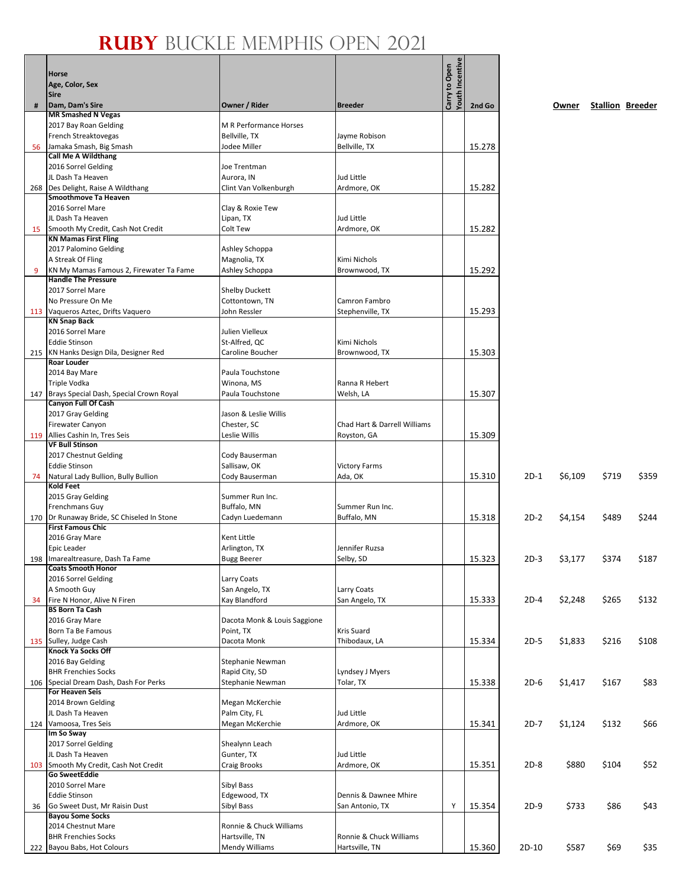|     | Horse                                                                 |                                           |                                          | Youth Incentive<br>Carry to Open |        |         |         |       |                         |
|-----|-----------------------------------------------------------------------|-------------------------------------------|------------------------------------------|----------------------------------|--------|---------|---------|-------|-------------------------|
|     | Age, Color, Sex<br><b>Sire</b>                                        |                                           |                                          |                                  |        |         |         |       |                         |
| #   | Dam, Dam's Sire                                                       | Owner / Rider                             | <b>Breeder</b>                           |                                  | 2nd Go |         | Owner   |       | <b>Stallion Breeder</b> |
|     | <b>MR Smashed N Vegas</b>                                             |                                           |                                          |                                  |        |         |         |       |                         |
|     | 2017 Bay Roan Gelding                                                 | M R Performance Horses                    |                                          |                                  |        |         |         |       |                         |
|     | French Streaktovegas                                                  | Bellville, TX                             | Jayme Robison                            |                                  |        |         |         |       |                         |
| 56  | Jamaka Smash, Big Smash<br><b>Call Me A Wildthang</b>                 | Jodee Miller                              | Bellville, TX                            |                                  | 15.278 |         |         |       |                         |
|     | 2016 Sorrel Gelding                                                   | Joe Trentman                              |                                          |                                  |        |         |         |       |                         |
|     | JL Dash Ta Heaven                                                     | Aurora, IN                                | Jud Little                               |                                  |        |         |         |       |                         |
|     | 268 Des Delight, Raise A Wildthang                                    | Clint Van Volkenburgh                     | Ardmore, OK                              |                                  | 15.282 |         |         |       |                         |
|     | <b>Smoothmove Ta Heaven</b>                                           |                                           |                                          |                                  |        |         |         |       |                         |
|     | 2016 Sorrel Mare<br>JL Dash Ta Heaven                                 | Clay & Roxie Tew                          | Jud Little                               |                                  |        |         |         |       |                         |
| 15  | Smooth My Credit, Cash Not Credit                                     | Lipan, TX<br>Colt Tew                     | Ardmore, OK                              |                                  | 15.282 |         |         |       |                         |
|     | <b>KN Mamas First Fling</b>                                           |                                           |                                          |                                  |        |         |         |       |                         |
|     | 2017 Palomino Gelding                                                 | Ashley Schoppa                            |                                          |                                  |        |         |         |       |                         |
|     | A Streak Of Fling                                                     | Magnolia, TX                              | Kimi Nichols                             |                                  |        |         |         |       |                         |
| 9   | KN My Mamas Famous 2, Firewater Ta Fame<br><b>Handle The Pressure</b> | Ashley Schoppa                            | Brownwood, TX                            |                                  | 15.292 |         |         |       |                         |
|     | 2017 Sorrel Mare                                                      | <b>Shelby Duckett</b>                     |                                          |                                  |        |         |         |       |                         |
|     | No Pressure On Me                                                     | Cottontown, TN                            | Camron Fambro                            |                                  |        |         |         |       |                         |
|     | 113 Vaqueros Aztec, Drifts Vaquero                                    | John Ressler                              | Stephenville, TX                         |                                  | 15.293 |         |         |       |                         |
|     | <b>KN Snap Back</b>                                                   |                                           |                                          |                                  |        |         |         |       |                         |
|     | 2016 Sorrel Mare<br><b>Eddie Stinson</b>                              | Julien Vielleux<br>St-Alfred, QC          | Kimi Nichols                             |                                  |        |         |         |       |                         |
|     | 215 KN Hanks Design Dila, Designer Red                                | Caroline Boucher                          | Brownwood, TX                            |                                  | 15.303 |         |         |       |                         |
|     | Roar Louder                                                           |                                           |                                          |                                  |        |         |         |       |                         |
|     | 2014 Bay Mare                                                         | Paula Touchstone                          |                                          |                                  |        |         |         |       |                         |
|     | Triple Vodka                                                          | Winona, MS                                | Ranna R Hebert                           |                                  |        |         |         |       |                         |
| 147 | Brays Special Dash, Special Crown Royal<br>Canyon Full Of Cash        | Paula Touchstone                          | Welsh, LA                                |                                  | 15.307 |         |         |       |                         |
|     | 2017 Gray Gelding                                                     | Jason & Leslie Willis                     |                                          |                                  |        |         |         |       |                         |
|     | Firewater Canyon                                                      | Chester, SC                               | Chad Hart & Darrell Williams             |                                  |        |         |         |       |                         |
|     | 119 Allies Cashin In, Tres Seis                                       | Leslie Willis                             | Royston, GA                              |                                  | 15.309 |         |         |       |                         |
|     | <b>VF Bull Stinson</b><br>2017 Chestnut Gelding                       | Cody Bauserman                            |                                          |                                  |        |         |         |       |                         |
|     | <b>Eddie Stinson</b>                                                  | Sallisaw, OK                              | <b>Victory Farms</b>                     |                                  |        |         |         |       |                         |
| 74  | Natural Lady Bullion, Bully Bullion                                   | Cody Bauserman                            | Ada, OK                                  |                                  | 15.310 | $2D-1$  | \$6,109 | \$719 | \$359                   |
|     | <b>Kold Feet</b>                                                      |                                           |                                          |                                  |        |         |         |       |                         |
|     | 2015 Gray Gelding                                                     | Summer Run Inc.                           |                                          |                                  |        |         |         |       |                         |
|     | Frenchmans Guy<br>170 Dr Runaway Bride, SC Chiseled In Stone          | Buffalo, MN<br>Cadyn Luedemann            | Summer Run Inc.<br>Buffalo, MN           |                                  | 15.318 | $2D-2$  | \$4,154 | \$489 | \$244                   |
|     | <b>First Famous Chic</b>                                              |                                           |                                          |                                  |        |         |         |       |                         |
|     | 2016 Gray Mare                                                        | Kent Little                               |                                          |                                  |        |         |         |       |                         |
|     | Epic Leader                                                           | Arlington, TX                             | Jennifer Ruzsa                           |                                  |        |         |         |       |                         |
|     | 198 Imarealtreasure, Dash Ta Fame<br><b>Coats Smooth Honor</b>        | <b>Bugg Beerer</b>                        | Selby, SD                                |                                  | 15.323 | $2D-3$  | \$3,177 | \$374 | \$187                   |
|     | 2016 Sorrel Gelding                                                   | Larry Coats                               |                                          |                                  |        |         |         |       |                         |
|     | A Smooth Guy                                                          | San Angelo, TX                            | Larry Coats                              |                                  |        |         |         |       |                         |
| 34  | Fire N Honor, Alive N Firen                                           | Kay Blandford                             | San Angelo, TX                           |                                  | 15.333 | $2D-4$  | \$2,248 | \$265 | \$132                   |
|     | <b>BS Born Ta Cash</b>                                                |                                           |                                          |                                  |        |         |         |       |                         |
|     | 2016 Gray Mare<br>Born Ta Be Famous                                   | Dacota Monk & Louis Saggione<br>Point, TX | Kris Suard                               |                                  |        |         |         |       |                         |
|     | 135 Sulley, Judge Cash                                                | Dacota Monk                               | Thibodaux, LA                            |                                  | 15.334 | $2D-5$  | \$1,833 | \$216 | \$108                   |
|     | Knock Ya Socks Off                                                    |                                           |                                          |                                  |        |         |         |       |                         |
|     | 2016 Bay Gelding                                                      | Stephanie Newman                          |                                          |                                  |        |         |         |       |                         |
|     | <b>BHR Frenchies Socks</b><br>106 Special Dream Dash, Dash For Perks  | Rapid City, SD<br>Stephanie Newman        | Lyndsey J Myers<br>Tolar, TX             |                                  | 15.338 | $2D-6$  | \$1,417 | \$167 | \$83                    |
|     | <b>For Heaven Seis</b>                                                |                                           |                                          |                                  |        |         |         |       |                         |
|     | 2014 Brown Gelding                                                    | Megan McKerchie                           |                                          |                                  |        |         |         |       |                         |
|     | JL Dash Ta Heaven                                                     | Palm City, FL                             | Jud Little                               |                                  |        |         |         |       |                         |
|     | 124 Vamoosa, Tres Seis                                                | Megan McKerchie                           | Ardmore, OK                              |                                  | 15.341 | $2D-7$  | \$1,124 | \$132 | \$66                    |
|     | Im So Sway<br>2017 Sorrel Gelding                                     | Shealynn Leach                            |                                          |                                  |        |         |         |       |                         |
|     | JL Dash Ta Heaven                                                     | Gunter, TX                                | Jud Little                               |                                  |        |         |         |       |                         |
|     | 103 Smooth My Credit, Cash Not Credit                                 | Craig Brooks                              | Ardmore, OK                              |                                  | 15.351 | $2D-8$  | \$880   | \$104 | \$52                    |
|     | <b>Go SweetEddie</b>                                                  |                                           |                                          |                                  |        |         |         |       |                         |
|     | 2010 Sorrel Mare                                                      | Sibyl Bass                                |                                          |                                  |        |         |         |       |                         |
| 36  | <b>Eddie Stinson</b><br>Go Sweet Dust, Mr Raisin Dust                 | Edgewood, TX<br>Sibyl Bass                | Dennis & Dawnee Mhire<br>San Antonio, TX | Y                                | 15.354 | $2D-9$  | \$733   | \$86  | \$43                    |
|     | <b>Bayou Some Socks</b>                                               |                                           |                                          |                                  |        |         |         |       |                         |
|     | 2014 Chestnut Mare                                                    | Ronnie & Chuck Williams                   |                                          |                                  |        |         |         |       |                         |
|     | <b>BHR Frenchies Socks</b>                                            | Hartsville, TN                            | Ronnie & Chuck Williams                  |                                  |        |         |         |       |                         |
|     | 222 Bayou Babs, Hot Colours                                           | <b>Mendy Williams</b>                     | Hartsville, TN                           |                                  | 15.360 | $2D-10$ | \$587   | \$69  | \$35                    |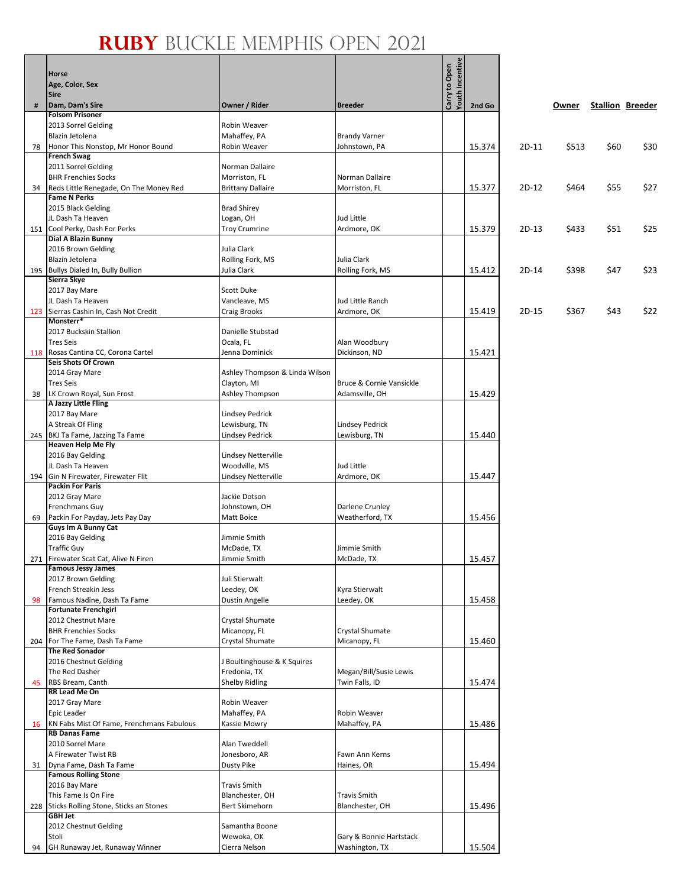|     | Horse<br>Age, Color, Sex<br><b>Sire</b>                  |                                        |                                          | Youth Incentive<br>Carry to Open |        |         |       |      |                         |
|-----|----------------------------------------------------------|----------------------------------------|------------------------------------------|----------------------------------|--------|---------|-------|------|-------------------------|
| #   | Dam, Dam's Sire                                          | Owner / Rider                          | <b>Breeder</b>                           |                                  | 2nd Go |         | Owner |      | <b>Stallion Breeder</b> |
|     | <b>Folsom Prisoner</b><br>2013 Sorrel Gelding            | Robin Weaver                           |                                          |                                  |        |         |       |      |                         |
|     | Blazin Jetolena                                          | Mahaffey, PA                           | <b>Brandy Varner</b>                     |                                  |        |         |       |      |                         |
| 78  | Honor This Nonstop, Mr Honor Bound                       | Robin Weaver                           | Johnstown, PA                            |                                  | 15.374 | 2D-11   | \$513 | \$60 | \$30                    |
|     | <b>French Swag</b>                                       |                                        |                                          |                                  |        |         |       |      |                         |
|     | 2011 Sorrel Gelding<br><b>BHR Frenchies Socks</b>        | Norman Dallaire<br>Morriston, FL       | Norman Dallaire                          |                                  |        |         |       |      |                         |
| 34  | Reds Little Renegade, On The Money Red                   | <b>Brittany Dallaire</b>               | Morriston, FL                            |                                  | 15.377 | $2D-12$ | \$464 | \$55 | \$27                    |
|     | <b>Fame N Perks</b>                                      |                                        |                                          |                                  |        |         |       |      |                         |
|     | 2015 Black Gelding<br>JL Dash Ta Heaven                  | <b>Brad Shirey</b><br>Logan, OH        | Jud Little                               |                                  |        |         |       |      |                         |
| 151 | Cool Perky, Dash For Perks                               | <b>Troy Crumrine</b>                   | Ardmore, OK                              |                                  | 15.379 | 2D-13   | \$433 | \$51 | \$25                    |
|     | <b>Dial A Blazin Bunny</b>                               |                                        |                                          |                                  |        |         |       |      |                         |
|     | 2016 Brown Gelding<br>Blazin Jetolena                    | Julia Clark                            | Julia Clark                              |                                  |        |         |       |      |                         |
|     | 195 Bullys Dialed In, Bully Bullion                      | Rolling Fork, MS<br>Julia Clark        | Rolling Fork, MS                         |                                  | 15.412 | 2D-14   | \$398 | \$47 | \$23                    |
|     | Sierra Skye                                              |                                        |                                          |                                  |        |         |       |      |                         |
|     | 2017 Bay Mare                                            | <b>Scott Duke</b>                      |                                          |                                  |        |         |       |      |                         |
| 123 | JL Dash Ta Heaven<br>Sierras Cashin In, Cash Not Credit  | Vancleave, MS<br><b>Craig Brooks</b>   | Jud Little Ranch<br>Ardmore, OK          |                                  | 15.419 | 2D-15   | \$367 | \$43 | \$22                    |
|     | Monsterr*                                                |                                        |                                          |                                  |        |         |       |      |                         |
|     | 2017 Buckskin Stallion                                   | Danielle Stubstad                      |                                          |                                  |        |         |       |      |                         |
|     | <b>Tres Seis</b><br>118 Rosas Cantina CC, Corona Cartel  | Ocala, FL                              | Alan Woodbury                            |                                  |        |         |       |      |                         |
|     | Seis Shots Of Crown                                      | Jenna Dominick                         | Dickinson, ND                            |                                  | 15.421 |         |       |      |                         |
|     | 2014 Gray Mare                                           | Ashley Thompson & Linda Wilson         |                                          |                                  |        |         |       |      |                         |
|     | <b>Tres Seis</b>                                         | Clayton, MI                            | Bruce & Cornie Vansickle                 |                                  |        |         |       |      |                         |
| 38  | LK Crown Royal, Sun Frost<br>A Jazzy Little Fling        | Ashley Thompson                        | Adamsville, OH                           |                                  | 15.429 |         |       |      |                         |
|     | 2017 Bay Mare                                            | <b>Lindsey Pedrick</b>                 |                                          |                                  |        |         |       |      |                         |
|     | A Streak Of Fling                                        | Lewisburg, TN                          | <b>Lindsey Pedrick</b>                   |                                  |        |         |       |      |                         |
|     | 245 BKJ Ta Fame, Jazzing Ta Fame                         | <b>Lindsey Pedrick</b>                 | Lewisburg, TN                            |                                  | 15.440 |         |       |      |                         |
|     | <b>Heaven Help Me Fly</b><br>2016 Bay Gelding            | Lindsey Netterville                    |                                          |                                  |        |         |       |      |                         |
|     | JL Dash Ta Heaven                                        | Woodville, MS                          | Jud Little                               |                                  |        |         |       |      |                         |
| 194 | Gin N Firewater, Firewater Flit                          | Lindsey Netterville                    | Ardmore, OK                              |                                  | 15.447 |         |       |      |                         |
|     | <b>Packin For Paris</b><br>2012 Gray Mare                | Jackie Dotson                          |                                          |                                  |        |         |       |      |                         |
|     | <b>Frenchmans Guy</b>                                    | Johnstown, OH                          | Darlene Crunley                          |                                  |        |         |       |      |                         |
| 69  | Packin For Payday, Jets Pay Day                          | Matt Boice                             | Weatherford, TX                          |                                  | 15.456 |         |       |      |                         |
|     | Guys Im A Bunny Cat                                      |                                        |                                          |                                  |        |         |       |      |                         |
|     | 2016 Bay Gelding<br><b>Traffic Guy</b>                   | Jimmie Smith<br>McDade, TX             | Jimmie Smith                             |                                  |        |         |       |      |                         |
|     | 271 Firewater Scat Cat, Alive N Firen                    | Jimmie Smith                           | McDade, TX                               |                                  | 15.457 |         |       |      |                         |
|     | <b>Famous Jessy James</b>                                |                                        |                                          |                                  |        |         |       |      |                         |
|     | 2017 Brown Gelding<br>French Streakin Jess               | Juli Stierwalt<br>Leedey, OK           | Kyra Stierwalt                           |                                  |        |         |       |      |                         |
| 98  | Famous Nadine, Dash Ta Fame                              | <b>Dustin Angelle</b>                  | Leedey, OK                               |                                  | 15.458 |         |       |      |                         |
|     | <b>Fortunate Frenchgirl</b>                              |                                        |                                          |                                  |        |         |       |      |                         |
|     | 2012 Chestnut Mare<br><b>BHR Frenchies Socks</b>         | <b>Crystal Shumate</b><br>Micanopy, FL | Crystal Shumate                          |                                  |        |         |       |      |                         |
| 204 | For The Fame, Dash Ta Fame                               | <b>Crystal Shumate</b>                 | Micanopy, FL                             |                                  | 15.460 |         |       |      |                         |
|     | <b>The Red Sonador</b>                                   |                                        |                                          |                                  |        |         |       |      |                         |
|     | 2016 Chestnut Gelding                                    | J Boultinghouse & K Squires            |                                          |                                  |        |         |       |      |                         |
| 45  | The Red Dasher<br>RBS Bream, Canth                       | Fredonia, TX<br><b>Shelby Ridling</b>  | Megan/Bill/Susie Lewis<br>Twin Falls, ID |                                  | 15.474 |         |       |      |                         |
|     | RR Lead Me On                                            |                                        |                                          |                                  |        |         |       |      |                         |
|     | 2017 Gray Mare                                           | Robin Weaver                           |                                          |                                  |        |         |       |      |                         |
|     | Epic Leader<br>KN Fabs Mist Of Fame, Frenchmans Fabulous | Mahaffey, PA<br>Kassie Mowry           | Robin Weaver<br>Mahaffey, PA             |                                  | 15.486 |         |       |      |                         |
| 16  | <b>RB Danas Fame</b>                                     |                                        |                                          |                                  |        |         |       |      |                         |
|     | 2010 Sorrel Mare                                         | Alan Tweddell                          |                                          |                                  |        |         |       |      |                         |
|     | A Firewater Twist RB                                     | Jonesboro, AR                          | Fawn Ann Kerns                           |                                  |        |         |       |      |                         |
| 31  | Dyna Fame, Dash Ta Fame<br><b>Famous Rolling Stone</b>   | <b>Dusty Pike</b>                      | Haines, OR                               |                                  | 15.494 |         |       |      |                         |
|     | 2016 Bay Mare                                            | Travis Smith                           |                                          |                                  |        |         |       |      |                         |
|     | This Fame Is On Fire                                     | Blanchester, OH                        | <b>Travis Smith</b>                      |                                  |        |         |       |      |                         |
| 228 | Sticks Rolling Stone, Sticks an Stones<br><b>GBH Jet</b> | <b>Bert Skimehorn</b>                  | Blanchester, OH                          |                                  | 15.496 |         |       |      |                         |
|     | 2012 Chestnut Gelding                                    | Samantha Boone                         |                                          |                                  |        |         |       |      |                         |
|     | Stoli                                                    | Wewoka, OK                             | Gary & Bonnie Hartstack                  |                                  |        |         |       |      |                         |
| 94  | GH Runaway Jet, Runaway Winner                           | Cierra Nelson                          | Washington, TX                           |                                  | 15.504 |         |       |      |                         |

n<br>ive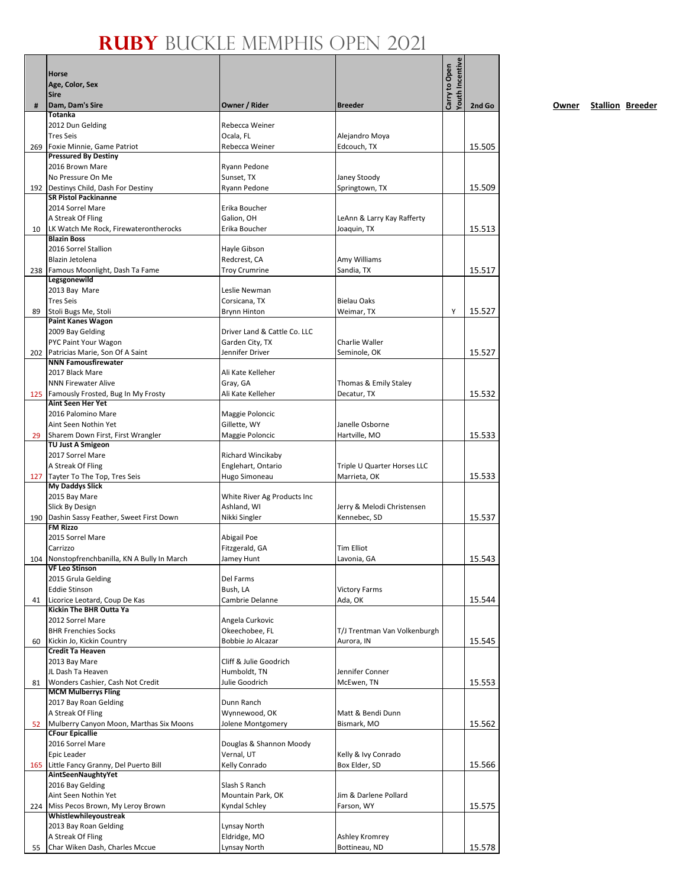|     | Horse<br>Age, Color, Sex<br>Sire                                       |                                         |                                            | Youth Incentive<br>Carry to Open |        |
|-----|------------------------------------------------------------------------|-----------------------------------------|--------------------------------------------|----------------------------------|--------|
| #   | Dam, Dam's Sire                                                        | Owner / Rider                           | <b>Breeder</b>                             |                                  | 2nd Go |
|     | <b>Totanka</b><br>2012 Dun Gelding                                     | Rebecca Weiner                          |                                            |                                  |        |
|     | <b>Tres Seis</b>                                                       | Ocala, FL                               | Alejandro Moya                             |                                  |        |
| 269 | Foxie Minnie, Game Patriot                                             | Rebecca Weiner                          | Edcouch, TX                                |                                  | 15.505 |
|     | <b>Pressured By Destiny</b>                                            |                                         |                                            |                                  |        |
|     | 2016 Brown Mare<br>No Pressure On Me                                   | Ryann Pedone                            |                                            |                                  |        |
|     | 192 Destinys Child, Dash For Destiny                                   | Sunset, TX<br>Ryann Pedone              | Janey Stoody<br>Springtown, TX             |                                  | 15.509 |
|     | <b>SR Pistol Packinanne</b>                                            |                                         |                                            |                                  |        |
|     | 2014 Sorrel Mare                                                       | Erika Boucher                           |                                            |                                  |        |
|     | A Streak Of Fling                                                      | Galion, OH                              | LeAnn & Larry Kay Rafferty                 |                                  |        |
| 10  | LK Watch Me Rock, Firewaterontherocks<br><b>Blazin Boss</b>            | Erika Boucher                           | Joaquin, TX                                |                                  | 15.513 |
|     | 2016 Sorrel Stallion                                                   | Hayle Gibson                            |                                            |                                  |        |
|     | Blazin Jetolena                                                        | Redcrest, CA                            | Amy Williams                               |                                  |        |
|     | 238 Famous Moonlight, Dash Ta Fame                                     | <b>Troy Crumrine</b>                    | Sandia, TX                                 |                                  | 15.517 |
|     | Legsgonewild<br>2013 Bay Mare                                          | Leslie Newman                           |                                            |                                  |        |
|     | <b>Tres Seis</b>                                                       | Corsicana, TX                           | Bielau Oaks                                |                                  |        |
| 89  | Stoli Bugs Me, Stoli                                                   | <b>Brynn Hinton</b>                     | Weimar, TX                                 | Υ                                | 15.527 |
|     | <b>Paint Kanes Wagon</b>                                               |                                         |                                            |                                  |        |
|     | 2009 Bay Gelding                                                       | Driver Land & Cattle Co. LLC            |                                            |                                  |        |
|     | PYC Paint Your Wagon<br>202 Patricias Marie, Son Of A Saint            | Garden City, TX<br>Jennifer Driver      | Charlie Waller<br>Seminole, OK             |                                  | 15.527 |
|     | <b>NNN Famousfirewater</b>                                             |                                         |                                            |                                  |        |
|     | 2017 Black Mare                                                        | Ali Kate Kelleher                       |                                            |                                  |        |
|     | <b>NNN Firewater Alive</b>                                             | Gray, GA                                | Thomas & Emily Staley                      |                                  |        |
|     | 125 Famously Frosted, Bug In My Frosty<br><b>Aint Seen Her Yet</b>     | Ali Kate Kelleher                       | Decatur, TX                                |                                  | 15.532 |
|     | 2016 Palomino Mare                                                     | Maggie Poloncic                         |                                            |                                  |        |
|     | Aint Seen Nothin Yet                                                   | Gillette, WY                            | Janelle Osborne                            |                                  |        |
| 29  | Sharem Down First, First Wrangler                                      | Maggie Poloncic                         | Hartville, MO                              |                                  | 15.533 |
|     | <b>TU Just A Smigeon</b>                                               |                                         |                                            |                                  |        |
|     | 2017 Sorrel Mare<br>A Streak Of Fling                                  | Richard Wincikaby<br>Englehart, Ontario | Triple U Quarter Horses LLC                |                                  |        |
|     | 127 Tayter To The Top, Tres Seis                                       | Hugo Simoneau                           | Marrieta, OK                               |                                  | 15.533 |
|     | <b>My Daddys Slick</b>                                                 |                                         |                                            |                                  |        |
|     | 2015 Bay Mare                                                          | White River Ag Products Inc             |                                            |                                  |        |
|     | Slick By Design<br>190   Dashin Sassy Feather, Sweet First Down        | Ashland, WI<br>Nikki Singler            | Jerry & Melodi Christensen<br>Kennebec, SD |                                  | 15.537 |
|     | <b>FM Rizzo</b>                                                        |                                         |                                            |                                  |        |
|     | 2015 Sorrel Mare                                                       | Abigail Poe                             |                                            |                                  |        |
|     | Carrizzo                                                               | Fitzgerald, GA                          | <b>Tim Elliot</b>                          |                                  |        |
|     | 104 Nonstopfrenchbanilla, KN A Bully In March<br><b>VF Leo Stinson</b> | Jamey Hunt                              | Lavonia, GA                                |                                  | 15.543 |
|     | 2015 Grula Gelding                                                     | Del Farms                               |                                            |                                  |        |
|     | <b>Eddie Stinson</b>                                                   | Bush, LA                                | <b>Victory Farms</b>                       |                                  |        |
| 41  | Licorice Leotard, Coup De Kas                                          | Cambrie Delanne                         | Ada, OK                                    |                                  | 15.544 |
|     | <b>Kickin The BHR Outta Ya</b><br>2012 Sorrel Mare                     | Angela Curkovic                         |                                            |                                  |        |
|     | <b>BHR Frenchies Socks</b>                                             | Okeechobee, FL                          | T/J Trentman Van Volkenburgh               |                                  |        |
| 60  | Kickin Jo, Kickin Country                                              | Bobbie Jo Alcazar                       | Aurora, IN                                 |                                  | 15.545 |
|     | <b>Credit Ta Heaven</b>                                                |                                         |                                            |                                  |        |
|     | 2013 Bay Mare                                                          | Cliff & Julie Goodrich                  |                                            |                                  |        |
| 81  | JL Dash Ta Heaven<br>Wonders Cashier, Cash Not Credit                  | Humboldt, TN<br>Julie Goodrich          | Jennifer Conner<br>McEwen, TN              |                                  | 15.553 |
|     | <b>MCM Mulberrys Fling</b>                                             |                                         |                                            |                                  |        |
|     | 2017 Bay Roan Gelding                                                  | Dunn Ranch                              |                                            |                                  |        |
|     | A Streak Of Fling                                                      | Wynnewood, OK                           | Matt & Bendi Dunn                          |                                  |        |
| 52  | Mulberry Canyon Moon, Marthas Six Moons<br><b>CFour Epicallie</b>      | Jolene Montgomery                       | Bismark, MO                                |                                  | 15.562 |
|     | 2016 Sorrel Mare                                                       | Douglas & Shannon Moody                 |                                            |                                  |        |
|     | Epic Leader                                                            | Vernal, UT                              | Kelly & Ivy Conrado                        |                                  |        |
|     | 165 Little Fancy Granny, Del Puerto Bill                               | Kelly Conrado                           | Box Elder, SD                              |                                  | 15.566 |
|     | AintSeenNaughtyYet                                                     |                                         |                                            |                                  |        |
|     | 2016 Bay Gelding<br>Aint Seen Nothin Yet                               | Slash S Ranch<br>Mountain Park, OK      | Jim & Darlene Pollard                      |                                  |        |
|     | 224 Miss Pecos Brown, My Leroy Brown                                   | Kyndal Schley                           | Farson, WY                                 |                                  | 15.575 |
|     | Whistlewhileyoustreak                                                  |                                         |                                            |                                  |        |
|     | 2013 Bay Roan Gelding                                                  | Lynsay North                            |                                            |                                  |        |
| 55  | A Streak Of Fling<br>Char Wiken Dash, Charles Mccue                    | Eldridge, MO<br>Lynsay North            | Ashley Kromrey<br>Bottineau, ND            |                                  | 15.578 |
|     |                                                                        |                                         |                                            |                                  |        |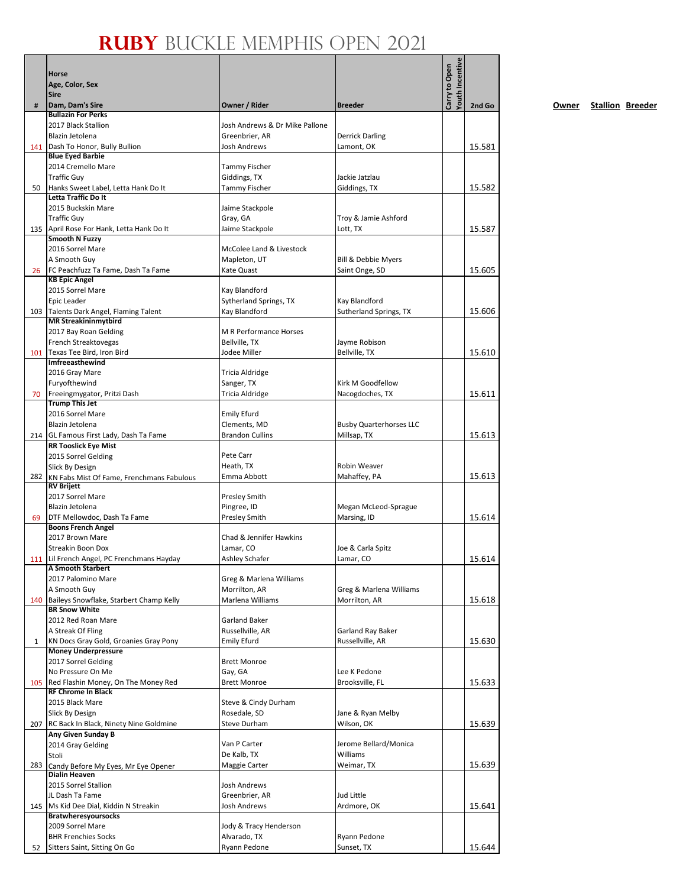|     |                                                                    |                                        |                                               | Youth Incentive |        |
|-----|--------------------------------------------------------------------|----------------------------------------|-----------------------------------------------|-----------------|--------|
|     | Horse<br>Age, Color, Sex                                           |                                        |                                               | Carry to Open   |        |
|     | <b>Sire</b>                                                        |                                        |                                               |                 |        |
| #   | Dam, Dam's Sire                                                    | Owner / Rider                          | <b>Breeder</b>                                |                 | 2nd Go |
|     | <b>Bullazin For Perks</b><br>2017 Black Stallion                   | Josh Andrews & Dr Mike Pallone         |                                               |                 |        |
|     | Blazin Jetolena                                                    | Greenbrier, AR                         | <b>Derrick Darling</b>                        |                 |        |
|     | 141 Dash To Honor, Bully Bullion                                   | <b>Josh Andrews</b>                    | Lamont, OK                                    |                 | 15.581 |
|     | <b>Blue Eyed Barbie</b><br>2014 Cremello Mare                      | Tammy Fischer                          |                                               |                 |        |
|     | <b>Traffic Guy</b>                                                 | Giddings, TX                           | Jackie Jatzlau                                |                 |        |
| 50  | Hanks Sweet Label, Letta Hank Do It                                | <b>Tammy Fischer</b>                   | Giddings, TX                                  |                 | 15.582 |
|     | Letta Traffic Do It                                                |                                        |                                               |                 |        |
|     | 2015 Buckskin Mare                                                 | Jaime Stackpole                        |                                               |                 |        |
|     | <b>Traffic Guy</b><br>135 April Rose For Hank, Letta Hank Do It    | Gray, GA<br>Jaime Stackpole            | Troy & Jamie Ashford<br>Lott, TX              |                 | 15.587 |
|     | Smooth N Fuzzy                                                     |                                        |                                               |                 |        |
|     | 2016 Sorrel Mare                                                   | McColee Land & Livestock               |                                               |                 |        |
|     | A Smooth Guy                                                       | Mapleton, UT                           | Bill & Debbie Myers                           |                 |        |
| 26  | FC Peachfuzz Ta Fame, Dash Ta Fame<br><b>KB Epic Angel</b>         | Kate Quast                             | Saint Onge, SD                                |                 | 15.605 |
|     | 2015 Sorrel Mare                                                   | Kay Blandford                          |                                               |                 |        |
|     | Epic Leader                                                        | Sytherland Springs, TX                 | Kay Blandford                                 |                 |        |
|     | 103 Talents Dark Angel, Flaming Talent                             | Kay Blandford                          | Sutherland Springs, TX                        |                 | 15.606 |
|     | <b>MR Streakininmytbird</b><br>2017 Bay Roan Gelding               | M R Performance Horses                 |                                               |                 |        |
|     | French Streaktovegas                                               | Bellville, TX                          | Jayme Robison                                 |                 |        |
| 101 | Texas Tee Bird. Iron Bird                                          | Jodee Miller                           | Bellville, TX                                 |                 | 15.610 |
|     | <b>Imfreeasthewind</b>                                             | Tricia Aldridge                        |                                               |                 |        |
|     | 2016 Gray Mare<br>Furyofthewind                                    | Sanger, TX                             | Kirk M Goodfellow                             |                 |        |
| 70  | Freeingmygator, Pritzi Dash                                        | Tricia Aldridge                        | Nacogdoches, TX                               |                 | 15.611 |
|     | <b>Trump This Jet</b>                                              |                                        |                                               |                 |        |
|     | 2016 Sorrel Mare                                                   | <b>Emily Efurd</b>                     |                                               |                 |        |
|     | Blazin Jetolena<br>214 GL Famous First Lady, Dash Ta Fame          | Clements, MD<br><b>Brandon Cullins</b> | <b>Busby Quarterhorses LLC</b><br>Millsap, TX |                 | 15.613 |
|     | <b>RR Tooslick Eye Mist</b>                                        |                                        |                                               |                 |        |
|     | 2015 Sorrel Gelding                                                | Pete Carr                              |                                               |                 |        |
|     | Slick By Design                                                    | Heath, TX                              | Robin Weaver                                  |                 |        |
|     | 282 KN Fabs Mist Of Fame, Frenchmans Fabulous<br><b>RV Brijett</b> | Emma Abbott                            | Mahaffey, PA                                  |                 | 15.613 |
|     | 2017 Sorrel Mare                                                   | <b>Presley Smith</b>                   |                                               |                 |        |
|     | Blazin Jetolena                                                    | Pingree, ID                            | Megan McLeod-Sprague                          |                 |        |
| 69  | DTF Mellowdoc, Dash Ta Fame                                        | Presley Smith                          | Marsing, ID                                   |                 | 15.614 |
|     | <b>Boons French Angel</b><br>2017 Brown Mare                       | Chad & Jennifer Hawkins                |                                               |                 |        |
|     | Streakin Boon Dox                                                  | Lamar, CO                              | Joe & Carla Spitz                             |                 |        |
|     | 111 Lil French Angel, PC Frenchmans Hayday                         | <b>Ashley Schafer</b>                  | Lamar, CO                                     |                 | 15.614 |
|     | A Smooth Starbert<br>2017 Palomino Mare                            | Greg & Marlena Williams                |                                               |                 |        |
|     | A Smooth Guy                                                       | Morrilton, AR                          | Greg & Marlena Williams                       |                 |        |
| 140 | Baileys Snowflake, Starbert Champ Kelly                            | Marlena Williams                       | Morrilton, AR                                 |                 | 15.618 |
|     | <b>BR Snow White</b>                                               |                                        |                                               |                 |        |
|     | 2012 Red Roan Mare<br>A Streak Of Fling                            | Garland Baker<br>Russellville, AR      | Garland Ray Baker                             |                 |        |
| 1   | KN Docs Gray Gold, Groanies Gray Pony                              | <b>Emily Efurd</b>                     | Russellville, AR                              |                 | 15.630 |
|     | <b>Money Underpressure</b>                                         |                                        |                                               |                 |        |
|     | 2017 Sorrel Gelding                                                | <b>Brett Monroe</b>                    |                                               |                 |        |
| 105 | No Pressure On Me<br>Red Flashin Money, On The Money Red           | Gay, GA<br><b>Brett Monroe</b>         | Lee K Pedone<br>Brooksville, FL               |                 | 15.633 |
|     | <b>RF Chrome In Black</b>                                          |                                        |                                               |                 |        |
|     | 2015 Black Mare                                                    | Steve & Cindy Durham                   |                                               |                 |        |
|     | Slick By Design                                                    | Rosedale, SD                           | Jane & Ryan Melby                             |                 |        |
|     | 207 RC Back In Black, Ninety Nine Goldmine<br>Any Given Sunday B   | <b>Steve Durham</b>                    | Wilson, OK                                    |                 | 15.639 |
|     | 2014 Gray Gelding                                                  | Van P Carter                           | Jerome Bellard/Monica                         |                 |        |
|     | Stoli                                                              | De Kalb, TX                            | Williams                                      |                 |        |
|     | 283 Candy Before My Eyes, Mr Eye Opener                            | Maggie Carter                          | Weimar, TX                                    |                 | 15.639 |
|     | Dialin Heaven<br>2015 Sorrel Stallion                              | Josh Andrews                           |                                               |                 |        |
|     | JL Dash Ta Fame                                                    | Greenbrier, AR                         | Jud Little                                    |                 |        |
|     | 145   Ms Kid Dee Dial, Kiddin N Streakin                           | Josh Andrews                           | Ardmore, OK                                   |                 | 15.641 |
|     | <b>Bratwheresyoursocks</b>                                         |                                        |                                               |                 |        |
|     | 2009 Sorrel Mare<br><b>BHR Frenchies Socks</b>                     | Jody & Tracy Henderson<br>Alvarado, TX | Ryann Pedone                                  |                 |        |
| 52  | Sitters Saint, Sitting On Go                                       | Ryann Pedone                           | Sunset, TX                                    |                 | 15.644 |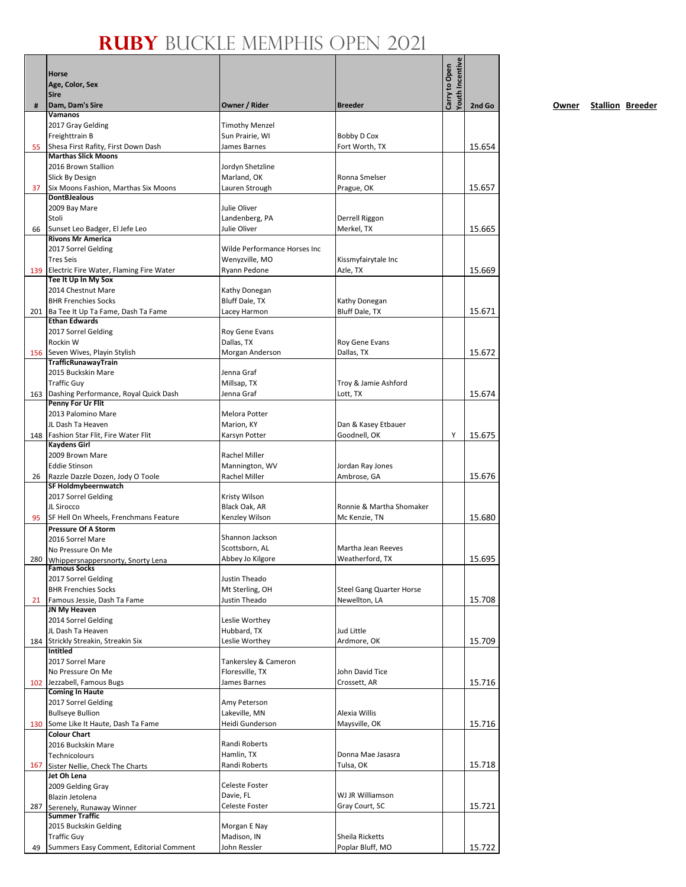|     | Horse<br>Age, Color, Sex                                             |                                 |                                 | <b>Touth Incentive</b><br>Carry to Open |        |
|-----|----------------------------------------------------------------------|---------------------------------|---------------------------------|-----------------------------------------|--------|
|     | <b>Sire</b>                                                          |                                 |                                 |                                         |        |
| #   | Dam, Dam's Sire<br><b>Vamanos</b>                                    | Owner / Rider                   | <b>Breeder</b>                  |                                         | 2nd Go |
|     | 2017 Gray Gelding                                                    | <b>Timothy Menzel</b>           |                                 |                                         |        |
|     | Freighttrain B                                                       | Sun Prairie, WI                 | Bobby D Cox                     |                                         |        |
| 55  | Shesa First Rafity, First Down Dash                                  | James Barnes                    | Fort Worth, TX                  |                                         | 15.654 |
|     | <b>Marthas Slick Moons</b>                                           |                                 |                                 |                                         |        |
|     | 2016 Brown Stallion<br>Slick By Design                               | Jordyn Shetzline<br>Marland, OK | Ronna Smelser                   |                                         |        |
| 37  | Six Moons Fashion, Marthas Six Moons                                 | Lauren Strough                  | Prague, OK                      |                                         | 15.657 |
|     | <b>DontBJealous</b>                                                  |                                 |                                 |                                         |        |
|     | 2009 Bay Mare                                                        | Julie Oliver                    |                                 |                                         |        |
|     | Stoli                                                                | Landenberg, PA                  | Derrell Riggon                  |                                         |        |
| 66  | Sunset Leo Badger, El Jefe Leo<br><b>Rivons Mr America</b>           | Julie Oliver                    | Merkel, TX                      |                                         | 15.665 |
|     | 2017 Sorrel Gelding                                                  | Wilde Performance Horses Inc    |                                 |                                         |        |
|     | <b>Tres Seis</b>                                                     | Wenyzville, MO                  | Kissmyfairytale Inc             |                                         |        |
| 139 | Electric Fire Water, Flaming Fire Water                              | Ryann Pedone                    | Azle, TX                        |                                         | 15.669 |
|     | Tee It Up In My Sox                                                  |                                 |                                 |                                         |        |
|     | 2014 Chestnut Mare                                                   | Kathy Donegan                   |                                 |                                         |        |
|     | <b>BHR Frenchies Socks</b><br>201 Ba Tee It Up Ta Fame, Dash Ta Fame | Bluff Dale, TX<br>Lacey Harmon  | Kathy Donegan<br>Bluff Dale, TX |                                         | 15.671 |
|     | <b>Ethan Edwards</b>                                                 |                                 |                                 |                                         |        |
|     | 2017 Sorrel Gelding                                                  | Roy Gene Evans                  |                                 |                                         |        |
|     | Rockin W                                                             | Dallas, TX                      | Roy Gene Evans                  |                                         |        |
| 156 | Seven Wives, Playin Stylish                                          | Morgan Anderson                 | Dallas, TX                      |                                         | 15.672 |
|     | TrafficRunawayTrain<br>2015 Buckskin Mare                            | Jenna Graf                      |                                 |                                         |        |
|     | <b>Traffic Guy</b>                                                   | Millsap, TX                     | Troy & Jamie Ashford            |                                         |        |
| 163 | Dashing Performance, Royal Quick Dash                                | Jenna Graf                      | Lott, TX                        |                                         | 15.674 |
|     | Penny For Ur Flit                                                    |                                 |                                 |                                         |        |
|     | 2013 Palomino Mare                                                   | Melora Potter                   |                                 |                                         |        |
|     | JL Dash Ta Heaven                                                    | Marion, KY                      | Dan & Kasey Etbauer             | Y                                       |        |
| 148 | Fashion Star Flit, Fire Water Flit<br><b>Kaydens Girl</b>            | Karsyn Potter                   | Goodnell, OK                    |                                         | 15.675 |
|     | 2009 Brown Mare                                                      | Rachel Miller                   |                                 |                                         |        |
|     | <b>Eddie Stinson</b>                                                 | Mannington, WV                  | Jordan Ray Jones                |                                         |        |
| 26  | Razzle Dazzle Dozen, Jody O Toole                                    | Rachel Miller                   | Ambrose, GA                     |                                         | 15.676 |
|     | SF Holdmybeernwatch                                                  |                                 |                                 |                                         |        |
|     | 2017 Sorrel Gelding<br>JL Sirocco                                    | Kristy Wilson<br>Black Oak, AR  | Ronnie & Martha Shomaker        |                                         |        |
| 95  | SF Hell On Wheels, Frenchmans Feature                                | Kenzley Wilson                  | Mc Kenzie, TN                   |                                         | 15.680 |
|     | <b>Pressure Of A Storm</b>                                           |                                 |                                 |                                         |        |
|     | 2016 Sorrel Mare                                                     | Shannon Jackson                 |                                 |                                         |        |
|     | No Pressure On Me                                                    | Scottsborn, AL                  | Martha Jean Reeves              |                                         |        |
| 280 | Whippersnappersnorty, Snorty Lena<br><b>Famous Socks</b>             | Abbey Jo Kilgore                | Weatherford, TX                 |                                         | 15.695 |
|     | 2017 Sorrel Gelding                                                  | Justin Theado                   |                                 |                                         |        |
|     | <b>BHR Frenchies Socks</b>                                           | Mt Sterling, OH                 | <b>Steel Gang Quarter Horse</b> |                                         |        |
| 21  | Famous Jessie, Dash Ta Fame                                          | Justin Theado                   | Newellton, LA                   |                                         | 15.708 |
|     | JN My Heaven                                                         |                                 |                                 |                                         |        |
|     | 2014 Sorrel Gelding<br>JL Dash Ta Heaven                             | Leslie Worthey<br>Hubbard, TX   | Jud Little                      |                                         |        |
|     | 184 Strickly Streakin, Streakin Six                                  | Leslie Worthey                  | Ardmore, OK                     |                                         | 15.709 |
|     | <b>Intitled</b>                                                      |                                 |                                 |                                         |        |
|     | 2017 Sorrel Mare                                                     | Tankersley & Cameron            |                                 |                                         |        |
|     | No Pressure On Me                                                    | Floresville, TX                 | John David Tice                 |                                         |        |
| 102 | Jezzabell, Famous Bugs<br><b>Coming In Haute</b>                     | James Barnes                    | Crossett, AR                    |                                         | 15.716 |
|     | 2017 Sorrel Gelding                                                  | Amy Peterson                    |                                 |                                         |        |
|     | <b>Bullseye Bullion</b>                                              | Lakeville, MN                   | Alexia Willis                   |                                         |        |
|     | 130 Some Like It Haute, Dash Ta Fame                                 | Heidi Gunderson                 | Maysville, OK                   |                                         | 15.716 |
|     | <b>Colour Chart</b>                                                  |                                 |                                 |                                         |        |
|     | 2016 Buckskin Mare                                                   | Randi Roberts                   |                                 |                                         |        |
|     | Technicolours                                                        | Hamlin, TX<br>Randi Roberts     | Donna Mae Jasasra<br>Tulsa, OK  |                                         | 15.718 |
| 167 | Sister Nellie, Check The Charts<br>Jet Oh Lena                       |                                 |                                 |                                         |        |
|     | 2009 Gelding Gray                                                    | Celeste Foster                  |                                 |                                         |        |
|     | Blazin Jetolena                                                      | Davie, FL                       | WJ JR Williamson                |                                         |        |
| 287 | Serenely, Runaway Winner                                             | Celeste Foster                  | Gray Court, SC                  |                                         | 15.721 |
|     | <b>Summer Traffic</b><br>2015 Buckskin Gelding                       | Morgan E Nay                    |                                 |                                         |        |
|     | <b>Traffic Guy</b>                                                   | Madison, IN                     | <b>Sheila Ricketts</b>          |                                         |        |
| 49  | Summers Easy Comment, Editorial Comment                              | John Ressler                    | Poplar Bluff, MO                |                                         | 15.722 |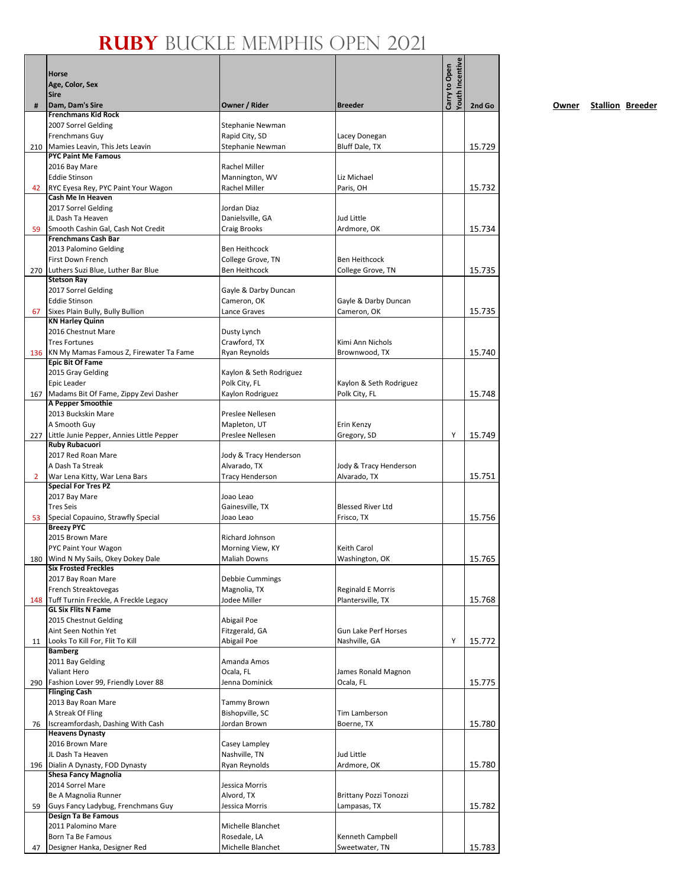|                | Horse                                                                  |                                           |                                               | Youth Incentive<br>Carry to Open |        |
|----------------|------------------------------------------------------------------------|-------------------------------------------|-----------------------------------------------|----------------------------------|--------|
|                | Age, Color, Sex                                                        |                                           |                                               |                                  |        |
|                | <b>Sire</b>                                                            |                                           |                                               |                                  |        |
| #              | Dam, Dam's Sire<br><b>Frenchmans Kid Rock</b>                          | Owner / Rider                             | <b>Breeder</b>                                |                                  | 2nd Go |
|                | 2007 Sorrel Gelding                                                    | Stephanie Newman                          |                                               |                                  |        |
|                | Frenchmans Guy                                                         | Rapid City, SD                            | Lacey Donegan                                 |                                  |        |
| 210            | Mamies Leavin, This Jets Leavin                                        | Stephanie Newman                          | Bluff Dale, TX                                |                                  | 15.729 |
|                | <b>PYC Paint Me Famous</b>                                             |                                           |                                               |                                  |        |
|                | 2016 Bay Mare                                                          | Rachel Miller                             |                                               |                                  |        |
|                | <b>Eddie Stinson</b>                                                   | Mannington, WV<br>Rachel Miller           | Liz Michael<br>Paris, OH                      |                                  |        |
| 42             | RYC Eyesa Rey, PYC Paint Your Wagon<br>Cash Me In Heaven               |                                           |                                               |                                  | 15.732 |
|                | 2017 Sorrel Gelding                                                    | Jordan Diaz                               |                                               |                                  |        |
|                | JL Dash Ta Heaven                                                      | Danielsville, GA                          | Jud Little                                    |                                  |        |
| 59             | Smooth Cashin Gal, Cash Not Credit                                     | Craig Brooks                              | Ardmore, OK                                   |                                  | 15.734 |
|                | <b>Frenchmans Cash Bar</b>                                             |                                           |                                               |                                  |        |
|                | 2013 Palomino Gelding                                                  | <b>Ben Heithcock</b>                      |                                               |                                  |        |
|                | First Down French                                                      | College Grove, TN<br><b>Ben Heithcock</b> | <b>Ben Heithcock</b>                          |                                  |        |
|                | 270 Luthers Suzi Blue, Luther Bar Blue<br><b>Stetson Ray</b>           |                                           | College Grove, TN                             |                                  | 15.735 |
|                | 2017 Sorrel Gelding                                                    | Gayle & Darby Duncan                      |                                               |                                  |        |
|                | <b>Eddie Stinson</b>                                                   | Cameron, OK                               | Gayle & Darby Duncan                          |                                  |        |
| 67             | Sixes Plain Bully, Bully Bullion                                       | Lance Graves                              | Cameron, OK                                   |                                  | 15.735 |
|                | <b>KN Harley Quinn</b>                                                 |                                           |                                               |                                  |        |
|                | 2016 Chestnut Mare                                                     | Dusty Lynch                               |                                               |                                  |        |
|                | <b>Tres Fortunes</b>                                                   | Crawford, TX                              | Kimi Ann Nichols                              |                                  |        |
|                | 136 KN My Mamas Famous Z, Firewater Ta Fame<br><b>Epic Bit Of Fame</b> | Ryan Reynolds                             | Brownwood, TX                                 |                                  | 15.740 |
|                | 2015 Gray Gelding                                                      | Kaylon & Seth Rodriguez                   |                                               |                                  |        |
|                | Epic Leader                                                            | Polk City, FL                             | Kaylon & Seth Rodriguez                       |                                  |        |
| 167            | Madams Bit Of Fame, Zippy Zevi Dasher                                  | Kaylon Rodriguez                          | Polk City, FL                                 |                                  | 15.748 |
|                | A Pepper Smoothie                                                      |                                           |                                               |                                  |        |
|                | 2013 Buckskin Mare                                                     | Preslee Nellesen                          |                                               |                                  |        |
|                | A Smooth Guy                                                           | Mapleton, UT                              | Erin Kenzy                                    | Υ                                |        |
| 227            | Little Junie Pepper, Annies Little Pepper<br><b>Ruby Rubacuori</b>     | Preslee Nellesen                          | Gregory, SD                                   |                                  | 15.749 |
|                | 2017 Red Roan Mare                                                     | Jody & Tracy Henderson                    |                                               |                                  |        |
|                | A Dash Ta Streak                                                       | Alvarado, TX                              | Jody & Tracy Henderson                        |                                  |        |
| $\overline{2}$ | War Lena Kitty, War Lena Bars                                          | <b>Tracy Henderson</b>                    | Alvarado, TX                                  |                                  | 15.751 |
|                | <b>Special For Tres PZ</b>                                             |                                           |                                               |                                  |        |
|                | 2017 Bay Mare                                                          | Joao Leao                                 |                                               |                                  |        |
|                | <b>Tres Seis</b>                                                       | Gainesville, TX                           | <b>Blessed River Ltd</b>                      |                                  |        |
| 53             | Special Copauino, Strawfly Special<br><b>Breezy PYC</b>                | Joao Leao                                 | Frisco, TX                                    |                                  | 15.756 |
|                | 2015 Brown Mare                                                        | Richard Johnson                           |                                               |                                  |        |
|                | PYC Paint Your Wagon                                                   | Morning View, KY                          | Keith Carol                                   |                                  |        |
|                | 180 Wind N My Sails, Okey Dokey Dale                                   | <b>Maliah Downs</b>                       | Washington, OK                                |                                  | 15.765 |
|                | <b>Six Frosted Freckles</b>                                            |                                           |                                               |                                  |        |
|                | 2017 Bay Roan Mare                                                     | Debbie Cummings                           |                                               |                                  |        |
|                | French Streaktovegas<br>148 Tuff Turnin Freckle, A Freckle Legacy      | Magnolia, TX<br>Jodee Miller              | <b>Reginald E Morris</b><br>Plantersville, TX |                                  | 15.768 |
|                | <b>GL Six Flits N Fame</b>                                             |                                           |                                               |                                  |        |
|                | 2015 Chestnut Gelding                                                  | Abigail Poe                               |                                               |                                  |        |
|                | Aint Seen Nothin Yet                                                   | Fitzgerald, GA                            | <b>Gun Lake Perf Horses</b>                   |                                  |        |
| 11             | Looks To Kill For, Flit To Kill                                        | Abigail Poe                               | Nashville, GA                                 | Y                                | 15.772 |
|                | <b>Bamberg</b>                                                         |                                           |                                               |                                  |        |
|                | 2011 Bay Gelding<br><b>Valiant Hero</b>                                | Amanda Amos                               | James Ronald Magnon                           |                                  |        |
| 290            | Fashion Lover 99, Friendly Lover 88                                    | Ocala, FL<br>Jenna Dominick               | Ocala, FL                                     |                                  | 15.775 |
|                | <b>Flinging Cash</b>                                                   |                                           |                                               |                                  |        |
|                | 2013 Bay Roan Mare                                                     | <b>Tammy Brown</b>                        |                                               |                                  |        |
|                | A Streak Of Fling                                                      | Bishopville, SC                           | Tim Lamberson                                 |                                  |        |
| 76             | Iscreamfordash, Dashing With Cash                                      | Jordan Brown                              | Boerne, TX                                    |                                  | 15.780 |
|                | <b>Heavens Dynasty</b>                                                 |                                           |                                               |                                  |        |
|                | 2016 Brown Mare                                                        | Casey Lampley                             |                                               |                                  |        |
|                | JL Dash Ta Heaven                                                      | Nashville, TN                             | Jud Little                                    |                                  |        |
|                | 196   Dialin A Dynasty, FOD Dynasty<br><b>Shesa Fancy Magnolia</b>     | Ryan Reynolds                             | Ardmore, OK                                   |                                  | 15.780 |
|                | 2014 Sorrel Mare                                                       | Jessica Morris                            |                                               |                                  |        |
|                | Be A Magnolia Runner                                                   | Alvord, TX                                | <b>Brittany Pozzi Tonozzi</b>                 |                                  |        |
| 59             | Guys Fancy Ladybug, Frenchmans Guy                                     | Jessica Morris                            | Lampasas, TX                                  |                                  | 15.782 |
|                | Design Ta Be Famous                                                    |                                           |                                               |                                  |        |
|                | 2011 Palomino Mare                                                     | Michelle Blanchet                         |                                               |                                  |        |
|                | Born Ta Be Famous                                                      | Rosedale, LA<br>Michelle Blanchet         | Kenneth Campbell<br>Sweetwater, TN            |                                  | 15.783 |
| 47             | Designer Hanka, Designer Red                                           |                                           |                                               |                                  |        |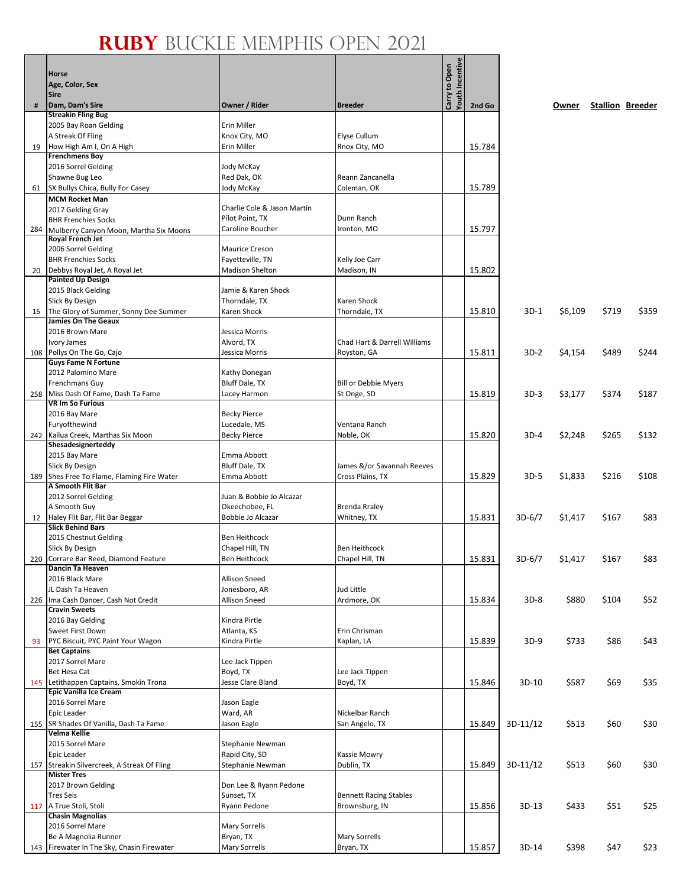|     |                                                            |                                      |                                             | <b>Youth Incentive</b> |        |          |         |       |                         |
|-----|------------------------------------------------------------|--------------------------------------|---------------------------------------------|------------------------|--------|----------|---------|-------|-------------------------|
|     | <b>Horse</b><br>Age, Color, Sex                            |                                      |                                             | Carry to Open          |        |          |         |       |                         |
|     | <b>Sire</b>                                                |                                      |                                             |                        |        |          |         |       |                         |
| #   | Dam, Dam's Sire                                            | Owner / Rider                        | <b>Breeder</b>                              |                        | 2nd Go |          | Owner   |       | <b>Stallion Breeder</b> |
|     | <b>Streakin Fling Bug</b>                                  |                                      |                                             |                        |        |          |         |       |                         |
|     | 2005 Bay Roan Gelding<br>A Streak Of Fling                 | <b>Erin Miller</b><br>Knox City, MO  | Elyse Cullum                                |                        |        |          |         |       |                         |
| 19  | How High Am I, On A High                                   | Erin Miller                          | Rnox City, MO                               |                        | 15.784 |          |         |       |                         |
|     | <b>Frenchmens Boy</b>                                      |                                      |                                             |                        |        |          |         |       |                         |
|     | 2016 Sorrel Gelding                                        | Jody McKay                           |                                             |                        |        |          |         |       |                         |
|     | Shawne Bug Leo                                             | Red Dak, OK                          | Reann Zancanella<br>Coleman, OK             |                        |        |          |         |       |                         |
| 61  | SX Bullys Chica, Bully For Casey<br><b>MCM Rocket Man</b>  | Jody McKay                           |                                             |                        | 15.789 |          |         |       |                         |
|     | 2017 Gelding Gray                                          | Charlie Cole & Jason Martin          |                                             |                        |        |          |         |       |                         |
|     | <b>BHR Frenchies Socks</b>                                 | Pilot Point, TX                      | Dunn Ranch                                  |                        |        |          |         |       |                         |
| 284 | Mulberry Canyon Moon, Martha Six Moons                     | Caroline Boucher                     | Ironton, MO                                 |                        | 15.797 |          |         |       |                         |
|     | Royal French Jet<br>2006 Sorrel Gelding                    | <b>Maurice Creson</b>                |                                             |                        |        |          |         |       |                         |
|     | <b>BHR Frenchies Socks</b>                                 | Fayetteville, TN                     | Kelly Joe Carr                              |                        |        |          |         |       |                         |
| 20  | Debbys Royal Jet, A Royal Jet                              | <b>Madison Shelton</b>               | Madison, IN                                 |                        | 15.802 |          |         |       |                         |
|     | <b>Painted Up Design</b>                                   |                                      |                                             |                        |        |          |         |       |                         |
|     | 2015 Black Gelding<br>Slick By Design                      | Jamie & Karen Shock<br>Thorndale, TX | Karen Shock                                 |                        |        |          |         |       |                         |
| 15  | The Glory of Summer, Sonny Dee Summer                      | Karen Shock                          | Thorndale, TX                               |                        | 15.810 | $3D-1$   | \$6,109 | \$719 | \$359                   |
|     | <b>Jamies On The Geaux</b>                                 |                                      |                                             |                        |        |          |         |       |                         |
|     | 2016 Brown Mare                                            | Jessica Morris                       |                                             |                        |        |          |         |       |                         |
|     | Ivory James<br>108 Pollys On The Go, Cajo                  | Alvord, TX<br>Jessica Morris         | Chad Hart & Darrell Williams<br>Royston, GA |                        | 15.811 | 3D-2     | \$4,154 | \$489 | \$244                   |
|     | <b>Guys Fame N Fortune</b>                                 |                                      |                                             |                        |        |          |         |       |                         |
|     | 2012 Palomino Mare                                         | Kathy Donegan                        |                                             |                        |        |          |         |       |                         |
|     | Frenchmans Guy                                             | Bluff Dale, TX                       | <b>Bill or Debbie Myers</b>                 |                        |        |          |         |       |                         |
| 258 | Miss Dash Of Fame, Dash Ta Fame<br><b>VR Im So Furious</b> | Lacey Harmon                         | St Onge, SD                                 |                        | 15.819 | $3D-3$   | \$3,177 | \$374 | \$187                   |
|     | 2016 Bay Mare                                              | <b>Becky Pierce</b>                  |                                             |                        |        |          |         |       |                         |
|     | Furyofthewind                                              | Lucedale, MS                         | Ventana Ranch                               |                        |        |          |         |       |                         |
| 242 | Kailua Creek, Marthas Six Moon                             | <b>Becky Pierce</b>                  | Noble, OK                                   |                        | 15.820 | 3D-4     | \$2,248 | \$265 | \$132                   |
|     | Shesadesignerteddy                                         |                                      |                                             |                        |        |          |         |       |                         |
|     | 2015 Bay Mare<br>Slick By Design                           | Emma Abbott<br>Bluff Dale, TX        | James &/or Savannah Reeves                  |                        |        |          |         |       |                         |
|     | 189 Shes Free To Flame, Flaming Fire Water                 | Emma Abbott                          | Cross Plains, TX                            |                        | 15.829 | $3D-5$   | \$1,833 | \$216 | \$108                   |
|     | A Smooth Flit Bar                                          |                                      |                                             |                        |        |          |         |       |                         |
|     | 2012 Sorrel Gelding                                        | Juan & Bobbie Jo Alcazar             |                                             |                        |        |          |         |       |                         |
|     | A Smooth Guy<br>12 Haley Flit Bar, Flit Bar Beggar         | Okeechobee, FL<br>Bobbie Jo Alcazar  | Brenda Rraley<br>Whitney, TX                |                        | 15.831 | 3D-6/7   | \$1,417 | \$167 | \$83                    |
|     | <b>Slick Behind Bars</b>                                   |                                      |                                             |                        |        |          |         |       |                         |
|     | 2015 Chestnut Gelding                                      | <b>Ben Heithcock</b>                 |                                             |                        |        |          |         |       |                         |
|     | Slick By Design                                            | Chapel Hill, TN                      | <b>Ben Heithcock</b>                        |                        |        |          |         |       |                         |
|     | 220 Corrare Bar Reed, Diamond Feature<br>Dancin Ta Heaven  | <b>Ben Heithcock</b>                 | Chapel Hill, TN                             |                        | 15.831 | 3D-6/7   | \$1,417 | \$167 | \$83                    |
|     | 2016 Black Mare                                            | <b>Allison Sneed</b>                 |                                             |                        |        |          |         |       |                         |
|     | JL Dash Ta Heaven                                          | Jonesboro, AR                        | Jud Little                                  |                        |        |          |         |       |                         |
| 226 | Ima Cash Dancer, Cash Not Credit                           | Allison Sneed                        | Ardmore, OK                                 |                        | 15.834 | $3D-8$   | \$880   | \$104 | \$52                    |
|     | <b>Cravin Sweets</b><br>2016 Bay Gelding                   | Kindra Pirtle                        |                                             |                        |        |          |         |       |                         |
|     | Sweet First Down                                           | Atlanta, KS                          | Erin Chrisman                               |                        |        |          |         |       |                         |
| 93  | PYC Biscuit, PYC Paint Your Wagon                          | Kindra Pirtle                        | Kaplan, LA                                  |                        | 15.839 | $3D-9$   | \$733   | \$86  | \$43                    |
|     | <b>Bet Captains</b>                                        |                                      |                                             |                        |        |          |         |       |                         |
|     | 2017 Sorrel Mare<br>Bet Hesa Cat                           | Lee Jack Tippen<br>Boyd, TX          | Lee Jack Tippen                             |                        |        |          |         |       |                         |
|     | 145 Letithappen Captains, Smokin Trona                     | Jesse Clare Bland                    | Boyd, TX                                    |                        | 15.846 | $3D-10$  | \$587   | \$69  | \$35                    |
|     | <b>Epic Vanilla Ice Cream</b>                              |                                      |                                             |                        |        |          |         |       |                         |
|     | 2016 Sorrel Mare                                           | Jason Eagle                          |                                             |                        |        |          |         |       |                         |
|     | Epic Leader<br>155 SR Shades Of Vanilla, Dash Ta Fame      | Ward, AR                             | Nickelbar Ranch                             |                        |        |          |         |       |                         |
|     | Velma Kellie                                               | Jason Eagle                          | San Angelo, TX                              |                        | 15.849 | 3D-11/12 | \$513   | \$60  | \$30                    |
|     | 2015 Sorrel Mare                                           | Stephanie Newman                     |                                             |                        |        |          |         |       |                         |
|     | Epic Leader                                                | Rapid City, SD                       | Kassie Mowry                                |                        |        |          |         |       |                         |
|     | 157 Streakin Silvercreek, A Streak Of Fling                | Stephanie Newman                     | Dublin, TX                                  |                        | 15.849 | 3D-11/12 | \$513   | \$60  | \$30                    |
|     | <b>Mister Tres</b><br>2017 Brown Gelding                   | Don Lee & Ryann Pedone               |                                             |                        |        |          |         |       |                         |
|     | <b>Tres Seis</b>                                           | Sunset, TX                           | <b>Bennett Racing Stables</b>               |                        |        |          |         |       |                         |
|     | 117 A True Stoli, Stoli                                    | Ryann Pedone                         | Brownsburg, IN                              |                        | 15.856 | $3D-13$  | \$433   | \$51  | \$25                    |
|     | <b>Chasin Magnolias</b>                                    |                                      |                                             |                        |        |          |         |       |                         |
|     | 2016 Sorrel Mare<br>Be A Magnolia Runner                   | Mary Sorrells<br>Bryan, TX           | Mary Sorrells                               |                        |        |          |         |       |                         |
|     | 143 Firewater In The Sky, Chasin Firewater                 | Mary Sorrells                        | Bryan, TX                                   |                        | 15.857 | 3D-14    | \$398   | \$47  | \$23                    |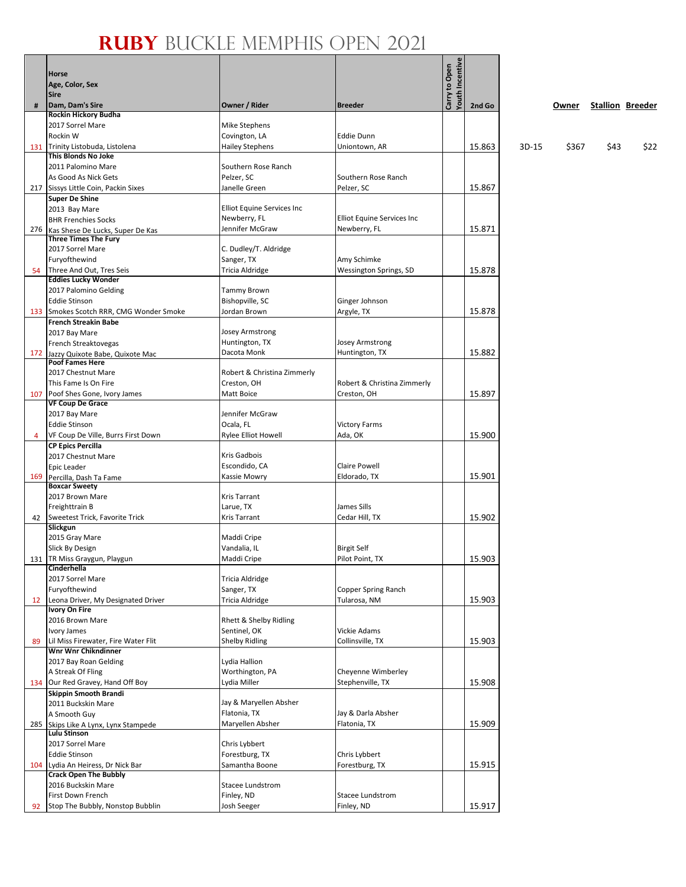|    | <b>Horse</b>                                                      |                                         |                                    | <b>Youth Incentive</b><br>Carry to Open |        |       |       |      |                         |
|----|-------------------------------------------------------------------|-----------------------------------------|------------------------------------|-----------------------------------------|--------|-------|-------|------|-------------------------|
|    | Age, Color, Sex                                                   |                                         |                                    |                                         |        |       |       |      |                         |
|    | <b>Sire</b>                                                       |                                         |                                    |                                         |        |       |       |      |                         |
| #  | Dam, Dam's Sire                                                   | Owner / Rider                           | <b>Breeder</b>                     |                                         | 2nd Go |       | Owner |      | <b>Stallion Breeder</b> |
|    | Rockin Hickory Budha<br>2017 Sorrel Mare                          | Mike Stephens                           |                                    |                                         |        |       |       |      |                         |
|    | Rockin W                                                          | Covington, LA                           | <b>Eddie Dunn</b>                  |                                         |        |       |       |      |                         |
|    | 131 Trinity Listobuda, Listolena                                  | <b>Hailey Stephens</b>                  | Uniontown, AR                      |                                         | 15.863 | 3D-15 | \$367 | \$43 | \$22                    |
|    | This Blonds No Joke                                               |                                         |                                    |                                         |        |       |       |      |                         |
|    | 2011 Palomino Mare                                                | Southern Rose Ranch                     |                                    |                                         |        |       |       |      |                         |
|    | As Good As Nick Gets<br>217 Sissys Little Coin, Packin Sixes      | Pelzer, SC<br>Janelle Green             | Southern Rose Ranch<br>Pelzer, SC  |                                         | 15.867 |       |       |      |                         |
|    | <b>Super De Shine</b>                                             |                                         |                                    |                                         |        |       |       |      |                         |
|    | 2013 Bay Mare                                                     | Elliot Equine Services Inc              |                                    |                                         |        |       |       |      |                         |
|    | <b>BHR Frenchies Socks</b>                                        | Newberry, FL                            | Elliot Equine Services Inc         |                                         |        |       |       |      |                         |
|    | 276 Kas Shese De Lucks, Super De Kas                              | Jennifer McGraw                         | Newberry, FL                       |                                         | 15.871 |       |       |      |                         |
|    | <b>Three Times The Fury</b><br>2017 Sorrel Mare                   | C. Dudley/T. Aldridge                   |                                    |                                         |        |       |       |      |                         |
|    | Furyofthewind                                                     | Sanger, TX                              | Amy Schimke                        |                                         |        |       |       |      |                         |
|    | 54 Three And Out, Tres Seis                                       | Tricia Aldridge                         | Wessington Springs, SD             |                                         | 15.878 |       |       |      |                         |
|    | <b>Eddies Lucky Wonder</b>                                        |                                         |                                    |                                         |        |       |       |      |                         |
|    | 2017 Palomino Gelding                                             | Tammy Brown                             |                                    |                                         |        |       |       |      |                         |
|    | <b>Eddie Stinson</b><br>133 Smokes Scotch RRR, CMG Wonder Smoke   | Bishopville, SC<br>Jordan Brown         | Ginger Johnson                     |                                         | 15.878 |       |       |      |                         |
|    | <b>French Streakin Babe</b>                                       |                                         | Argyle, TX                         |                                         |        |       |       |      |                         |
|    | 2017 Bay Mare                                                     | <b>Josey Armstrong</b>                  |                                    |                                         |        |       |       |      |                         |
|    | French Streaktovegas                                              | Huntington, TX                          | Josey Armstrong                    |                                         |        |       |       |      |                         |
|    | 172 Jazzy Quixote Babe, Quixote Mac                               | Dacota Monk                             | Huntington, TX                     |                                         | 15.882 |       |       |      |                         |
|    | <b>Poof Fames Here</b><br>2017 Chestnut Mare                      | Robert & Christina Zimmerly             |                                    |                                         |        |       |       |      |                         |
|    | This Fame Is On Fire                                              | Creston, OH                             | Robert & Christina Zimmerly        |                                         |        |       |       |      |                         |
|    | 107 Poof Shes Gone, Ivory James                                   | Matt Boice                              | Creston, OH                        |                                         | 15.897 |       |       |      |                         |
|    | <b>VF Coup De Grace</b>                                           |                                         |                                    |                                         |        |       |       |      |                         |
|    | 2017 Bay Mare                                                     | Jennifer McGraw                         |                                    |                                         |        |       |       |      |                         |
| 4  | <b>Eddie Stinson</b><br>VF Coup De Ville, Burrs First Down        | Ocala, FL<br><b>Rylee Elliot Howell</b> | <b>Victory Farms</b><br>Ada, OK    |                                         | 15.900 |       |       |      |                         |
|    | <b>CP Epics Percilla</b>                                          |                                         |                                    |                                         |        |       |       |      |                         |
|    | 2017 Chestnut Mare                                                | Kris Gadbois                            |                                    |                                         |        |       |       |      |                         |
|    | Epic Leader                                                       | Escondido, CA                           | <b>Claire Powell</b>               |                                         |        |       |       |      |                         |
|    | 169 Percilla, Dash Ta Fame<br><b>Boxcar Sweetv</b>                | Kassie Mowry                            | Eldorado, TX                       |                                         | 15.901 |       |       |      |                         |
|    | 2017 Brown Mare                                                   | Kris Tarrant                            |                                    |                                         |        |       |       |      |                         |
|    | Freighttrain B                                                    | Larue, TX                               | James Sills                        |                                         |        |       |       |      |                         |
|    | 42 Sweetest Trick, Favorite Trick                                 | Kris Tarrant                            | Cedar Hill, TX                     |                                         | 15.902 |       |       |      |                         |
|    | Slickgun                                                          |                                         |                                    |                                         |        |       |       |      |                         |
|    | 2015 Gray Mare<br><b>Slick By Design</b>                          | Maddi Cripe<br>Vandalia, IL             | <b>Birgit Self</b>                 |                                         |        |       |       |      |                         |
|    | 131   TR Miss Graygun, Playgun                                    | Maddi Cripe                             | Pilot Point, TX                    |                                         | 15.903 |       |       |      |                         |
|    | Cinderhella                                                       |                                         |                                    |                                         |        |       |       |      |                         |
|    | 2017 Sorrel Mare                                                  | Tricia Aldridge                         |                                    |                                         |        |       |       |      |                         |
|    | Furyofthewind                                                     | Sanger, TX                              | <b>Copper Spring Ranch</b>         |                                         | 15.903 |       |       |      |                         |
| 12 | Leona Driver, My Designated Driver<br><b>Ivory On Fire</b>        | Tricia Aldridge                         | Tularosa, NM                       |                                         |        |       |       |      |                         |
|    | 2016 Brown Mare                                                   | Rhett & Shelby Ridling                  |                                    |                                         |        |       |       |      |                         |
|    | Ivory James                                                       | Sentinel, OK                            | Vickie Adams                       |                                         |        |       |       |      |                         |
| 89 | Lil Miss Firewater, Fire Water Flit                               | <b>Shelby Ridling</b>                   | Collinsville, TX                   |                                         | 15.903 |       |       |      |                         |
|    | <b>Wnr Wnr Chikndinner</b><br>2017 Bay Roan Gelding               | Lydia Hallion                           |                                    |                                         |        |       |       |      |                         |
|    | A Streak Of Fling                                                 | Worthington, PA                         | Cheyenne Wimberley                 |                                         |        |       |       |      |                         |
|    | 134 Our Red Gravey, Hand Off Boy                                  | Lydia Miller                            | Stephenville, TX                   |                                         | 15.908 |       |       |      |                         |
|    | <b>Skippin Smooth Brandi</b>                                      |                                         |                                    |                                         |        |       |       |      |                         |
|    | 2011 Buckskin Mare                                                | Jay & Maryellen Absher                  |                                    |                                         |        |       |       |      |                         |
|    | A Smooth Guy                                                      | Flatonia, TX<br>Maryellen Absher        | Jay & Darla Absher<br>Flatonia, TX |                                         | 15.909 |       |       |      |                         |
|    | 285 Skips Like A Lynx, Lynx Stampede<br>Lulu Stinson              |                                         |                                    |                                         |        |       |       |      |                         |
|    | 2017 Sorrel Mare                                                  | Chris Lybbert                           |                                    |                                         |        |       |       |      |                         |
|    | <b>Eddie Stinson</b>                                              | Forestburg, TX                          | Chris Lybbert                      |                                         |        |       |       |      |                         |
|    | 104 Lydia An Heiress, Dr Nick Bar<br><b>Crack Open The Bubbly</b> | Samantha Boone                          | Forestburg, TX                     |                                         | 15.915 |       |       |      |                         |
|    | 2016 Buckskin Mare                                                | Stacee Lundstrom                        |                                    |                                         |        |       |       |      |                         |
|    | First Down French                                                 | Finley, ND                              | Stacee Lundstrom                   |                                         |        |       |       |      |                         |
|    | 92 Stop The Bubbly, Nonstop Bubblin                               | Josh Seeger                             | Finley, ND                         |                                         | 15.917 |       |       |      |                         |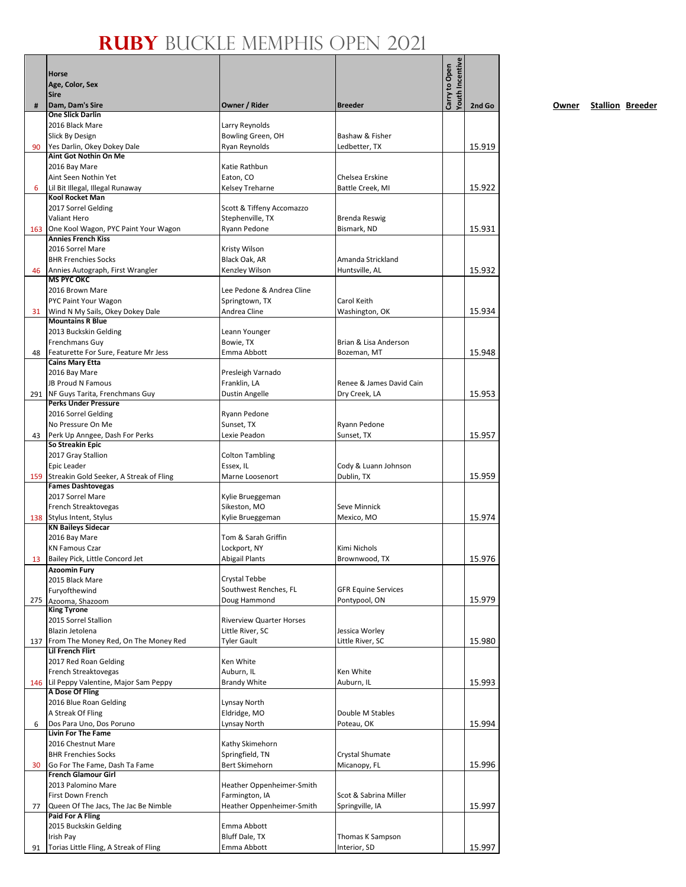|     | Horse<br>Age, Color, Sex<br><b>Sire</b>                               |                                        |                                    | Youth Incentive<br>Carry to Open |        |
|-----|-----------------------------------------------------------------------|----------------------------------------|------------------------------------|----------------------------------|--------|
| #   | Dam, Dam's Sire                                                       | Owner / Rider                          | <b>Breeder</b>                     |                                  | 2nd Go |
|     | <b>One Slick Darlin</b><br>2016 Black Mare                            | Larry Reynolds                         |                                    |                                  |        |
|     | Slick By Design                                                       | Bowling Green, OH                      | Bashaw & Fisher                    |                                  |        |
| 90  | Yes Darlin, Okey Dokey Dale                                           | Ryan Reynolds                          | Ledbetter, TX                      |                                  | 15.919 |
|     | <b>Aint Got Nothin On Me</b>                                          |                                        |                                    |                                  |        |
|     | 2016 Bay Mare<br>Aint Seen Nothin Yet                                 | Katie Rathbun<br>Eaton, CO             | Chelsea Erskine                    |                                  |        |
| 6   | Lil Bit Illegal, Illegal Runaway                                      | Kelsey Treharne                        | Battle Creek, MI                   |                                  | 15.922 |
|     | Kool Rocket Man                                                       |                                        |                                    |                                  |        |
|     | 2017 Sorrel Gelding                                                   | Scott & Tiffeny Accomazzo              |                                    |                                  |        |
|     | Valiant Hero                                                          | Stephenville, TX                       | Brenda Reswig                      |                                  |        |
|     | 163 One Kool Wagon, PYC Paint Your Wagon<br><b>Annies French Kiss</b> | Ryann Pedone                           | Bismark, ND                        |                                  | 15.931 |
|     | 2016 Sorrel Mare                                                      | Kristy Wilson                          |                                    |                                  |        |
|     | <b>BHR Frenchies Socks</b>                                            | Black Oak, AR                          | Amanda Strickland                  |                                  |        |
| 46  | Annies Autograph, First Wrangler                                      | Kenzley Wilson                         | Huntsville, AL                     |                                  | 15.932 |
|     | <b>MS PYC OKC</b><br>2016 Brown Mare                                  | Lee Pedone & Andrea Cline              |                                    |                                  |        |
|     | PYC Paint Your Wagon                                                  | Springtown, TX                         | Carol Keith                        |                                  |        |
| 31  | Wind N My Sails, Okey Dokey Dale                                      | Andrea Cline                           | Washington, OK                     |                                  | 15.934 |
|     | <b>Mountains R Blue</b>                                               |                                        |                                    |                                  |        |
|     | 2013 Buckskin Gelding                                                 | Leann Younger                          |                                    |                                  |        |
|     | Frenchmans Guy                                                        | Bowie, TX<br>Emma Abbott               | Brian & Lisa Anderson              |                                  |        |
| 48  | Featurette For Sure, Feature Mr Jess<br><b>Cains Mary Etta</b>        |                                        | Bozeman, MT                        |                                  | 15.948 |
|     | 2016 Bay Mare                                                         | Presleigh Varnado                      |                                    |                                  |        |
|     | JB Proud N Famous                                                     | Franklin, LA                           | Renee & James David Cain           |                                  |        |
|     | 291 NF Guys Tarita, Frenchmans Guy                                    | Dustin Angelle                         | Dry Creek, LA                      |                                  | 15.953 |
|     | <b>Perks Under Pressure</b><br>2016 Sorrel Gelding                    | Ryann Pedone                           |                                    |                                  |        |
|     | No Pressure On Me                                                     | Sunset, TX                             | Ryann Pedone                       |                                  |        |
| 43  | Perk Up Anngee, Dash For Perks                                        | Lexie Peadon                           | Sunset, TX                         |                                  | 15.957 |
|     | So Streakin Epic                                                      |                                        |                                    |                                  |        |
|     | 2017 Gray Stallion                                                    | <b>Colton Tambling</b>                 |                                    |                                  |        |
|     | Epic Leader<br>159 Streakin Gold Seeker, A Streak of Fling            | Essex, IL<br>Marne Loosenort           | Cody & Luann Johnson<br>Dublin, TX |                                  | 15.959 |
|     | <b>Fames Dashtovegas</b>                                              |                                        |                                    |                                  |        |
|     | 2017 Sorrel Mare                                                      | Kylie Brueggeman                       |                                    |                                  |        |
|     | French Streaktovegas                                                  | Sikeston, MO                           | Seve Minnick                       |                                  |        |
|     | 138 Stylus Intent, Stylus<br><b>KN Baileys Sidecar</b>                | Kylie Brueggeman                       | Mexico, MO                         |                                  | 15.974 |
|     | 2016 Bay Mare                                                         | Tom & Sarah Griffin                    |                                    |                                  |        |
|     | <b>KN Famous Czar</b>                                                 | Lockport, NY                           | Kimi Nichols                       |                                  |        |
| 13  | Bailey Pick, Little Concord Jet                                       | <b>Abigail Plants</b>                  | Brownwood, TX                      |                                  | 15.976 |
|     | <b>Azoomin Fury</b>                                                   |                                        |                                    |                                  |        |
|     | 2015 Black Mare<br>Furyofthewind                                      | Crystal Tebbe<br>Southwest Renches, FL | <b>GFR Equine Services</b>         |                                  |        |
| 275 | Azooma, Shazoom                                                       | Doug Hammond                           | Pontypool, ON                      |                                  | 15.979 |
|     | <b>King Tyrone</b>                                                    |                                        |                                    |                                  |        |
|     | 2015 Sorrel Stallion                                                  | <b>Riverview Quarter Horses</b>        |                                    |                                  |        |
|     | Blazin Jetolena<br>137 From The Money Red, On The Money Red           | Little River, SC<br><b>Tyler Gault</b> | Jessica Worley<br>Little River, SC |                                  | 15.980 |
|     | <b>Lil French Flirt</b>                                               |                                        |                                    |                                  |        |
|     | 2017 Red Roan Gelding                                                 | Ken White                              |                                    |                                  |        |
|     | French Streaktovegas                                                  | Auburn, IL                             | Ken White                          |                                  |        |
|     | 146 Lil Peppy Valentine, Major Sam Peppy                              | <b>Brandy White</b>                    | Auburn, IL                         |                                  | 15.993 |
|     | A Dose Of Fling<br>2016 Blue Roan Gelding                             | <b>Lynsay North</b>                    |                                    |                                  |        |
|     | A Streak Of Fling                                                     | Eldridge, MO                           | Double M Stables                   |                                  |        |
| 6   | Dos Para Uno, Dos Poruno                                              | Lynsay North                           | Poteau, OK                         |                                  | 15.994 |
|     | <b>Livin For The Fame</b>                                             |                                        |                                    |                                  |        |
|     | 2016 Chestnut Mare                                                    | Kathy Skimehorn                        |                                    |                                  |        |
|     | <b>BHR Frenchies Socks</b><br>Go For The Fame, Dash Ta Fame           | Springfield, TN<br>Bert Skimehorn      | Crystal Shumate<br>Micanopy, FL    |                                  | 15.996 |
| 30  | <b>French Glamour Girl</b>                                            |                                        |                                    |                                  |        |
|     | 2013 Palomino Mare                                                    | Heather Oppenheimer-Smith              |                                    |                                  |        |
|     | First Down French                                                     | Farmington, IA                         | Scot & Sabrina Miller              |                                  |        |
| 77  | Queen Of The Jacs, The Jac Be Nimble                                  | Heather Oppenheimer-Smith              | Springville, IA                    |                                  | 15.997 |
|     | <b>Paid For A Fling</b><br>2015 Buckskin Gelding                      | Emma Abbott                            |                                    |                                  |        |
|     | Irish Pay                                                             | <b>Bluff Dale, TX</b>                  | Thomas K Sampson                   |                                  |        |
| 91  | Torias Little Fling, A Streak of Fling                                | Emma Abbott                            | Interior, SD                       |                                  | 15.997 |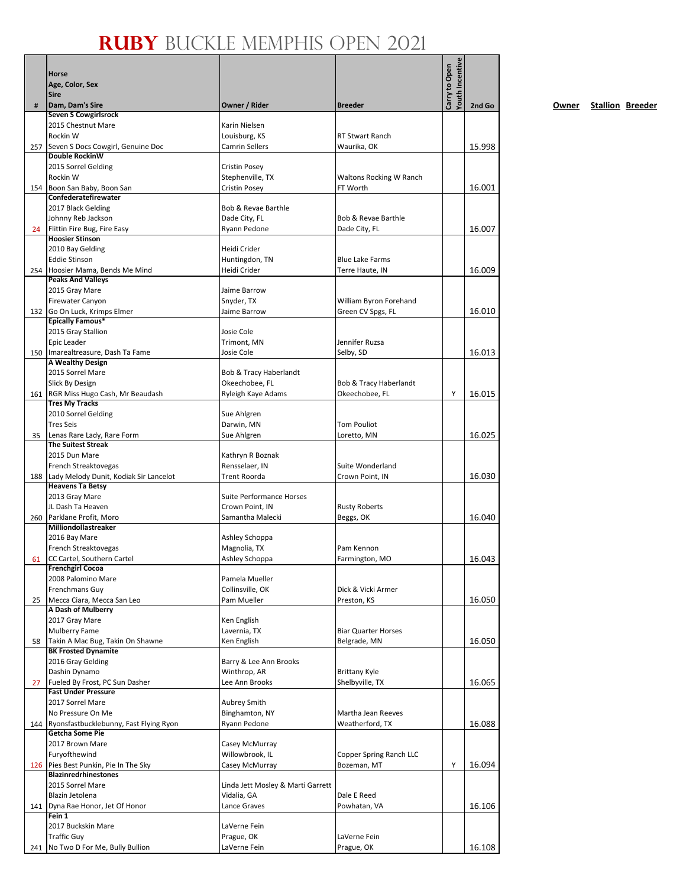|     | Horse<br>Age, Color, Sex<br>Sire                                    |                                                     |                                            | Youth Incentive<br>Carry to Open |        |
|-----|---------------------------------------------------------------------|-----------------------------------------------------|--------------------------------------------|----------------------------------|--------|
| #   | Dam, Dam's Sire                                                     | Owner / Rider                                       | <b>Breeder</b>                             |                                  | 2nd Go |
|     | <b>Seven S Cowgirlsrock</b>                                         |                                                     |                                            |                                  |        |
|     | 2015 Chestnut Mare<br>Rockin W                                      | Karin Nielsen<br>Louisburg, KS                      | <b>RT Stwart Ranch</b>                     |                                  |        |
|     | 257 Seven S Docs Cowgirl, Genuine Doc                               | Camrin Sellers                                      | Waurika, OK                                |                                  | 15.998 |
|     | <b>Double RockinW</b>                                               |                                                     |                                            |                                  |        |
|     | 2015 Sorrel Gelding                                                 | Cristin Posey                                       |                                            |                                  |        |
|     | Rockin W                                                            | Stephenville, TX                                    | Waltons Rocking W Ranch                    |                                  |        |
|     | 154 Boon San Baby, Boon San<br>Confederatefirewater                 | Cristin Posey                                       | FT Worth                                   |                                  | 16.001 |
|     | 2017 Black Gelding                                                  | Bob & Revae Barthle                                 |                                            |                                  |        |
|     | Johnny Reb Jackson                                                  | Dade City, FL                                       | Bob & Revae Barthle                        |                                  |        |
| 24  | Flittin Fire Bug, Fire Easy                                         | Ryann Pedone                                        | Dade City, FL                              |                                  | 16.007 |
|     | <b>Hoosier Stinson</b>                                              |                                                     |                                            |                                  |        |
|     | 2010 Bay Gelding<br><b>Eddie Stinson</b>                            | Heidi Crider<br>Huntingdon, TN                      | <b>Blue Lake Farms</b>                     |                                  |        |
|     | 254 Hoosier Mama, Bends Me Mind                                     | Heidi Crider                                        | Terre Haute, IN                            |                                  | 16.009 |
|     | <b>Peaks And Valleys</b>                                            |                                                     |                                            |                                  |        |
|     | 2015 Gray Mare                                                      | Jaime Barrow                                        |                                            |                                  |        |
|     | Firewater Canyon                                                    | Snyder, TX                                          | William Byron Forehand                     |                                  |        |
|     | 132 Go On Luck, Krimps Elmer<br><b>Epically Famous*</b>             | Jaime Barrow                                        | Green CV Spgs, FL                          |                                  | 16.010 |
|     | 2015 Gray Stallion                                                  | Josie Cole                                          |                                            |                                  |        |
|     | Epic Leader                                                         | Trimont, MN                                         | Jennifer Ruzsa                             |                                  |        |
|     | 150 Imarealtreasure, Dash Ta Fame                                   | Josie Cole                                          | Selby, SD                                  |                                  | 16.013 |
|     | A Wealthy Design                                                    |                                                     |                                            |                                  |        |
|     | 2015 Sorrel Mare                                                    | <b>Bob &amp; Tracy Haberlandt</b><br>Okeechobee, FL |                                            |                                  |        |
|     | Slick By Design<br>161 RGR Miss Hugo Cash, Mr Beaudash              | Ryleigh Kaye Adams                                  | Bob & Tracy Haberlandt<br>Okeechobee, FL   | Y                                | 16.015 |
|     | <b>Tres My Tracks</b>                                               |                                                     |                                            |                                  |        |
|     | 2010 Sorrel Gelding                                                 | Sue Ahlgren                                         |                                            |                                  |        |
|     | <b>Tres Seis</b>                                                    | Darwin, MN                                          | <b>Tom Pouliot</b>                         |                                  |        |
| 35  | Lenas Rare Lady, Rare Form                                          | Sue Ahlgren                                         | Loretto, MN                                |                                  | 16.025 |
|     | <b>The Suitest Streak</b><br>2015 Dun Mare                          | Kathryn R Boznak                                    |                                            |                                  |        |
|     | French Streaktovegas                                                | Rensselaer, IN                                      | Suite Wonderland                           |                                  |        |
|     | 188 Lady Melody Dunit, Kodiak Sir Lancelot                          | Trent Roorda                                        | Crown Point, IN                            |                                  | 16.030 |
|     | <b>Heavens Ta Betsy</b>                                             |                                                     |                                            |                                  |        |
|     | 2013 Gray Mare                                                      | Suite Performance Horses                            |                                            |                                  |        |
|     | JL Dash Ta Heaven<br>260 Parklane Profit, Moro                      | Crown Point. IN                                     | <b>Rusty Roberts</b>                       |                                  | 16.040 |
|     | Milliondollastreaker                                                | Samantha Malecki                                    | Beggs, OK                                  |                                  |        |
|     | 2016 Bay Mare                                                       | Ashley Schoppa                                      |                                            |                                  |        |
|     | French Streaktovegas                                                | Magnolia, TX                                        | Pam Kennon                                 |                                  |        |
| 61  | CC Cartel, Southern Cartel                                          | Ashley Schoppa                                      | Farmington, MO                             |                                  | 16.043 |
|     | <b>Frenchgirl Cocoa</b><br>2008 Palomino Mare                       | Pamela Mueller                                      |                                            |                                  |        |
|     | Frenchmans Guy                                                      | Collinsville, OK                                    | Dick & Vicki Armer                         |                                  |        |
| 25  | Mecca Ciara, Mecca San Leo                                          | Pam Mueller                                         | Preston, KS                                |                                  | 16.050 |
|     | A Dash of Mulberry                                                  |                                                     |                                            |                                  |        |
|     | 2017 Gray Mare                                                      | Ken English                                         |                                            |                                  |        |
| 58  | Mulberry Fame<br>Takin A Mac Bug, Takin On Shawne                   | Lavernia, TX<br>Ken English                         | <b>Biar Quarter Horses</b><br>Belgrade, MN |                                  | 16.050 |
|     | <b>BK Frosted Dynamite</b>                                          |                                                     |                                            |                                  |        |
|     | 2016 Gray Gelding                                                   | Barry & Lee Ann Brooks                              |                                            |                                  |        |
|     | Dashin Dynamo                                                       | Winthrop, AR                                        | <b>Brittany Kyle</b>                       |                                  |        |
| 27  | Fueled By Frost, PC Sun Dasher                                      | Lee Ann Brooks                                      | Shelbyville, TX                            |                                  | 16.065 |
|     | <b>Fast Under Pressure</b><br>2017 Sorrel Mare                      | Aubrey Smith                                        |                                            |                                  |        |
|     | No Pressure On Me                                                   | Binghamton, NY                                      | Martha Jean Reeves                         |                                  |        |
|     | 144 Ryonsfastbucklebunny, Fast Flying Ryon                          | Ryann Pedone                                        | Weatherford, TX                            |                                  | 16.088 |
|     | <b>Getcha Some Pie</b>                                              |                                                     |                                            |                                  |        |
|     | 2017 Brown Mare                                                     | Casey McMurray                                      |                                            |                                  |        |
|     | Furyofthewind                                                       | Willowbrook, IL                                     | Copper Spring Ranch LLC                    |                                  |        |
|     | 126 Pies Best Punkin, Pie In The Sky<br><b>Blazinredrhinestones</b> | Casey McMurray                                      | Bozeman, MT                                | Υ                                | 16.094 |
|     | 2015 Sorrel Mare                                                    | Linda Jett Mosley & Marti Garrett                   |                                            |                                  |        |
|     | Blazin Jetolena                                                     | Vidalia, GA                                         | Dale E Reed                                |                                  |        |
|     | 141   Dyna Rae Honor, Jet Of Honor                                  | Lance Graves                                        | Powhatan, VA                               |                                  | 16.106 |
|     | Fein 1                                                              |                                                     |                                            |                                  |        |
|     | 2017 Buckskin Mare<br><b>Traffic Guy</b>                            | LaVerne Fein<br>Prague, OK                          | LaVerne Fein                               |                                  |        |
| 241 | No Two D For Me, Bully Bullion                                      | LaVerne Fein                                        | Prague, OK                                 |                                  | 16.108 |
|     |                                                                     |                                                     |                                            |                                  |        |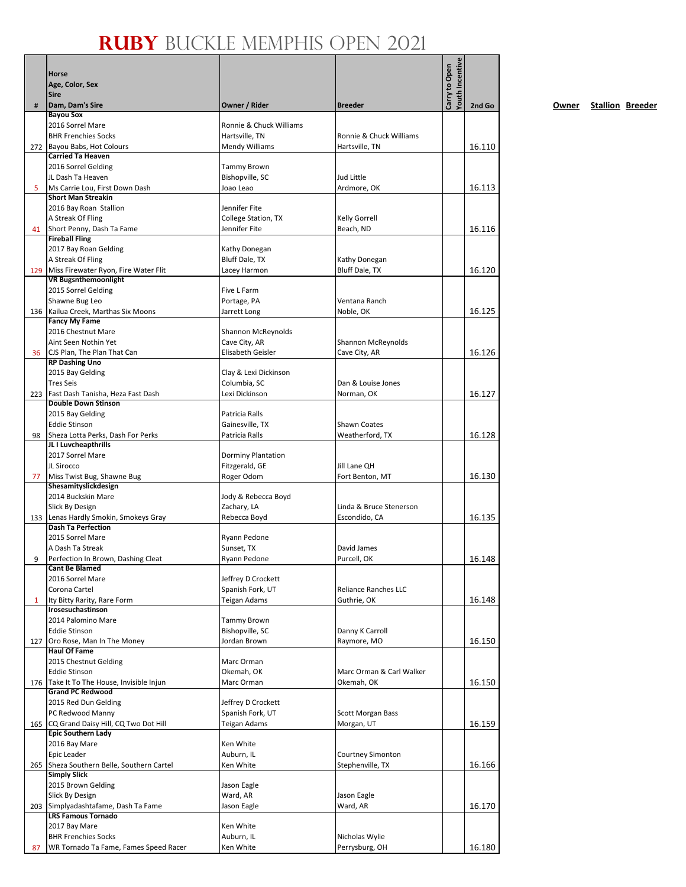|     | Horse                                                              |                                             |                                        |                 |        |
|-----|--------------------------------------------------------------------|---------------------------------------------|----------------------------------------|-----------------|--------|
|     | Age, Color, Sex                                                    |                                             |                                        |                 |        |
|     | <b>Sire</b>                                                        |                                             | Carry to Open                          | Youth Incentive |        |
| #   | Dam, Dam's Sire                                                    | Owner / Rider                               | <b>Breeder</b>                         |                 | 2nd Go |
|     | <b>Bayou Sox</b><br>2016 Sorrel Mare                               | Ronnie & Chuck Williams                     |                                        |                 |        |
|     | <b>BHR Frenchies Socks</b>                                         | Hartsville, TN                              | Ronnie & Chuck Williams                |                 |        |
|     | 272 Bayou Babs, Hot Colours                                        | <b>Mendy Williams</b>                       | Hartsville, TN                         |                 | 16.110 |
|     | <b>Carried Ta Heaven</b>                                           |                                             |                                        |                 |        |
|     | 2016 Sorrel Gelding                                                | Tammy Brown                                 |                                        |                 |        |
|     | JL Dash Ta Heaven                                                  | Bishopville, SC                             | Jud Little                             |                 |        |
| 5   | Ms Carrie Lou, First Down Dash                                     | Joao Leao                                   | Ardmore, OK                            |                 | 16.113 |
|     | <b>Short Man Streakin</b>                                          |                                             |                                        |                 |        |
|     | 2016 Bay Roan Stallion                                             | Jennifer Fite<br><b>College Station, TX</b> |                                        |                 |        |
| 41  | A Streak Of Fling<br>Short Penny, Dash Ta Fame                     | Jennifer Fite                               | <b>Kelly Gorrell</b><br>Beach, ND      |                 | 16.116 |
|     | <b>Fireball Fling</b>                                              |                                             |                                        |                 |        |
|     | 2017 Bay Roan Gelding                                              | Kathy Donegan                               |                                        |                 |        |
|     | A Streak Of Fling                                                  | Bluff Dale, TX                              | Kathy Donegan                          |                 |        |
| 129 | Miss Firewater Ryon, Fire Water Flit                               | Lacey Harmon                                | Bluff Dale, TX                         |                 | 16.120 |
|     | <b>VR Bugsnthemoonlight</b>                                        |                                             |                                        |                 |        |
|     | 2015 Sorrel Gelding                                                | Five L Farm                                 |                                        |                 |        |
|     | Shawne Bug Leo                                                     | Portage, PA                                 | Ventana Ranch                          |                 |        |
|     | 136 Kailua Creek, Marthas Six Moons                                | Jarrett Long                                | Noble, OK                              |                 | 16.125 |
|     | <b>Fancy My Fame</b><br>2016 Chestnut Mare                         | Shannon McReynolds                          |                                        |                 |        |
|     | Aint Seen Nothin Yet                                               | Cave City, AR                               | <b>Shannon McReynolds</b>              |                 |        |
| 36  | CJS Plan, The Plan That Can                                        | Elisabeth Geisler                           | Cave City, AR                          |                 | 16.126 |
|     | <b>RP Dashing Uno</b>                                              |                                             |                                        |                 |        |
|     | 2015 Bay Gelding                                                   | Clay & Lexi Dickinson                       |                                        |                 |        |
|     | <b>Tres Seis</b>                                                   | Columbia, SC                                | Dan & Louise Jones                     |                 |        |
| 223 | Fast Dash Tanisha, Heza Fast Dash                                  | Lexi Dickinson                              | Norman, OK                             |                 | 16.127 |
|     | <b>Double Down Stinson</b>                                         |                                             |                                        |                 |        |
|     | 2015 Bay Gelding<br><b>Eddie Stinson</b>                           | Patricia Ralls                              |                                        |                 |        |
| 98  | Sheza Lotta Perks, Dash For Perks                                  | Gainesville, TX<br>Patricia Ralls           | <b>Shawn Coates</b><br>Weatherford, TX |                 | 16.128 |
|     | JL I Luvcheapthrills                                               |                                             |                                        |                 |        |
|     | 2017 Sorrel Mare                                                   | Dorminy Plantation                          |                                        |                 |        |
|     | JL Sirocco                                                         | Fitzgerald, GE                              | Jill Lane QH                           |                 |        |
| 77  | Miss Twist Bug, Shawne Bug                                         | Roger Odom                                  | Fort Benton, MT                        |                 | 16.130 |
|     | Shesamityslickdesign                                               |                                             |                                        |                 |        |
|     | 2014 Buckskin Mare                                                 | Jody & Rebecca Boyd                         |                                        |                 |        |
|     | Slick By Design                                                    | Zachary, LA                                 | Linda & Bruce Stenerson                |                 |        |
|     | 133 Lenas Hardly Smokin, Smokeys Gray<br><b>Dash Ta Perfection</b> | Rebecca Boyd                                | Escondido, CA                          |                 | 16.135 |
|     | 2015 Sorrel Mare                                                   | Ryann Pedone                                |                                        |                 |        |
|     | A Dash Ta Streak                                                   | Sunset, TX                                  | David James                            |                 |        |
| 9   | Perfection In Brown, Dashing Cleat                                 | Ryann Pedone                                | Purcell, OK                            |                 | 16.148 |
|     | <b>Cant Be Blamed</b>                                              |                                             |                                        |                 |        |
|     | 2016 Sorrel Mare                                                   | Jeffrey D Crockett                          |                                        |                 |        |
|     | Corona Cartel                                                      | Spanish Fork, UT                            | Reliance Ranches LLC                   |                 |        |
| 1   | Ity Bitty Rarity, Rare Form<br>Irosesuchastinson                   | <b>Teigan Adams</b>                         | Guthrie, OK                            |                 | 16.148 |
|     | 2014 Palomino Mare                                                 | <b>Tammy Brown</b>                          |                                        |                 |        |
|     | <b>Eddie Stinson</b>                                               | Bishopville, SC                             | Danny K Carroll                        |                 |        |
| 127 | Oro Rose, Man In The Money                                         | Jordan Brown                                | Raymore, MO                            |                 | 16.150 |
|     | <b>Haul Of Fame</b>                                                |                                             |                                        |                 |        |
|     | 2015 Chestnut Gelding                                              | Marc Orman                                  |                                        |                 |        |
|     | <b>Eddie Stinson</b>                                               | Okemah, OK                                  | Marc Orman & Carl Walker               |                 |        |
|     | 176 Take It To The House, Invisible Injun                          | Marc Orman                                  | Okemah, OK                             |                 | 16.150 |
|     | <b>Grand PC Redwood</b>                                            |                                             |                                        |                 |        |
|     | 2015 Red Dun Gelding<br>PC Redwood Manny                           | Jeffrey D Crockett<br>Spanish Fork, UT      | <b>Scott Morgan Bass</b>               |                 |        |
| 165 | CQ Grand Daisy Hill, CQ Two Dot Hill                               | Teigan Adams                                | Morgan, UT                             |                 | 16.159 |
|     | <b>Epic Southern Lady</b>                                          |                                             |                                        |                 |        |
|     | 2016 Bay Mare                                                      | Ken White                                   |                                        |                 |        |
|     | Epic Leader                                                        | Auburn, IL                                  | Courtney Simonton                      |                 |        |
|     | 265 Sheza Southern Belle, Southern Cartel                          | Ken White                                   | Stephenville, TX                       |                 | 16.166 |
|     | <b>Simply Slick</b>                                                |                                             |                                        |                 |        |
|     | 2015 Brown Gelding                                                 | Jason Eagle                                 |                                        |                 |        |
|     | Slick By Design                                                    | Ward, AR                                    | Jason Eagle                            |                 |        |
| 203 | Simplyadashtafame, Dash Ta Fame<br><b>LRS Famous Tornado</b>       | Jason Eagle                                 | Ward, AR                               |                 | 16.170 |
|     | 2017 Bay Mare                                                      | Ken White                                   |                                        |                 |        |
|     | <b>BHR Frenchies Socks</b>                                         | Auburn, IL                                  | Nicholas Wylie                         |                 |        |
| 87  | WR Tornado Ta Fame, Fames Speed Racer                              | Ken White                                   | Perrysburg, OH                         |                 | 16.180 |
|     |                                                                    |                                             |                                        |                 |        |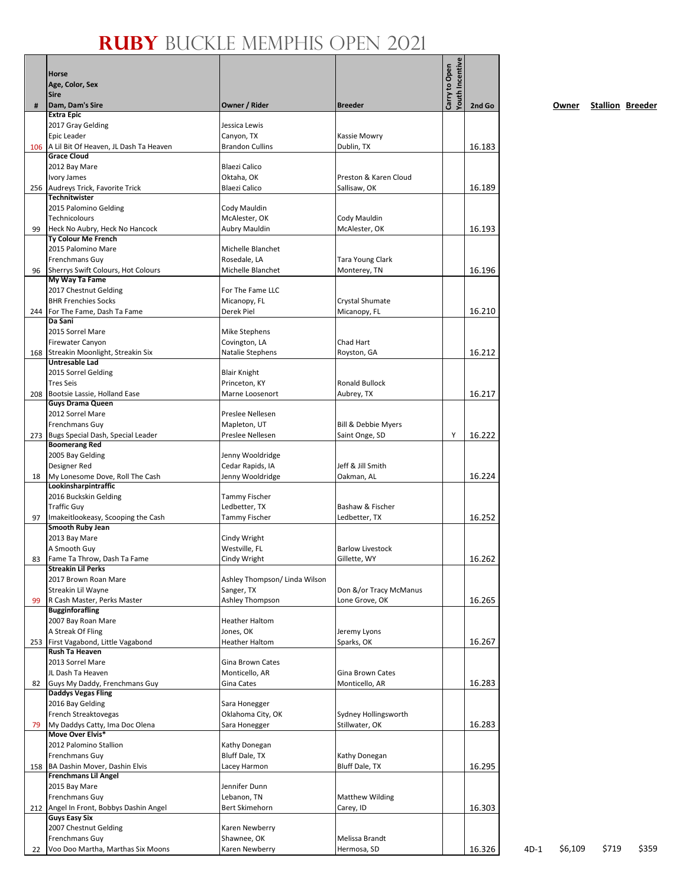|     | Horse                                                        |                                      |                                        | <b>Touth Incentive</b><br>Carry to Open |        |        |         |                         |       |
|-----|--------------------------------------------------------------|--------------------------------------|----------------------------------------|-----------------------------------------|--------|--------|---------|-------------------------|-------|
|     | Age, Color, Sex                                              |                                      |                                        |                                         |        |        |         |                         |       |
| #   | <b>Sire</b><br>Dam, Dam's Sire                               | Owner / Rider                        | <b>Breeder</b>                         |                                         | 2nd Go |        | Owner   | <b>Stallion Breeder</b> |       |
|     | <b>Extra Epic</b>                                            |                                      |                                        |                                         |        |        |         |                         |       |
|     | 2017 Gray Gelding                                            | Jessica Lewis                        |                                        |                                         |        |        |         |                         |       |
|     | Epic Leader<br>A Lil Bit Of Heaven, JL Dash Ta Heaven        | Canyon, TX<br><b>Brandon Cullins</b> | Kassie Mowry<br>Dublin, TX             |                                         | 16.183 |        |         |                         |       |
| 106 | <b>Grace Cloud</b>                                           |                                      |                                        |                                         |        |        |         |                         |       |
|     | 2012 Bay Mare                                                | <b>Blaezi Calico</b>                 |                                        |                                         |        |        |         |                         |       |
|     | Ivory James                                                  | Oktaha, OK                           | Preston & Karen Cloud                  |                                         |        |        |         |                         |       |
| 256 | Audreys Trick, Favorite Trick<br><b>Technitwister</b>        | <b>Blaezi Calico</b>                 | Sallisaw, OK                           |                                         | 16.189 |        |         |                         |       |
|     | 2015 Palomino Gelding                                        | Cody Mauldin                         |                                        |                                         |        |        |         |                         |       |
|     | Technicolours                                                | McAlester, OK                        | Cody Mauldin                           |                                         |        |        |         |                         |       |
| 99  | Heck No Aubry, Heck No Hancock<br><b>Ty Colour Me French</b> | Aubry Mauldin                        | McAlester, OK                          |                                         | 16.193 |        |         |                         |       |
|     | 2015 Palomino Mare                                           | Michelle Blanchet                    |                                        |                                         |        |        |         |                         |       |
|     | Frenchmans Guy                                               | Rosedale, LA                         | Tara Young Clark                       |                                         |        |        |         |                         |       |
| 96  | Sherrys Swift Colours, Hot Colours                           | Michelle Blanchet                    | Monterey, TN                           |                                         | 16.196 |        |         |                         |       |
|     | My Way Ta Fame<br>2017 Chestnut Gelding                      | For The Fame LLC                     |                                        |                                         |        |        |         |                         |       |
|     | <b>BHR Frenchies Socks</b>                                   | Micanopy, FL                         | Crystal Shumate                        |                                         |        |        |         |                         |       |
| 244 | For The Fame, Dash Ta Fame                                   | Derek Piel                           | Micanopy, FL                           |                                         | 16.210 |        |         |                         |       |
|     | Da Sani                                                      |                                      |                                        |                                         |        |        |         |                         |       |
|     | 2015 Sorrel Mare<br>Firewater Canyon                         | Mike Stephens<br>Covington, LA       | Chad Hart                              |                                         |        |        |         |                         |       |
| 168 | Streakin Moonlight, Streakin Six                             | Natalie Stephens                     | Royston, GA                            |                                         | 16.212 |        |         |                         |       |
|     | <b>Untresable Lad</b>                                        |                                      |                                        |                                         |        |        |         |                         |       |
|     | 2015 Sorrel Gelding                                          | <b>Blair Knight</b>                  |                                        |                                         |        |        |         |                         |       |
| 208 | <b>Tres Seis</b><br>Bootsie Lassie, Holland Ease             | Princeton, KY<br>Marne Loosenort     | Ronald Bullock<br>Aubrey, TX           |                                         | 16.217 |        |         |                         |       |
|     | <b>Guys Drama Queen</b>                                      |                                      |                                        |                                         |        |        |         |                         |       |
|     | 2012 Sorrel Mare                                             | Preslee Nellesen                     |                                        |                                         |        |        |         |                         |       |
| 273 | Frenchmans Guy<br>Bugs Special Dash, Special Leader          | Mapleton, UT<br>Preslee Nellesen     | Bill & Debbie Myers<br>Saint Onge, SD  | Υ                                       | 16.222 |        |         |                         |       |
|     | <b>Boomerang Red</b>                                         |                                      |                                        |                                         |        |        |         |                         |       |
|     | 2005 Bay Gelding                                             | Jenny Wooldridge                     |                                        |                                         |        |        |         |                         |       |
|     | Designer Red                                                 | Cedar Rapids, IA                     | Jeff & Jill Smith                      |                                         |        |        |         |                         |       |
| 18  | My Lonesome Dove, Roll The Cash<br>Lookinsharpintraffic      | Jenny Wooldridge                     | Oakman, AL                             |                                         | 16.224 |        |         |                         |       |
|     | 2016 Buckskin Gelding                                        | <b>Tammy Fischer</b>                 |                                        |                                         |        |        |         |                         |       |
|     | <b>Traffic Guy</b>                                           | Ledbetter, TX                        | Bashaw & Fischer                       |                                         |        |        |         |                         |       |
| 97  | Imakeitlookeasy, Scooping the Cash<br>Smooth Ruby Jean       | <b>Tammy Fischer</b>                 | Ledbetter, TX                          |                                         | 16.252 |        |         |                         |       |
|     | 2013 Bay Mare                                                | Cindy Wright                         |                                        |                                         |        |        |         |                         |       |
|     | A Smooth Guy                                                 | Westville, FL                        | <b>Barlow Livestock</b>                |                                         |        |        |         |                         |       |
|     | 83   Fame Ta Throw, Dash Ta Fame                             | Cindy Wright                         | Gillette, WY                           |                                         | 16.262 |        |         |                         |       |
|     | <b>Streakin Lil Perks</b><br>2017 Brown Roan Mare            | Ashley Thompson/ Linda Wilson        |                                        |                                         |        |        |         |                         |       |
|     | Streakin Lil Wayne                                           | Sanger, TX                           | Don &/or Tracy McManus                 |                                         |        |        |         |                         |       |
| 99  | R Cash Master, Perks Master                                  | Ashley Thompson                      | Lone Grove, OK                         |                                         | 16.265 |        |         |                         |       |
|     | <b>Bugginforafling</b>                                       | <b>Heather Haltom</b>                |                                        |                                         |        |        |         |                         |       |
|     | 2007 Bay Roan Mare<br>A Streak Of Fling                      | Jones, OK                            | Jeremy Lyons                           |                                         |        |        |         |                         |       |
| 253 | First Vagabond, Little Vagabond                              | <b>Heather Haltom</b>                | Sparks, OK                             |                                         | 16.267 |        |         |                         |       |
|     | Rush Ta Heaven                                               |                                      |                                        |                                         |        |        |         |                         |       |
|     | 2013 Sorrel Mare<br>JL Dash Ta Heaven                        | Gina Brown Cates<br>Monticello, AR   | Gina Brown Cates                       |                                         |        |        |         |                         |       |
| 82  | Guys My Daddy, Frenchmans Guy                                | Gina Cates                           | Monticello, AR                         |                                         | 16.283 |        |         |                         |       |
|     | <b>Daddys Vegas Fling</b>                                    |                                      |                                        |                                         |        |        |         |                         |       |
|     | 2016 Bay Gelding                                             | Sara Honegger                        |                                        |                                         |        |        |         |                         |       |
|     | French Streaktovegas<br>My Daddys Catty, Ima Doc Olena       | Oklahoma City, OK<br>Sara Honegger   | Sydney Hollingsworth<br>Stillwater, OK |                                         | 16.283 |        |         |                         |       |
| 79  | Move Over Elvis*                                             |                                      |                                        |                                         |        |        |         |                         |       |
|     | 2012 Palomino Stallion                                       | Kathy Donegan                        |                                        |                                         |        |        |         |                         |       |
|     | Frenchmans Guy                                               | Bluff Dale, TX                       | Kathy Donegan                          |                                         |        |        |         |                         |       |
| 158 | BA Dashin Mover, Dashin Elvis<br><b>Frenchmans Lil Angel</b> | Lacey Harmon                         | Bluff Dale, TX                         |                                         | 16.295 |        |         |                         |       |
|     | 2015 Bay Mare                                                | Jennifer Dunn                        |                                        |                                         |        |        |         |                         |       |
|     | Frenchmans Guy                                               | Lebanon, TN                          | <b>Matthew Wilding</b>                 |                                         |        |        |         |                         |       |
| 212 | Angel In Front, Bobbys Dashin Angel                          | Bert Skimehorn                       | Carey, ID                              |                                         | 16.303 |        |         |                         |       |
|     | <b>Guys Easy Six</b><br>2007 Chestnut Gelding                | Karen Newberry                       |                                        |                                         |        |        |         |                         |       |
|     | Frenchmans Guy                                               | Shawnee, OK                          | Melissa Brandt                         |                                         |        |        |         |                         |       |
| 22  | Voo Doo Martha, Marthas Six Moons                            | Karen Newberry                       | Hermosa, SD                            |                                         | 16.326 | $4D-1$ | \$6,109 | \$719                   | \$359 |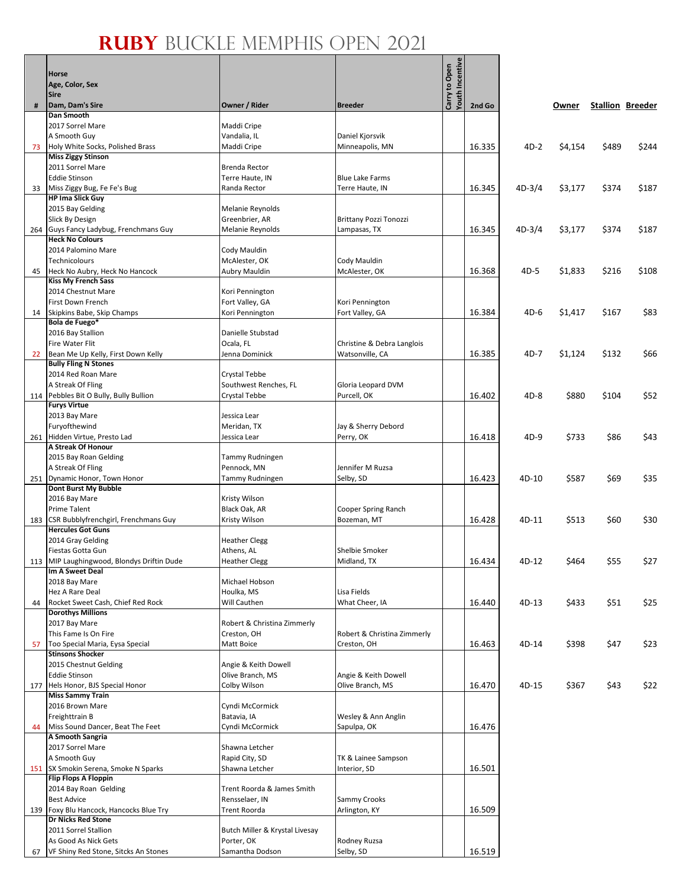|     | Horse                                                                |                                            |                                    | Youth Incentive<br>Carry to Open |        |          |         |       |                         |
|-----|----------------------------------------------------------------------|--------------------------------------------|------------------------------------|----------------------------------|--------|----------|---------|-------|-------------------------|
|     | Age, Color, Sex<br><b>Sire</b>                                       |                                            |                                    |                                  |        |          |         |       |                         |
| #   | Dam, Dam's Sire                                                      | Owner / Rider                              | <b>Breeder</b>                     |                                  | 2nd Go |          | Owner   |       | <b>Stallion Breeder</b> |
|     | Dan Smooth                                                           |                                            |                                    |                                  |        |          |         |       |                         |
|     | 2017 Sorrel Mare                                                     | Maddi Cripe                                |                                    |                                  |        |          |         |       |                         |
|     | A Smooth Guy                                                         | Vandalia, IL                               | Daniel Kjorsvik                    |                                  |        |          |         |       |                         |
| 73  | Holy White Socks, Polished Brass<br><b>Miss Ziggy Stinson</b>        | Maddi Cripe                                | Minneapolis, MN                    |                                  | 16.335 | $4D-2$   | \$4,154 | \$489 | \$244                   |
|     | 2011 Sorrel Mare                                                     | Brenda Rector                              |                                    |                                  |        |          |         |       |                         |
|     | <b>Eddie Stinson</b>                                                 | Terre Haute, IN                            | <b>Blue Lake Farms</b>             |                                  |        |          |         |       |                         |
| 33  | Miss Ziggy Bug, Fe Fe's Bug                                          | Randa Rector                               | Terre Haute, IN                    |                                  | 16.345 | $4D-3/4$ | \$3,177 | \$374 | \$187                   |
|     | <b>HP Ima Slick Guy</b>                                              |                                            |                                    |                                  |        |          |         |       |                         |
|     | 2015 Bay Gelding<br>Slick By Design                                  | Melanie Reynolds<br>Greenbrier, AR         | Brittany Pozzi Tonozzi             |                                  |        |          |         |       |                         |
|     | 264 Guys Fancy Ladybug, Frenchmans Guy                               | Melanie Reynolds                           | Lampasas, TX                       |                                  | 16.345 | $4D-3/4$ | \$3,177 | \$374 | \$187                   |
|     | <b>Heck No Colours</b>                                               |                                            |                                    |                                  |        |          |         |       |                         |
|     | 2014 Palomino Mare                                                   | Cody Mauldin                               |                                    |                                  |        |          |         |       |                         |
|     | Technicolours                                                        | McAlester, OK                              | Cody Mauldin                       |                                  |        |          |         |       |                         |
| 45  | Heck No Aubry, Heck No Hancock<br><b>Kiss My French Sass</b>         | Aubry Mauldin                              | McAlester, OK                      |                                  | 16.368 | 4D-5     | \$1,833 | \$216 | \$108                   |
|     | 2014 Chestnut Mare                                                   | Kori Pennington                            |                                    |                                  |        |          |         |       |                         |
|     | First Down French                                                    | Fort Valley, GA                            | Kori Pennington                    |                                  |        |          |         |       |                         |
| 14  | Skipkins Babe, Skip Champs                                           | Kori Pennington                            | Fort Valley, GA                    |                                  | 16.384 | $4D-6$   | \$1,417 | \$167 | \$83                    |
|     | Bola de Fuego*                                                       | Danielle Stubstad                          |                                    |                                  |        |          |         |       |                         |
|     | 2016 Bay Stallion<br>Fire Water Flit                                 | Ocala, FL                                  | Christine & Debra Langlois         |                                  |        |          |         |       |                         |
| 22  | Bean Me Up Kelly, First Down Kelly                                   | Jenna Dominick                             | Watsonville, CA                    |                                  | 16.385 | 4D-7     | \$1,124 | \$132 | \$66                    |
|     | <b>Bully Fling N Stones</b>                                          |                                            |                                    |                                  |        |          |         |       |                         |
|     | 2014 Red Roan Mare                                                   | Crystal Tebbe                              |                                    |                                  |        |          |         |       |                         |
|     | A Streak Of Fling                                                    | Southwest Renches, FL                      | Gloria Leopard DVM<br>Purcell, OK  |                                  | 16.402 | $4D-8$   | \$880   | \$104 | \$52                    |
| 114 | Pebbles Bit O Bully, Bully Bullion<br><b>Furys Virtue</b>            | Crystal Tebbe                              |                                    |                                  |        |          |         |       |                         |
|     | 2013 Bay Mare                                                        | Jessica Lear                               |                                    |                                  |        |          |         |       |                         |
|     | Furyofthewind                                                        | Meridan, TX                                | Jay & Sherry Debord                |                                  |        |          |         |       |                         |
|     | 261 Hidden Virtue, Presto Lad                                        | Jessica Lear                               | Perry, OK                          |                                  | 16.418 | $4D-9$   | \$733   | \$86  | \$43                    |
|     | A Streak Of Honour<br>2015 Bay Roan Gelding                          | Tammy Rudningen                            |                                    |                                  |        |          |         |       |                         |
|     | A Streak Of Fling                                                    | Pennock, MN                                | Jennifer M Ruzsa                   |                                  |        |          |         |       |                         |
|     | 251 Dynamic Honor, Town Honor                                        | Tammy Rudningen                            | Selby, SD                          |                                  | 16.423 | 4D-10    | \$587   | \$69  | \$35                    |
|     | <b>Dont Burst My Bubble</b>                                          |                                            |                                    |                                  |        |          |         |       |                         |
|     | 2016 Bay Mare                                                        | Kristy Wilson                              |                                    |                                  |        |          |         |       |                         |
|     | Prime Talent<br>CSR Bubblyfrenchgirl, Frenchmans Guy                 | Black Oak, AR<br>Kristy Wilson             | Cooper Spring Ranch<br>Bozeman, MT |                                  | 16.428 | 4D-11    | \$513   | \$60  | \$30                    |
| 183 | <b>Hercules Got Guns</b>                                             |                                            |                                    |                                  |        |          |         |       |                         |
|     | 2014 Gray Gelding                                                    | <b>Heather Clegg</b>                       |                                    |                                  |        |          |         |       |                         |
|     | Fiestas Gotta Gun                                                    | Athens, AL                                 | <b>Shelbie Smoker</b>              |                                  |        |          |         |       |                         |
|     | 113 MIP Laughingwood, Blondys Driftin Dude                           | <b>Heather Clegg</b>                       | Midland, TX                        |                                  | 16.434 | 4D-12    | \$464   | \$55  | \$27                    |
|     | Im A Sweet Deal<br>2018 Bay Mare                                     | Michael Hobson                             |                                    |                                  |        |          |         |       |                         |
|     | Hez A Rare Deal                                                      | Houlka, MS                                 | Lisa Fields                        |                                  |        |          |         |       |                         |
| 44  | Rocket Sweet Cash, Chief Red Rock                                    | Will Cauthen                               | What Cheer, IA                     |                                  | 16.440 | 4D-13    | \$433   | \$51  | \$25                    |
|     | <b>Dorothys Millions</b>                                             |                                            |                                    |                                  |        |          |         |       |                         |
|     | 2017 Bay Mare<br>This Fame Is On Fire                                | Robert & Christina Zimmerly<br>Creston, OH | Robert & Christina Zimmerly        |                                  |        |          |         |       |                         |
| 57  | Too Special Maria, Eysa Special                                      | Matt Boice                                 | Creston, OH                        |                                  | 16.463 | 4D-14    | \$398   | \$47  | \$23                    |
|     | <b>Stinsons Shocker</b>                                              |                                            |                                    |                                  |        |          |         |       |                         |
|     | 2015 Chestnut Gelding                                                | Angie & Keith Dowell                       |                                    |                                  |        |          |         |       |                         |
|     | <b>Eddie Stinson</b>                                                 | Olive Branch, MS                           | Angie & Keith Dowell               |                                  |        |          |         |       |                         |
|     | 177 Hels Honor, BJS Special Honor<br><b>Miss Sammy Train</b>         | Colby Wilson                               | Olive Branch, MS                   |                                  | 16.470 | 4D-15    | \$367   | \$43  | \$22                    |
|     | 2016 Brown Mare                                                      | Cyndi McCormick                            |                                    |                                  |        |          |         |       |                         |
|     | Freighttrain B                                                       | Batavia, IA                                | Wesley & Ann Anglin                |                                  |        |          |         |       |                         |
| 44  | Miss Sound Dancer, Beat The Feet                                     | Cyndi McCormick                            | Sapulpa, OK                        |                                  | 16.476 |          |         |       |                         |
|     | A Smooth Sangria                                                     |                                            |                                    |                                  |        |          |         |       |                         |
|     | 2017 Sorrel Mare<br>A Smooth Guy                                     | Shawna Letcher<br>Rapid City, SD           | TK & Lainee Sampson                |                                  |        |          |         |       |                         |
|     | 151 SX Smokin Serena, Smoke N Sparks                                 | Shawna Letcher                             | Interior, SD                       |                                  | 16.501 |          |         |       |                         |
|     | <b>Flip Flops A Floppin</b>                                          |                                            |                                    |                                  |        |          |         |       |                         |
|     | 2014 Bay Roan Gelding                                                | Trent Roorda & James Smith                 |                                    |                                  |        |          |         |       |                         |
|     | <b>Best Advice</b>                                                   | Rensselaer, IN                             | Sammy Crooks                       |                                  |        |          |         |       |                         |
|     | 139 Foxy Blu Hancock, Hancocks Blue Try<br><b>Dr Nicks Red Stone</b> | Trent Roorda                               | Arlington, KY                      |                                  | 16.509 |          |         |       |                         |
|     | 2011 Sorrel Stallion                                                 | Butch Miller & Krystal Livesay             |                                    |                                  |        |          |         |       |                         |
|     | As Good As Nick Gets                                                 | Porter, OK                                 | Rodney Ruzsa                       |                                  |        |          |         |       |                         |
| 67  | VF Shiny Red Stone, Sitcks An Stones                                 | Samantha Dodson                            | Selby, SD                          |                                  | 16.519 |          |         |       |                         |

 $-9$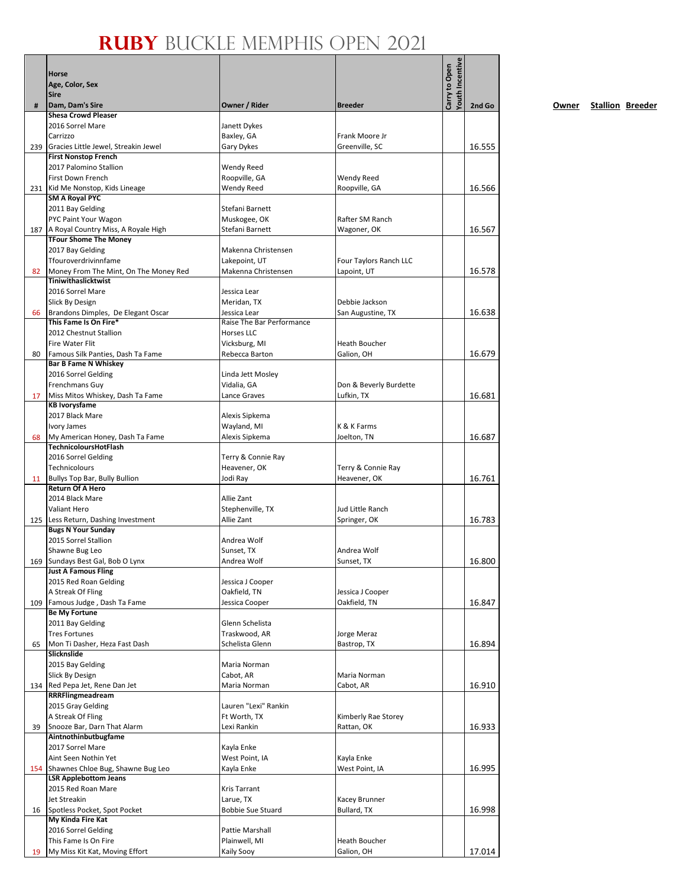|     | Horse<br>Age, Color, Sex<br><b>Sire</b>                               |                                         |                                       | <b>Youth Incentive</b><br>Carry to Open |        |
|-----|-----------------------------------------------------------------------|-----------------------------------------|---------------------------------------|-----------------------------------------|--------|
| #   | Dam, Dam's Sire                                                       | Owner / Rider                           | <b>Breeder</b>                        |                                         | 2nd Go |
|     | <b>Shesa Crowd Pleaser</b>                                            |                                         |                                       |                                         |        |
|     | 2016 Sorrel Mare<br>Carrizzo                                          | Janett Dykes<br>Baxley, GA              | Frank Moore Jr                        |                                         |        |
| 239 | Gracies Little Jewel, Streakin Jewel                                  | Gary Dykes                              | Greenville, SC                        |                                         | 16.555 |
|     | <b>First Nonstop French</b>                                           |                                         |                                       |                                         |        |
|     | 2017 Palomino Stallion                                                | Wendy Reed                              |                                       |                                         |        |
|     | First Down French                                                     | Roopville, GA                           | Wendy Reed                            |                                         |        |
|     | 231 Kid Me Nonstop, Kids Lineage<br>SM A Royal PYC                    | Wendy Reed                              | Roopville, GA                         |                                         | 16.566 |
|     | 2011 Bay Gelding                                                      | Stefani Barnett                         |                                       |                                         |        |
|     | PYC Paint Your Wagon                                                  | Muskogee, OK                            | Rafter SM Ranch                       |                                         |        |
|     | 187 A Royal Country Miss, A Royale High                               | Stefani Barnett                         | Wagoner, OK                           |                                         | 16.567 |
|     | <b>TFour Shome The Money</b>                                          |                                         |                                       |                                         |        |
|     | 2017 Bay Gelding<br>Tfouroverdrivinnfame                              | Makenna Christensen                     |                                       |                                         |        |
| 82  | Money From The Mint, On The Money Red                                 | Lakepoint, UT<br>Makenna Christensen    | Four Taylors Ranch LLC<br>Lapoint, UT |                                         | 16.578 |
|     | Tiniwithaslicktwist                                                   |                                         |                                       |                                         |        |
|     | 2016 Sorrel Mare                                                      | Jessica Lear                            |                                       |                                         |        |
|     | Slick By Design                                                       | Meridan, TX                             | Debbie Jackson                        |                                         |        |
| 66  | Brandons Dimples, De Elegant Oscar                                    | Jessica Lear                            | San Augustine, TX                     |                                         | 16.638 |
|     | This Fame Is On Fire*<br>2012 Chestnut Stallion                       | Raise The Bar Performance<br>Horses LLC |                                       |                                         |        |
|     | <b>Fire Water Flit</b>                                                | Vicksburg, MI                           | Heath Boucher                         |                                         |        |
| 80  | Famous Silk Panties, Dash Ta Fame                                     | Rebecca Barton                          | Galion, OH                            |                                         | 16.679 |
|     | <b>Bar B Fame N Whiskey</b>                                           |                                         |                                       |                                         |        |
|     | 2016 Sorrel Gelding                                                   | Linda Jett Mosley                       |                                       |                                         |        |
|     | <b>Frenchmans Guy</b>                                                 | Vidalia, GA                             | Don & Beverly Burdette                |                                         |        |
| 17  | Miss Mitos Whiskey, Dash Ta Fame<br><b>KB Ivorysfame</b>              | Lance Graves                            | Lufkin, TX                            |                                         | 16.681 |
|     | 2017 Black Mare                                                       | Alexis Sipkema                          |                                       |                                         |        |
|     | Ivory James                                                           | Wayland, MI                             | K & K Farms                           |                                         |        |
| 68  | My American Honey, Dash Ta Fame                                       | Alexis Sipkema                          | Joelton, TN                           |                                         | 16.687 |
|     | TechnicoloursHotFlash                                                 |                                         |                                       |                                         |        |
|     | 2016 Sorrel Gelding<br>Technicolours                                  | Terry & Connie Ray<br>Heavener, OK      | Terry & Connie Ray                    |                                         |        |
| 11  | Bullys Top Bar, Bully Bullion                                         | Jodi Ray                                | Heavener, OK                          |                                         | 16.761 |
|     | <b>Return Of A Hero</b>                                               |                                         |                                       |                                         |        |
|     | 2014 Black Mare                                                       | Allie Zant                              |                                       |                                         |        |
|     | Valiant Hero                                                          | Stephenville, TX                        | Jud Little Ranch                      |                                         |        |
|     | 125 Less Return, Dashing Investment<br><b>Bugs N Your Sunday</b>      | Allie Zant                              | Springer, OK                          |                                         | 16.783 |
|     | 2015 Sorrel Stallion                                                  | Andrea Wolf                             |                                       |                                         |        |
|     | Shawne Bug Leo                                                        | Sunset, TX                              | Andrea Wolf                           |                                         |        |
|     | 169 Sundays Best Gal, Bob O Lynx                                      | Andrea Wolf                             | Sunset, TX                            |                                         | 16.800 |
|     | <b>Just A Famous Fling</b>                                            |                                         |                                       |                                         |        |
|     | 2015 Red Roan Gelding<br>A Streak Of Fling                            | Jessica J Cooper<br>Oakfield, TN        | Jessica J Cooper                      |                                         |        |
|     | 109 Famous Judge, Dash Ta Fame                                        | Jessica Cooper                          | Oakfield, TN                          |                                         | 16.847 |
|     | <b>Be My Fortune</b>                                                  |                                         |                                       |                                         |        |
|     | 2011 Bay Gelding                                                      | Glenn Schelista                         |                                       |                                         |        |
|     | <b>Tres Fortunes</b>                                                  | Traskwood, AR                           | Jorge Meraz                           |                                         |        |
| 65  | Mon Ti Dasher, Heza Fast Dash<br>Slicknslide                          | Schelista Glenn                         | Bastrop, TX                           |                                         | 16.894 |
|     | 2015 Bay Gelding                                                      | Maria Norman                            |                                       |                                         |        |
|     | Slick By Design                                                       | Cabot, AR                               | Maria Norman                          |                                         |        |
|     | 134 Red Pepa Jet, Rene Dan Jet                                        | Maria Norman                            | Cabot, AR                             |                                         | 16.910 |
|     | RRRFlingmeadream<br>2015 Gray Gelding                                 | Lauren "Lexi" Rankin                    |                                       |                                         |        |
|     | A Streak Of Fling                                                     | Ft Worth, TX                            | Kimberly Rae Storey                   |                                         |        |
| 39  | Snooze Bar, Darn That Alarm                                           | Lexi Rankin                             | Rattan, OK                            |                                         | 16.933 |
|     | Aintnothinbutbugfame                                                  |                                         |                                       |                                         |        |
|     | 2017 Sorrel Mare                                                      | Kayla Enke                              |                                       |                                         |        |
|     | Aint Seen Nothin Yet                                                  | West Point, IA                          | Kayla Enke                            |                                         |        |
|     | 154 Shawnes Chloe Bug, Shawne Bug Leo<br><b>LSR Applebottom Jeans</b> | Kayla Enke                              | West Point, IA                        |                                         | 16.995 |
|     | 2015 Red Roan Mare                                                    | <b>Kris Tarrant</b>                     |                                       |                                         |        |
|     | Jet Streakin                                                          | Larue, TX                               | Kacey Brunner                         |                                         |        |
| 16  | Spotless Pocket, Spot Pocket                                          | <b>Bobbie Sue Stuard</b>                | Bullard, TX                           |                                         | 16.998 |
|     | My Kinda Fire Kat                                                     | Pattie Marshall                         |                                       |                                         |        |
|     | 2016 Sorrel Gelding<br>This Fame Is On Fire                           | Plainwell, MI                           | Heath Boucher                         |                                         |        |
| 19  | My Miss Kit Kat, Moving Effort                                        | Kaily Sooy                              | Galion, OH                            |                                         | 17.014 |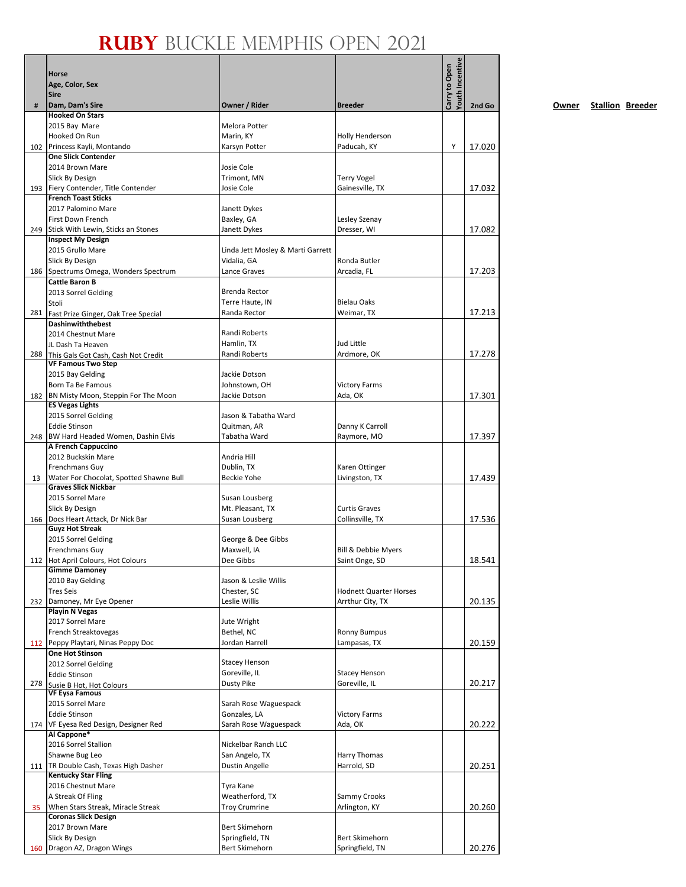|     | Horse<br>Age, Color, Sex<br>Sire                                   |                                       |                                       | Youth Incentive<br>Carry to Open |        |
|-----|--------------------------------------------------------------------|---------------------------------------|---------------------------------------|----------------------------------|--------|
| #   | Dam, Dam's Sire                                                    | Owner / Rider                         | <b>Breeder</b>                        |                                  | 2nd Go |
|     | <b>Hooked On Stars</b>                                             |                                       |                                       |                                  |        |
|     | 2015 Bay Mare<br>Hooked On Run                                     | Melora Potter<br>Marin, KY            | <b>Holly Henderson</b>                |                                  |        |
|     | 102 Princess Kayli, Montando                                       | Karsyn Potter                         | Paducah, KY                           | Υ                                | 17.020 |
|     | <b>One Slick Contender</b>                                         |                                       |                                       |                                  |        |
|     | 2014 Brown Mare                                                    | Josie Cole                            |                                       |                                  |        |
|     | Slick By Design                                                    | Trimont, MN                           | <b>Terry Vogel</b>                    |                                  |        |
|     | 193 Fiery Contender, Title Contender<br><b>French Toast Sticks</b> | Josie Cole                            | Gainesville, TX                       |                                  | 17.032 |
|     | 2017 Palomino Mare                                                 | Janett Dykes                          |                                       |                                  |        |
|     | First Down French                                                  | Baxley, GA                            | Lesley Szenay                         |                                  |        |
|     | 249 Stick With Lewin, Sticks an Stones                             | Janett Dykes                          | Dresser, WI                           |                                  | 17.082 |
|     | <b>Inspect My Design</b><br>2015 Grullo Mare                       | Linda Jett Mosley & Marti Garrett     |                                       |                                  |        |
|     | Slick By Design                                                    | Vidalia, GA                           | Ronda Butler                          |                                  |        |
|     | 186 Spectrums Omega, Wonders Spectrum                              | Lance Graves                          | Arcadia, FL                           |                                  | 17.203 |
|     | <b>Cattle Baron B</b>                                              |                                       |                                       |                                  |        |
|     | 2013 Sorrel Gelding                                                | Brenda Rector                         |                                       |                                  |        |
|     | Stoli                                                              | Terre Haute, IN                       | <b>Bielau Oaks</b>                    |                                  |        |
|     | 281 Fast Prize Ginger, Oak Tree Special<br>Dashinwiththebest       | Randa Rector                          | Weimar, TX                            |                                  | 17.213 |
|     | 2014 Chestnut Mare                                                 | Randi Roberts                         |                                       |                                  |        |
|     | JL Dash Ta Heaven                                                  | Hamlin, TX                            | Jud Little                            |                                  |        |
|     | 288 This Gals Got Cash, Cash Not Credit                            | Randi Roberts                         | Ardmore, OK                           |                                  | 17.278 |
|     | <b>VF Famous Two Step</b><br>2015 Bay Gelding                      | Jackie Dotson                         |                                       |                                  |        |
|     | Born Ta Be Famous                                                  | Johnstown, OH                         | <b>Victory Farms</b>                  |                                  |        |
|     | 182 BN Misty Moon, Steppin For The Moon                            | Jackie Dotson                         | Ada, OK                               |                                  | 17.301 |
|     | <b>ES Vegas Lights</b>                                             |                                       |                                       |                                  |        |
|     | 2015 Sorrel Gelding                                                | Jason & Tabatha Ward                  |                                       |                                  |        |
|     | <b>Eddie Stinson</b><br>248 BW Hard Headed Women, Dashin Elvis     | Quitman, AR<br>Tabatha Ward           | Danny K Carroll<br>Raymore, MO        |                                  | 17.397 |
|     | A French Cappuccino                                                |                                       |                                       |                                  |        |
|     | 2012 Buckskin Mare                                                 | Andria Hill                           |                                       |                                  |        |
|     | <b>Frenchmans Guy</b>                                              | Dublin, TX                            | Karen Ottinger                        |                                  |        |
| 13  | Water For Chocolat, Spotted Shawne Bull                            | <b>Beckie Yohe</b>                    | Livingston, TX                        |                                  | 17.439 |
|     | <b>Graves Slick Nickbar</b><br>2015 Sorrel Mare                    | Susan Lousberg                        |                                       |                                  |        |
|     | Slick By Design                                                    | Mt. Pleasant, TX                      | <b>Curtis Graves</b>                  |                                  |        |
|     | 166 Docs Heart Attack, Dr Nick Bar                                 | Susan Lousberg                        | Collinsville, TX                      |                                  | 17.536 |
|     | <b>Guyz Hot Streak</b>                                             |                                       |                                       |                                  |        |
|     | 2015 Sorrel Gelding                                                | George & Dee Gibbs<br>Maxwell, IA     |                                       |                                  |        |
|     | <b>Frenchmans Guy</b><br>112 Hot April Colours, Hot Colours        | Dee Gibbs                             | Bill & Debbie Myers<br>Saint Onge, SD |                                  | 18.541 |
|     | <b>Gimme Damoney</b>                                               |                                       |                                       |                                  |        |
|     | 2010 Bay Gelding                                                   | Jason & Leslie Willis                 |                                       |                                  |        |
|     | <b>Tres Seis</b>                                                   | Chester, SC                           | <b>Hodnett Quarter Horses</b>         |                                  |        |
|     | 232 Damoney, Mr Eye Opener<br><b>Playin N Vegas</b>                | Leslie Willis                         | Arrthur City, TX                      |                                  | 20.135 |
|     | 2017 Sorrel Mare                                                   | Jute Wright                           |                                       |                                  |        |
|     | French Streaktovegas                                               | Bethel, NC                            | <b>Ronny Bumpus</b>                   |                                  |        |
|     | 112 Peppy Playtari, Ninas Peppy Doc                                | Jordan Harrell                        | Lampasas, TX                          |                                  | 20.159 |
|     | One Hot Stinson                                                    | <b>Stacey Henson</b>                  |                                       |                                  |        |
|     | 2012 Sorrel Gelding<br><b>Eddie Stinson</b>                        | Goreville, IL                         | <b>Stacey Henson</b>                  |                                  |        |
|     |                                                                    | Dusty Pike                            | Goreville, IL                         |                                  | 20.217 |
|     | 278 Susie B Hot, Hot Colours                                       |                                       |                                       |                                  |        |
|     | 2015 Sorrel Mare                                                   | Sarah Rose Waguespack                 |                                       |                                  |        |
|     | <b>Eddie Stinson</b><br>174   VF Eyesa Red Design, Designer Red    | Gonzales, LA<br>Sarah Rose Waguespack | <b>Victory Farms</b><br>Ada, OK       |                                  | 20.222 |
|     | Al Cappone*                                                        |                                       |                                       |                                  |        |
|     | 2016 Sorrel Stallion                                               | Nickelbar Ranch LLC                   |                                       |                                  |        |
|     | Shawne Bug Leo                                                     | San Angelo, TX                        | Harry Thomas                          |                                  |        |
|     | 111   TR Double Cash, Texas High Dasher                            | Dustin Angelle                        | Harrold, SD                           |                                  | 20.251 |
|     | <b>Kentucky Star Fling</b><br>2016 Chestnut Mare                   | Tyra Kane                             |                                       |                                  |        |
|     | A Streak Of Fling                                                  | Weatherford, TX                       | Sammy Crooks                          |                                  |        |
| 35  | When Stars Streak, Miracle Streak                                  | <b>Troy Crumrine</b>                  | Arlington, KY                         |                                  | 20.260 |
|     | <b>Coronas Slick Design</b>                                        |                                       |                                       |                                  |        |
|     | 2017 Brown Mare                                                    | Bert Skimehorn                        |                                       |                                  |        |
| 160 | Slick By Design<br>Dragon AZ, Dragon Wings                         | Springfield, TN<br>Bert Skimehorn     | Bert Skimehorn<br>Springfield, TN     |                                  | 20.276 |
|     |                                                                    |                                       |                                       |                                  |        |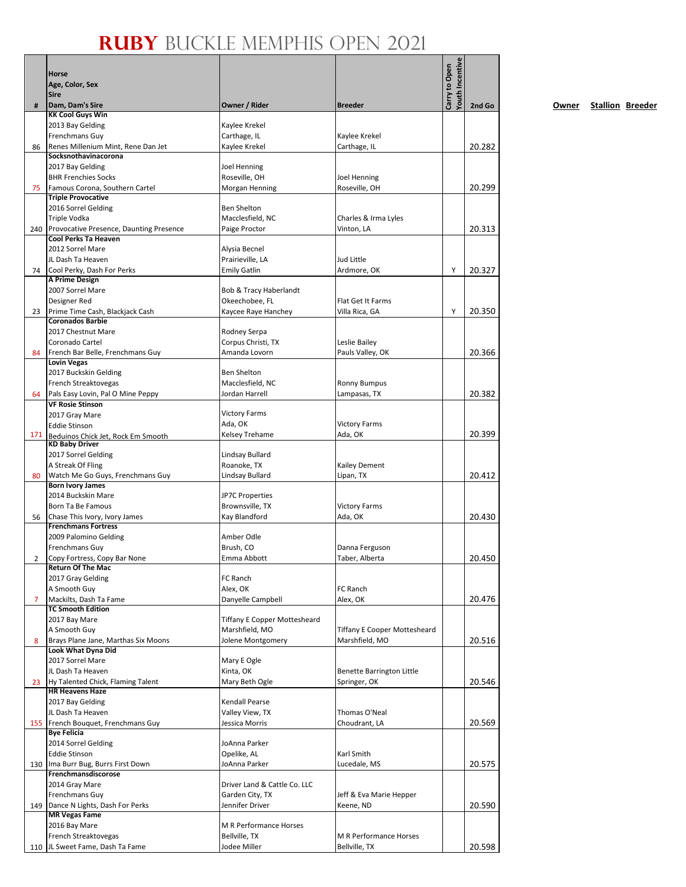|     |                                                                 |                                     |                                                       | Youth Incentive |        |
|-----|-----------------------------------------------------------------|-------------------------------------|-------------------------------------------------------|-----------------|--------|
|     | Horse                                                           |                                     |                                                       | Carry to Open   |        |
|     | Age, Color, Sex                                                 |                                     |                                                       |                 |        |
|     | <b>Sire</b>                                                     |                                     | <b>Breeder</b>                                        |                 |        |
| #   | Dam, Dam's Sire<br><b>KK Cool Guys Win</b>                      | Owner / Rider                       |                                                       |                 | 2nd Go |
|     | 2013 Bay Gelding                                                | Kaylee Krekel                       |                                                       |                 |        |
|     | Frenchmans Guy                                                  | Carthage, IL                        | Kaylee Krekel                                         |                 |        |
| 86  | Renes Millenium Mint, Rene Dan Jet                              | Kaylee Krekel                       | Carthage, IL                                          |                 | 20.282 |
|     | Socksnothavinacorona                                            |                                     |                                                       |                 |        |
|     | 2017 Bay Gelding                                                | <b>Joel Henning</b>                 |                                                       |                 |        |
|     | <b>BHR Frenchies Socks</b>                                      | Roseville, OH                       | Joel Henning                                          |                 |        |
| 75  | Famous Corona, Southern Cartel                                  | Morgan Henning                      | Roseville, OH                                         |                 | 20.299 |
|     | <b>Triple Provocative</b><br>2016 Sorrel Gelding                | Ben Shelton                         |                                                       |                 |        |
|     | Triple Vodka                                                    | Macclesfield, NC                    | Charles & Irma Lyles                                  |                 |        |
|     | 240 Provocative Presence, Daunting Presence                     | Paige Proctor                       | Vinton, LA                                            |                 | 20.313 |
|     | Cool Perks Ta Heaven                                            |                                     |                                                       |                 |        |
|     | 2012 Sorrel Mare                                                | Alysia Becnel                       |                                                       |                 |        |
|     | JL Dash Ta Heaven                                               | Prairieville, LA                    | Jud Little                                            |                 |        |
| 74  | Cool Perky, Dash For Perks                                      | <b>Emily Gatlin</b>                 | Ardmore, OK                                           | Y               | 20.327 |
|     | A Prime Design                                                  |                                     |                                                       |                 |        |
|     | 2007 Sorrel Mare                                                | Bob & Tracy Haberlandt              |                                                       |                 |        |
|     | Designer Red                                                    | Okeechobee, FL                      | Flat Get It Farms                                     |                 |        |
| 23  | Prime Time Cash, Blackjack Cash<br><b>Coronados Barbie</b>      | Kaycee Raye Hanchey                 | Villa Rica, GA                                        | Υ               | 20.350 |
|     | 2017 Chestnut Mare                                              | Rodney Serpa                        |                                                       |                 |        |
|     | Coronado Cartel                                                 | Corpus Christi, TX                  | Leslie Bailey                                         |                 |        |
| 84  | French Bar Belle, Frenchmans Guy                                | Amanda Lovorn                       | Pauls Valley, OK                                      |                 | 20.366 |
|     | <b>Lovin Vegas</b>                                              |                                     |                                                       |                 |        |
|     | 2017 Buckskin Gelding                                           | <b>Ben Shelton</b>                  |                                                       |                 |        |
|     | French Streaktovegas                                            | Macclesfield, NC                    | <b>Ronny Bumpus</b>                                   |                 |        |
| 64  | Pals Easy Lovin, Pal O Mine Peppy                               | Jordan Harrell                      | Lampasas, TX                                          |                 | 20.382 |
|     | <b>VF Rosie Stinson</b>                                         |                                     |                                                       |                 |        |
|     | 2017 Gray Mare                                                  | <b>Victory Farms</b>                |                                                       |                 |        |
|     | <b>Eddie Stinson</b>                                            | Ada, OK                             | <b>Victory Farms</b>                                  |                 |        |
|     | 171 Beduinos Chick Jet, Rock Em Smooth<br><b>KD Baby Driver</b> | Kelsey Trehame                      | Ada, OK                                               |                 | 20.399 |
|     | 2017 Sorrel Gelding                                             | Lindsay Bullard                     |                                                       |                 |        |
|     | A Streak Of Fling                                               | Roanoke, TX                         | <b>Kailey Dement</b>                                  |                 |        |
| 80  | Watch Me Go Guys, Frenchmans Guy                                | Lindsay Bullard                     | Lipan, TX                                             |                 | 20.412 |
|     | <b>Born Ivory James</b>                                         |                                     |                                                       |                 |        |
|     | 2014 Buckskin Mare                                              | <b>JP7C Properties</b>              |                                                       |                 |        |
|     | Born Ta Be Famous                                               | Brownsville, TX                     | <b>Victory Farms</b>                                  |                 |        |
| 56  | Chase This Ivory, Ivory James                                   | Kay Blandford                       | Ada, OK                                               |                 | 20.430 |
|     | <b>Frenchmans Fortress</b>                                      | Amber Odle                          |                                                       |                 |        |
|     | 2009 Palomino Gelding<br><b>Frenchmans Guy</b>                  | Brush. CO                           | Danna Ferguson                                        |                 |        |
| 2   | Copy Fortress, Copy Bar None                                    | Emma Abbott                         | Taber, Alberta                                        |                 | 20.450 |
|     | <b>Return Of The Mac</b>                                        |                                     |                                                       |                 |        |
|     | 2017 Gray Gelding                                               | FC Ranch                            |                                                       |                 |        |
|     | A Smooth Guy                                                    | Alex, OK                            | FC Ranch                                              |                 |        |
| 7   | Mackilts, Dash Ta Fame                                          | Danyelle Campbell                   | Alex, OK                                              |                 | 20.476 |
|     | <b>TC Smooth Edition</b>                                        |                                     |                                                       |                 |        |
|     | 2017 Bay Mare                                                   | <b>Tiffany E Copper Mottesheard</b> |                                                       |                 |        |
|     | A Smooth Guy                                                    | Marshfield, MO<br>Jolene Montgomery | <b>Tiffany E Cooper Mottesheard</b><br>Marshfield, MO |                 |        |
| 8   | Brays Plane Jane, Marthas Six Moons<br>Look What Dyna Did       |                                     |                                                       |                 | 20.516 |
|     | 2017 Sorrel Mare                                                | Mary E Ogle                         |                                                       |                 |        |
|     | JL Dash Ta Heaven                                               | Kinta, OK                           | Benette Barrington Little                             |                 |        |
| 23  | Hy Talented Chick, Flaming Talent                               | Mary Beth Ogle                      | Springer, OK                                          |                 | 20.546 |
|     | <b>HR Heavens Haze</b>                                          |                                     |                                                       |                 |        |
|     | 2017 Bay Gelding                                                | Kendall Pearse                      |                                                       |                 |        |
|     | JL Dash Ta Heaven                                               | Valley View, TX                     | Thomas O'Neal                                         |                 |        |
|     | 155 French Bouquet, Frenchmans Guy                              | Jessica Morris                      | Choudrant, LA                                         |                 | 20.569 |
|     | <b>Bye Felicia</b><br>2014 Sorrel Gelding                       | JoAnna Parker                       |                                                       |                 |        |
|     | <b>Eddie Stinson</b>                                            | Opelike, AL                         | Karl Smith                                            |                 |        |
|     | 130 Ima Burr Bug, Burrs First Down                              | JoAnna Parker                       | Lucedale, MS                                          |                 | 20.575 |
|     | Frenchmansdiscorose                                             |                                     |                                                       |                 |        |
|     | 2014 Gray Mare                                                  | Driver Land & Cattle Co. LLC        |                                                       |                 |        |
|     | Frenchmans Guy                                                  | Garden City, TX                     | Jeff & Eva Marie Hepper                               |                 |        |
|     | 149 Dance N Lights, Dash For Perks                              | Jennifer Driver                     | Keene, ND                                             |                 | 20.590 |
|     | <b>MR Vegas Fame</b>                                            |                                     |                                                       |                 |        |
|     | 2016 Bay Mare                                                   | M R Performance Horses              |                                                       |                 |        |
| 110 | French Streaktovegas<br>JL Sweet Fame, Dash Ta Fame             | Bellville, TX<br>Jodee Miller       | M R Performance Horses<br>Bellville, TX               |                 | 20.598 |
|     |                                                                 |                                     |                                                       |                 |        |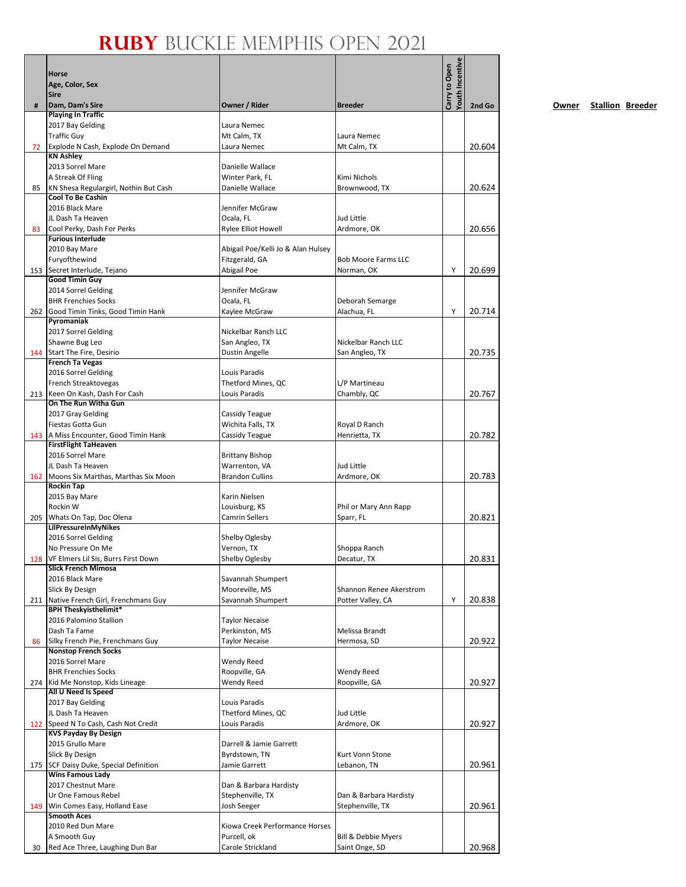|    |                                                                     |                                               |                                              | Youth Incentive |        |
|----|---------------------------------------------------------------------|-----------------------------------------------|----------------------------------------------|-----------------|--------|
|    | Horse                                                               |                                               |                                              | Carry to Open   |        |
|    | Age, Color, Sex<br>Sire                                             |                                               |                                              |                 |        |
| #  | Dam, Dam's Sire                                                     | Owner / Rider                                 | <b>Breeder</b>                               |                 | 2nd Go |
|    | <b>Playing In Traffic</b>                                           |                                               |                                              |                 |        |
|    | 2017 Bay Gelding<br><b>Traffic Guy</b>                              | Laura Nemec                                   | Laura Nemec                                  |                 |        |
| 72 | Explode N Cash, Explode On Demand                                   | Mt Calm, TX<br>Laura Nemec                    | Mt Calm, TX                                  |                 | 20.604 |
|    | <b>KN Ashley</b>                                                    |                                               |                                              |                 |        |
|    | 2013 Sorrel Mare                                                    | Danielle Wallace                              |                                              |                 |        |
|    | A Streak Of Fling                                                   | Winter Park. FL                               | Kimi Nichols                                 |                 |        |
| 85 | KN Shesa Regulargirl, Nothin But Cash<br><b>Cool To Be Cashin</b>   | Danielle Wallace                              | Brownwood, TX                                |                 | 20.624 |
|    | 2016 Black Mare                                                     | Jennifer McGraw                               |                                              |                 |        |
|    | JL Dash Ta Heaven                                                   | Ocala, FL                                     | Jud Little                                   |                 |        |
| 83 | Cool Perky, Dash For Perks                                          | <b>Rylee Elliot Howell</b>                    | Ardmore, OK                                  |                 | 20.656 |
|    | <b>Furious Interlude</b><br>2010 Bay Mare                           | Abigail Poe/Kelli Jo & Alan Hulsey            |                                              |                 |        |
|    | Furyofthewind                                                       | Fitzgerald, GA                                | <b>Bob Moore Farms LLC</b>                   |                 |        |
|    | 153 Secret Interlude, Tejano                                        | Abigail Poe                                   | Norman, OK                                   | Y               | 20.699 |
|    | <b>Good Timin Guy</b>                                               |                                               |                                              |                 |        |
|    | 2014 Sorrel Gelding                                                 | Jennifer McGraw                               |                                              |                 |        |
|    | <b>BHR Frenchies Socks</b><br>262 Good Timin Tinks, Good Timin Hank | Ocala, FL<br>Kaylee McGraw                    | Deborah Semarge<br>Alachua, FL               | Υ               | 20.714 |
|    | Pyromaniak                                                          |                                               |                                              |                 |        |
|    | 2017 Sorrel Gelding                                                 | Nickelbar Ranch LLC                           |                                              |                 |        |
|    | Shawne Bug Leo                                                      | San Angleo, TX                                | Nickelbar Ranch LLC                          |                 |        |
|    | 144 Start The Fire, Desirio                                         | Dustin Angelle                                | San Angleo, TX                               |                 | 20.735 |
|    | <b>French Ta Vegas</b><br>2016 Sorrel Gelding                       | Louis Paradis                                 |                                              |                 |        |
|    | French Streaktovegas                                                | Thetford Mines, QC                            | L/P Martineau                                |                 |        |
|    | 213 Keen On Kash, Dash For Cash                                     | Louis Paradis                                 | Chambly, QC                                  |                 | 20.767 |
|    | On The Run Witha Gun                                                |                                               |                                              |                 |        |
|    | 2017 Gray Gelding<br>Fiestas Gotta Gun                              | Cassidy Teague<br>Wichita Falls, TX           | Royal D Ranch                                |                 |        |
|    | 143 A Miss Encounter, Good Timin Hank                               | Cassidy Teague                                | Henrietta, TX                                |                 | 20.782 |
|    | <b>FirstFlight TaHeaven</b>                                         |                                               |                                              |                 |        |
|    | 2016 Sorrel Mare                                                    | <b>Brittany Bishop</b>                        |                                              |                 |        |
|    | JL Dash Ta Heaven                                                   | Warrenton, VA                                 | Jud Little                                   |                 |        |
|    | 162 Moons Six Marthas, Marthas Six Moon<br><b>Rockin Tap</b>        | <b>Brandon Cullins</b>                        | Ardmore, OK                                  |                 | 20.783 |
|    | 2015 Bay Mare                                                       | Karin Nielsen                                 |                                              |                 |        |
|    | Rockin W                                                            | Louisburg, KS                                 | Phil or Mary Ann Rapp                        |                 |        |
|    | 205 Whats On Tap, Doc Olena                                         | <b>Camrin Sellers</b>                         | Sparr, FL                                    |                 | 20.821 |
|    | LilPressureInMyNikes<br>2016 Sorrel Gelding                         | Shelby Oglesby                                |                                              |                 |        |
|    | No Pressure On Me                                                   | Vernon, TX                                    | Shoppa Ranch                                 |                 |        |
|    | 128 VF Elmers Lil Sis, Burrs First Down                             | Shelby Oglesby                                | Decatur, TX                                  |                 | 20.831 |
|    | <b>Slick French Mimosa</b>                                          |                                               |                                              |                 |        |
|    | 2016 Black Mare                                                     | Savannah Shumpert                             |                                              |                 |        |
|    | Slick By Design<br>211 Native French Girl, Frenchmans Guy           | Mooreville, MS<br>Savannah Shumpert           | Shannon Renee Akerstrom<br>Potter Valley, CA | Y               | 20.838 |
|    | <b>BPH Theskyisthelimit*</b>                                        |                                               |                                              |                 |        |
|    | 2016 Palomino Stallion                                              | <b>Taylor Necaise</b>                         |                                              |                 |        |
|    | Dash Ta Fame                                                        | Perkinston, MS                                | Melissa Brandt                               |                 |        |
| 86 | Silky French Pie, Frenchmans Guy<br><b>Nonstop French Socks</b>     | <b>Taylor Necaise</b>                         | Hermosa, SD                                  |                 | 20.922 |
|    | 2016 Sorrel Mare                                                    | <b>Wendy Reed</b>                             |                                              |                 |        |
|    | <b>BHR Frenchies Socks</b>                                          | Roopville, GA                                 | Wendy Reed                                   |                 |        |
|    | 274 Kid Me Nonstop, Kids Lineage                                    | <b>Wendy Reed</b>                             | Roopville, GA                                |                 | 20.927 |
|    | All U Need Is Speed                                                 |                                               |                                              |                 |        |
|    | 2017 Bay Gelding<br>JL Dash Ta Heaven                               | Louis Paradis<br>Thetford Mines, QC           | Jud Little                                   |                 |        |
|    | 122 Speed N To Cash, Cash Not Credit                                | Louis Paradis                                 | Ardmore, OK                                  |                 | 20.927 |
|    | <b>KVS Payday By Design</b>                                         |                                               |                                              |                 |        |
|    | 2015 Grullo Mare                                                    | Darrell & Jamie Garrett                       |                                              |                 |        |
|    | Slick By Design                                                     | Byrdstown, TN                                 | Kurt Vonn Stone                              |                 |        |
|    | 175 SCF Daisy Duke, Special Definition<br><b>Wins Famous Lady</b>   | Jamie Garrett                                 | Lebanon, TN                                  |                 | 20.961 |
|    | 2017 Chestnut Mare                                                  | Dan & Barbara Hardisty                        |                                              |                 |        |
|    | Ur One Famous Rebel                                                 | Stephenville, TX                              | Dan & Barbara Hardisty                       |                 |        |
|    | 149 Win Comes Easy, Holland Ease                                    | Josh Seeger                                   | Stephenville, TX                             |                 | 20.961 |
|    | <b>Smooth Aces</b>                                                  |                                               |                                              |                 |        |
|    | 2010 Red Dun Mare<br>A Smooth Guy                                   | Kiowa Creek Performance Horses<br>Purcell, ok | Bill & Debbie Myers                          |                 |        |
| 30 | Red Ace Three, Laughing Dun Bar                                     | Carole Strickland                             | Saint Onge, SD                               |                 | 20.968 |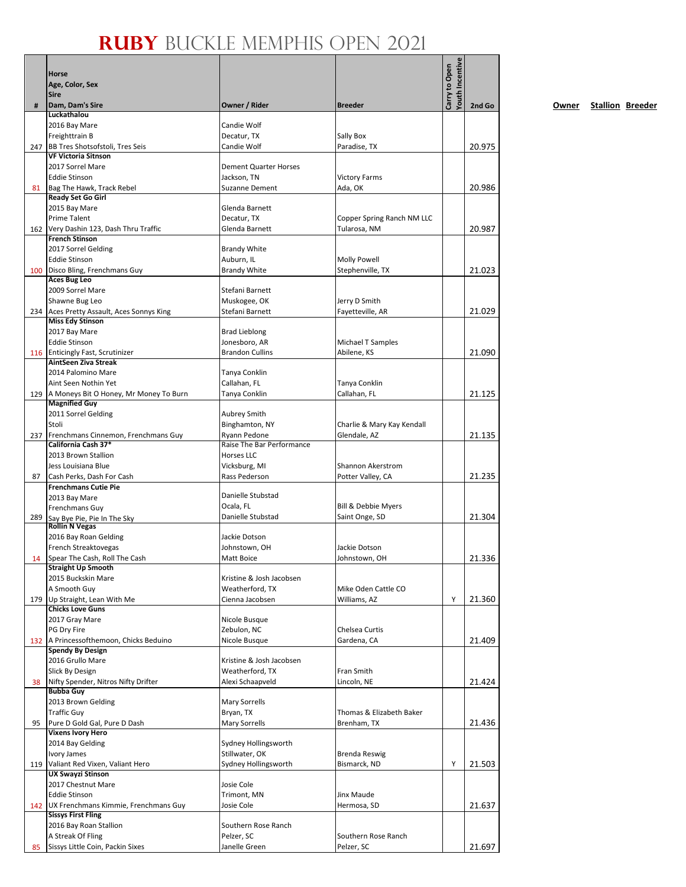|    | Horse<br>Age, Color, Sex<br><b>Sire</b>                               |                                           |                                     | Youth Incentive<br>Carry to Open |        |
|----|-----------------------------------------------------------------------|-------------------------------------------|-------------------------------------|----------------------------------|--------|
| #  | Dam, Dam's Sire                                                       | Owner / Rider                             | <b>Breeder</b>                      |                                  | 2nd Go |
|    | Luckathalou<br>2016 Bay Mare                                          | Candie Wolf                               |                                     |                                  |        |
|    | Freighttrain B                                                        | Decatur, TX                               | Sally Box                           |                                  |        |
|    | 247 BB Tres Shotsofstoli, Tres Seis<br><b>VF Victoria Sitnson</b>     | Candie Wolf                               | Paradise, TX                        |                                  | 20.975 |
|    | 2017 Sorrel Mare                                                      | <b>Dement Quarter Horses</b>              |                                     |                                  |        |
|    | <b>Eddie Stinson</b>                                                  | Jackson, TN                               | <b>Victory Farms</b>                |                                  |        |
| 81 | Bag The Hawk, Track Rebel                                             | <b>Suzanne Dement</b>                     | Ada, OK                             |                                  | 20.986 |
|    | <b>Ready Set Go Girl</b>                                              |                                           |                                     |                                  |        |
|    | 2015 Bay Mare<br><b>Prime Talent</b>                                  | Glenda Barnett<br>Decatur, TX             | Copper Spring Ranch NM LLC          |                                  |        |
|    | 162 Very Dashin 123, Dash Thru Traffic                                | Glenda Barnett                            | Tularosa, NM                        |                                  | 20.987 |
|    | <b>French Stinson</b>                                                 |                                           |                                     |                                  |        |
|    | 2017 Sorrel Gelding                                                   | <b>Brandy White</b>                       |                                     |                                  |        |
|    | <b>Eddie Stinson</b>                                                  | Auburn, IL                                | <b>Molly Powell</b>                 |                                  |        |
|    | 100 Disco Bling, Frenchmans Guy<br><b>Aces Bug Leo</b>                | <b>Brandy White</b>                       | Stephenville, TX                    |                                  | 21.023 |
|    | 2009 Sorrel Mare                                                      | Stefani Barnett                           |                                     |                                  |        |
|    | Shawne Bug Leo                                                        | Muskogee, OK                              | Jerry D Smith                       |                                  |        |
|    | 234 Aces Pretty Assault, Aces Sonnys King                             | Stefani Barnett                           | Fayetteville, AR                    |                                  | 21.029 |
|    | <b>Miss Edy Stinson</b><br>2017 Bay Mare                              | <b>Brad Lieblong</b>                      |                                     |                                  |        |
|    | <b>Eddie Stinson</b>                                                  | Jonesboro, AR                             | Michael T Samples                   |                                  |        |
|    | 116 Enticingly Fast, Scrutinizer                                      | <b>Brandon Cullins</b>                    | Abilene, KS                         |                                  | 21.090 |
|    | AintSeen Ziva Streak                                                  |                                           |                                     |                                  |        |
|    | 2014 Palomino Mare<br>Aint Seen Nothin Yet                            | Tanya Conklin<br>Callahan, FL             |                                     |                                  |        |
|    | 129 A Moneys Bit O Honey, Mr Money To Burn                            | Tanya Conklin                             | Tanya Conklin<br>Callahan, FL       |                                  | 21.125 |
|    | <b>Magnified Guy</b>                                                  |                                           |                                     |                                  |        |
|    | 2011 Sorrel Gelding                                                   | Aubrey Smith                              |                                     |                                  |        |
|    | Stoli                                                                 | Binghamton, NY                            | Charlie & Mary Kay Kendall          |                                  |        |
|    | 237 Frenchmans Cinnemon, Frenchmans Guy<br>California Cash 37*        | Ryann Pedone<br>Raise The Bar Performance | Glendale, AZ                        |                                  | 21.135 |
|    | 2013 Brown Stallion                                                   | Horses LLC                                |                                     |                                  |        |
|    | Jess Louisiana Blue                                                   | Vicksburg, MI                             | Shannon Akerstrom                   |                                  |        |
| 87 | Cash Perks, Dash For Cash                                             | Rass Pederson                             | Potter Valley, CA                   |                                  | 21.235 |
|    | <b>Frenchmans Cutie Pie</b>                                           | Danielle Stubstad                         |                                     |                                  |        |
|    | 2013 Bay Mare<br>Frenchmans Guy                                       | Ocala, FL                                 | Bill & Debbie Myers                 |                                  |        |
|    | 289 Say Bye Pie, Pie In The Sky                                       | Danielle Stubstad                         | Saint Onge, SD                      |                                  | 21.304 |
|    | <b>Rollin N Vegas</b>                                                 |                                           |                                     |                                  |        |
|    | 2016 Bay Roan Gelding<br>French Streaktovegas                         | Jackie Dotson<br>Johnstown, OH            | Jackie Dotson                       |                                  |        |
| 14 | Spear The Cash, Roll The Cash                                         | Matt Boice                                | Johnstown, OH                       |                                  | 21.336 |
|    | <b>Straight Up Smooth</b>                                             |                                           |                                     |                                  |        |
|    | 2015 Buckskin Mare                                                    | Kristine & Josh Jacobsen                  |                                     |                                  |        |
|    | A Smooth Guy<br>179 Up Straight, Lean With Me                         | Weatherford, TX<br>Cienna Jacobsen        | Mike Oden Cattle CO<br>Williams, AZ | Y                                | 21.360 |
|    | <b>Chicks Love Guns</b>                                               |                                           |                                     |                                  |        |
|    | 2017 Gray Mare                                                        | Nicole Busque                             |                                     |                                  |        |
|    | PG Dry Fire                                                           | Zebulon, NC                               | Chelsea Curtis                      |                                  |        |
|    | 132 A Princessofthemoon, Chicks Beduino<br><b>Spendy By Design</b>    | Nicole Busque                             | Gardena, CA                         |                                  | 21.409 |
|    | 2016 Grullo Mare                                                      | Kristine & Josh Jacobsen                  |                                     |                                  |        |
|    | Slick By Design                                                       | Weatherford, TX                           | Fran Smith                          |                                  |        |
| 38 | Nifty Spender, Nitros Nifty Drifter                                   | Alexi Schaapveld                          | Lincoln, NE                         |                                  | 21.424 |
|    | <b>Bubba Guy</b><br>2013 Brown Gelding                                | <b>Mary Sorrells</b>                      |                                     |                                  |        |
|    | <b>Traffic Guy</b>                                                    | Bryan, TX                                 | Thomas & Elizabeth Baker            |                                  |        |
| 95 | Pure D Gold Gal, Pure D Dash                                          | <b>Mary Sorrells</b>                      | Brenham, TX                         |                                  | 21.436 |
|    | <b>Vixens Ivory Hero</b>                                              |                                           |                                     |                                  |        |
|    | 2014 Bay Gelding<br>Ivory James                                       | Sydney Hollingsworth<br>Stillwater, OK    | <b>Brenda Reswig</b>                |                                  |        |
|    | 119 Valiant Red Vixen, Valiant Hero                                   | Sydney Hollingsworth                      | Bismarck, ND                        | Y                                | 21.503 |
|    | <b>UX Swayzi Stinson</b>                                              |                                           |                                     |                                  |        |
|    | 2017 Chestnut Mare                                                    | Josie Cole                                |                                     |                                  |        |
|    | <b>Eddie Stinson</b>                                                  | Trimont, MN                               | Jinx Maude                          |                                  |        |
|    | 142 UX Frenchmans Kimmie, Frenchmans Guy<br><b>Sissys First Fling</b> | Josie Cole                                | Hermosa, SD                         |                                  | 21.637 |
|    | 2016 Bay Roan Stallion                                                | Southern Rose Ranch                       |                                     |                                  |        |
|    | A Streak Of Fling                                                     | Pelzer, SC                                | Southern Rose Ranch                 |                                  |        |
| 85 | Sissys Little Coin, Packin Sixes                                      | Janelle Green                             | Pelzer, SC                          |                                  | 21.697 |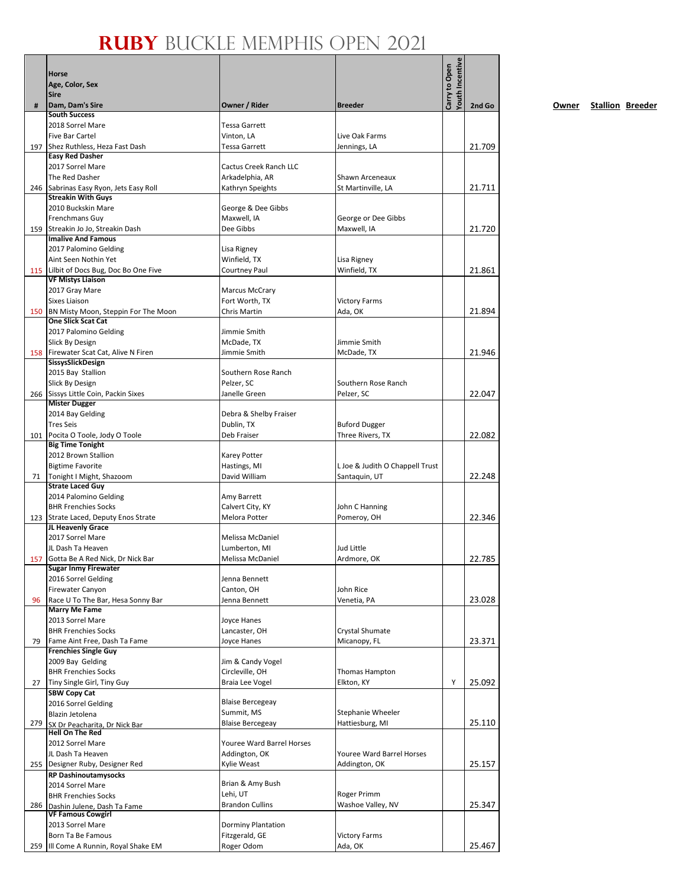|     |                                                                     |                                            |                                   | Youth Incentive |        |
|-----|---------------------------------------------------------------------|--------------------------------------------|-----------------------------------|-----------------|--------|
|     | Horse                                                               |                                            |                                   | Carry to Open   |        |
|     | Age, Color, Sex<br><b>Sire</b>                                      |                                            |                                   |                 |        |
| #   | Dam, Dam's Sire                                                     | Owner / Rider                              | <b>Breeder</b>                    |                 | 2nd Go |
|     | <b>South Success</b>                                                |                                            |                                   |                 |        |
|     | 2018 Sorrel Mare                                                    | <b>Tessa Garrett</b>                       |                                   |                 |        |
|     | <b>Five Bar Cartel</b><br>197 Shez Ruthless, Heza Fast Dash         | Vinton, LA<br><b>Tessa Garrett</b>         | Live Oak Farms<br>Jennings, LA    |                 | 21.709 |
|     | <b>Easy Red Dasher</b>                                              |                                            |                                   |                 |        |
|     | 2017 Sorrel Mare                                                    | <b>Cactus Creek Ranch LLC</b>              |                                   |                 |        |
|     | The Red Dasher                                                      | Arkadelphia, AR                            | Shawn Arceneaux                   |                 |        |
|     | 246 Sabrinas Easy Ryon, Jets Easy Roll<br><b>Streakin With Guys</b> | Kathryn Speights                           | St Martinville, LA                |                 | 21.711 |
|     | 2010 Buckskin Mare                                                  | George & Dee Gibbs                         |                                   |                 |        |
|     | Frenchmans Guy                                                      | Maxwell. IA                                | George or Dee Gibbs               |                 |        |
|     | 159 Streakin Jo Jo, Streakin Dash                                   | Dee Gibbs                                  | Maxwell, IA                       |                 | 21.720 |
|     | <b>Imalive And Famous</b>                                           |                                            |                                   |                 |        |
|     | 2017 Palomino Gelding                                               | Lisa Rigney                                |                                   |                 |        |
|     | Aint Seen Nothin Yet<br>115 Lilbit of Docs Bug, Doc Bo One Five     | Winfield, TX<br>Courtney Paul              | Lisa Rigney<br>Winfield, TX       |                 | 21.861 |
|     | <b>VF Mistys Liaison</b>                                            |                                            |                                   |                 |        |
|     | 2017 Gray Mare                                                      | <b>Marcus McCrary</b>                      |                                   |                 |        |
|     | Sixes Liaison                                                       | Fort Worth, TX                             | <b>Victory Farms</b>              |                 |        |
|     | 150 BN Misty Moon, Steppin For The Moon                             | Chris Martin                               | Ada, OK                           |                 | 21.894 |
|     | <b>One Slick Scat Cat</b><br>2017 Palomino Gelding                  | Jimmie Smith                               |                                   |                 |        |
|     | Slick By Design                                                     | McDade, TX                                 | Jimmie Smith                      |                 |        |
|     | 158 Firewater Scat Cat, Alive N Firen                               | Jimmie Smith                               | McDade, TX                        |                 | 21.946 |
|     | SissysSlickDesign                                                   |                                            |                                   |                 |        |
|     | 2015 Bay Stallion                                                   | Southern Rose Ranch                        |                                   |                 |        |
|     | Slick By Design<br>266 Sissys Little Coin, Packin Sixes             | Pelzer, SC<br>Janelle Green                | Southern Rose Ranch<br>Pelzer, SC |                 | 22.047 |
|     | <b>Mister Dugger</b>                                                |                                            |                                   |                 |        |
|     | 2014 Bay Gelding                                                    | Debra & Shelby Fraiser                     |                                   |                 |        |
|     | <b>Tres Seis</b>                                                    | Dublin, TX                                 | <b>Buford Dugger</b>              |                 |        |
|     | 101 Pocita O Toole, Jody O Toole<br><b>Big Time Tonight</b>         | Deb Fraiser                                | Three Rivers, TX                  |                 | 22.082 |
|     | 2012 Brown Stallion                                                 | <b>Karey Potter</b>                        |                                   |                 |        |
|     | <b>Bigtime Favorite</b>                                             | Hastings, MI                               | L Joe & Judith O Chappell Trust   |                 |        |
|     | 71   Tonight I Might, Shazoom                                       | David William                              | Santaquin, UT                     |                 | 22.248 |
|     | <b>Strate Laced Guy</b>                                             |                                            |                                   |                 |        |
|     | 2014 Palomino Gelding<br><b>BHR Frenchies Socks</b>                 | Amy Barrett                                |                                   |                 |        |
|     | 123 Strate Laced, Deputy Enos Strate                                | Calvert City, KY<br>Melora Potter          | John C Hanning<br>Pomeroy, OH     |                 | 22.346 |
|     | JL Heavenly Grace                                                   |                                            |                                   |                 |        |
|     | 2017 Sorrel Mare                                                    | Melissa McDaniel                           |                                   |                 |        |
|     | JL Dash Ta Heaven                                                   | Lumberton, MI                              | <b>Jud Little</b>                 |                 |        |
|     | 157 Gotta Be A Red Nick, Dr Nick Bar<br><b>Sugar Inmy Firewater</b> | Melissa McDaniel                           | Ardmore, OK                       |                 | 22.785 |
|     | 2016 Sorrel Gelding                                                 | Jenna Bennett                              |                                   |                 |        |
|     | Firewater Canyon                                                    | Canton, OH                                 | John Rice                         |                 |        |
| 96  | Race U To The Bar, Hesa Sonny Bar                                   | Jenna Bennett                              | Venetia, PA                       |                 | 23.028 |
|     | <b>Marry Me Fame</b>                                                |                                            |                                   |                 |        |
|     | 2013 Sorrel Mare<br><b>BHR Frenchies Socks</b>                      | Joyce Hanes<br>Lancaster, OH               | Crystal Shumate                   |                 |        |
| 79  | Fame Aint Free, Dash Ta Fame                                        | Joyce Hanes                                | Micanopy, FL                      |                 | 23.371 |
|     | <b>Frenchies Single Guy</b>                                         |                                            |                                   |                 |        |
|     | 2009 Bay Gelding                                                    | Jim & Candy Vogel                          |                                   |                 |        |
|     | <b>BHR Frenchies Socks</b>                                          | Circleville, OH                            | Thomas Hampton                    |                 |        |
| 27  | Tiny Single Girl, Tiny Guy                                          | Braia Lee Vogel                            | Elkton, KY                        | Y               | 25.092 |
|     | <b>SBW Copy Cat</b><br>2016 Sorrel Gelding                          | <b>Blaise Bercegeay</b>                    |                                   |                 |        |
|     | Blazin Jetolena                                                     | Summit, MS                                 | Stephanie Wheeler                 |                 |        |
| 279 | SX Dr Peacharita, Dr Nick Bar                                       | <b>Blaise Bercegeay</b>                    | Hattiesburg, MI                   |                 | 25.110 |
|     | <b>Hell On The Red</b>                                              |                                            |                                   |                 |        |
|     | 2012 Sorrel Mare<br>JL Dash Ta Heaven                               | Youree Ward Barrel Horses<br>Addington, OK | Youree Ward Barrel Horses         |                 |        |
|     | 255 Designer Ruby, Designer Red                                     | Kylie Weast                                | Addington, OK                     |                 | 25.157 |
|     | <b>RP Dashinoutamysocks</b>                                         |                                            |                                   |                 |        |
|     | 2014 Sorrel Mare                                                    | Brian & Amy Bush                           |                                   |                 |        |
|     | <b>BHR Frenchies Socks</b>                                          | Lehi, UT                                   | Roger Primm                       |                 |        |
|     | 286 Dashin Julene, Dash Ta Fame<br><b>VF Famous Cowgirl</b>         | <b>Brandon Cullins</b>                     | Washoe Valley, NV                 |                 | 25.347 |
|     | 2013 Sorrel Mare                                                    | <b>Dorminy Plantation</b>                  |                                   |                 |        |
|     | Born Ta Be Famous                                                   | Fitzgerald, GE                             | <b>Victory Farms</b>              |                 |        |
|     | 259 III Come A Runnin, Royal Shake EM                               | Roger Odom                                 | Ada, OK                           |                 | 25.467 |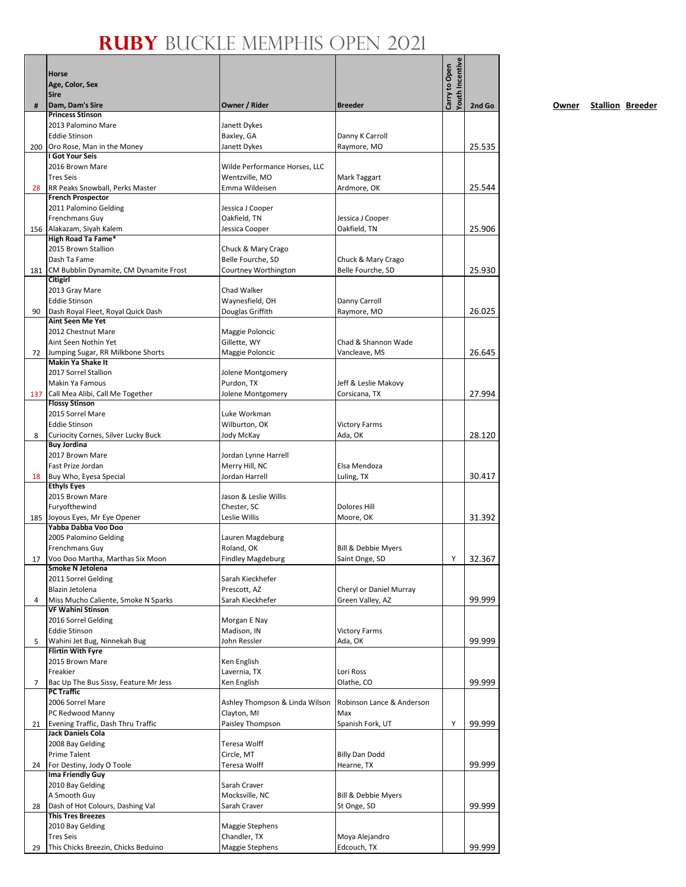|     | Horse<br>Age, Color, Sex<br><b>Sire</b>                       |                                  |                                             | Youth Incentive<br>Carry to Open |        |
|-----|---------------------------------------------------------------|----------------------------------|---------------------------------------------|----------------------------------|--------|
| #   | Dam, Dam's Sire                                               | Owner / Rider                    | <b>Breeder</b>                              |                                  | 2nd Go |
|     | <b>Princess Stinson</b>                                       |                                  |                                             |                                  |        |
|     | 2013 Palomino Mare<br><b>Eddie Stinson</b>                    | Janett Dykes                     |                                             |                                  |        |
|     | 200 Oro Rose, Man in the Money                                | Baxley, GA<br>Janett Dykes       | Danny K Carroll<br>Raymore, MO              |                                  | 25.535 |
|     | I Got Your Seis                                               |                                  |                                             |                                  |        |
|     | 2016 Brown Mare                                               | Wilde Performance Horses, LLC    |                                             |                                  |        |
|     | <b>Tres Seis</b>                                              | Wentzville, MO                   | Mark Taggart                                |                                  |        |
| 28  | RR Peaks Snowball, Perks Master<br><b>French Prospector</b>   | Emma Wildeisen                   | Ardmore, OK                                 |                                  | 25.544 |
|     | 2011 Palomino Gelding                                         | Jessica J Cooper                 |                                             |                                  |        |
|     | Frenchmans Guy                                                | Oakfield, TN                     | Jessica J Cooper                            |                                  |        |
|     | 156 Alakazam, Siyah Kalem                                     | Jessica Cooper                   | Oakfield, TN                                |                                  | 25.906 |
|     | High Road Ta Fame*                                            |                                  |                                             |                                  |        |
|     | 2015 Brown Stallion                                           | Chuck & Mary Crago               |                                             |                                  |        |
|     | Dash Ta Fame                                                  | Belle Fourche, SD                | Chuck & Mary Crago                          |                                  | 25.930 |
|     | 181 CM Bubblin Dynamite, CM Dynamite Frost<br><b>Citigirl</b> | Courtney Worthington             | Belle Fourche, SD                           |                                  |        |
|     | 2013 Gray Mare                                                | Chad Walker                      |                                             |                                  |        |
|     | <b>Eddie Stinson</b>                                          | Waynesfield, OH                  | Danny Carroll                               |                                  |        |
| 90  | Dash Royal Fleet, Royal Quick Dash                            | Douglas Griffith                 | Raymore, MO                                 |                                  | 26.025 |
|     | <b>Aint Seen Me Yet</b>                                       |                                  |                                             |                                  |        |
|     | 2012 Chestnut Mare<br>Aint Seen Nothin Yet                    | Maggie Poloncic<br>Gillette, WY  | Chad & Shannon Wade                         |                                  |        |
| 72  | Jumping Sugar, RR Milkbone Shorts                             | Maggie Poloncic                  | Vancleave, MS                               |                                  | 26.645 |
|     | <b>Makin Ya Shake It</b>                                      |                                  |                                             |                                  |        |
|     | 2017 Sorrel Stallion                                          | Jolene Montgomery                |                                             |                                  |        |
|     | Makin Ya Famous                                               | Purdon, TX                       | Jeff & Leslie Makovy                        |                                  |        |
| 137 | Call Mea Alibi, Call Me Together<br><b>Flossy Stinson</b>     | Jolene Montgomery                | Corsicana, TX                               |                                  | 27.994 |
|     | 2015 Sorrel Mare                                              | Luke Workman                     |                                             |                                  |        |
|     | <b>Eddie Stinson</b>                                          | Wilburton, OK                    | <b>Victory Farms</b>                        |                                  |        |
| 8   | Curiocity Cornes, Silver Lucky Buck                           | Jody McKay                       | Ada, OK                                     |                                  | 28.120 |
|     | <b>Buy Jordina</b>                                            |                                  |                                             |                                  |        |
|     | 2017 Brown Mare                                               | Jordan Lynne Harrell             |                                             |                                  |        |
|     | Fast Prize Jordan                                             | Merry Hill, NC<br>Jordan Harrell | Elsa Mendoza                                |                                  | 30.417 |
| 18  | Buy Who, Eyesa Special<br><b>Ethyls Eyes</b>                  |                                  | Luling, TX                                  |                                  |        |
|     | 2015 Brown Mare                                               | Jason & Leslie Willis            |                                             |                                  |        |
|     | Furyofthewind                                                 | Chester, SC                      | <b>Dolores Hill</b>                         |                                  |        |
|     | 185 Joyous Eyes, Mr Eye Opener                                | Leslie Willis                    | Moore, OK                                   |                                  | 31.392 |
|     | Yabba Dabba Voo Doo<br>2005 Palomino Gelding                  | Lauren Magdeburg                 |                                             |                                  |        |
|     | Frenchmans Guy                                                | Roland, OK                       | <b>Bill &amp; Debbie Myers</b>              |                                  |        |
| 17  | Voo Doo Martha, Marthas Six Moon                              | <b>Findley Magdeburg</b>         | Saint Onge, SD                              | Y                                | 32.367 |
|     | Smoke N Jetolena                                              |                                  |                                             |                                  |        |
|     | 2011 Sorrel Gelding                                           | Sarah Kieckhefer                 |                                             |                                  |        |
| 4   | Blazin Jetolena<br>Miss Mucho Caliente, Smoke N Sparks        | Prescott, AZ<br>Sarah Kieckhefer | Cheryl or Daniel Murray<br>Green Valley, AZ |                                  | 99.999 |
|     | <b>VF Wahini Stinson</b>                                      |                                  |                                             |                                  |        |
|     | 2016 Sorrel Gelding                                           | Morgan E Nay                     |                                             |                                  |        |
|     | <b>Eddie Stinson</b>                                          | Madison, IN                      | <b>Victory Farms</b>                        |                                  |        |
| 5   | Wahini Jet Bug, Ninnekah Bug                                  | John Ressler                     | Ada, OK                                     |                                  | 99.999 |
|     | <b>Flirtin With Fyre</b><br>2015 Brown Mare                   | Ken English                      |                                             |                                  |        |
|     | Freakier                                                      | Lavernia, TX                     | Lori Ross                                   |                                  |        |
| 7   | Bac Up The Bus Sissy, Feature Mr Jess                         | Ken English                      | Olathe, CO                                  |                                  | 99.999 |
|     | <b>PC Traffic</b>                                             |                                  |                                             |                                  |        |
|     | 2006 Sorrel Mare                                              | Ashley Thompson & Linda Wilson   | Robinson Lance & Anderson                   |                                  |        |
| 21  | PC Redwood Manny<br>Evening Traffic, Dash Thru Traffic        | Clayton, MI<br>Paisley Thompson  | Max<br>Spanish Fork, UT                     | Υ                                | 99.999 |
|     | Jack Daniels Cola                                             |                                  |                                             |                                  |        |
|     | 2008 Bay Gelding                                              | Teresa Wolff                     |                                             |                                  |        |
|     | Prime Talent                                                  | Circle, MT                       | <b>Billy Dan Dodd</b>                       |                                  |        |
| 24  | For Destiny, Jody O Toole                                     | Teresa Wolff                     | Hearne, TX                                  |                                  | 99.999 |
|     | Ima Friendly Guy                                              | Sarah Craver                     |                                             |                                  |        |
|     | 2010 Bay Gelding<br>A Smooth Guy                              | Mocksville, NC                   | Bill & Debbie Myers                         |                                  |        |
| 28  | Dash of Hot Colours, Dashing Val                              | Sarah Craver                     | St Onge, SD                                 |                                  | 99.999 |
|     | <b>This Tres Breezes</b>                                      |                                  |                                             |                                  |        |
|     | 2010 Bay Gelding                                              | Maggie Stephens                  |                                             |                                  |        |
|     | <b>Tres Seis</b><br>This Chicks Breezin, Chicks Beduino       | Chandler, TX<br>Maggie Stephens  | Moya Alejandro<br>Edcouch, TX               |                                  | 99.999 |
| 29  |                                                               |                                  |                                             |                                  |        |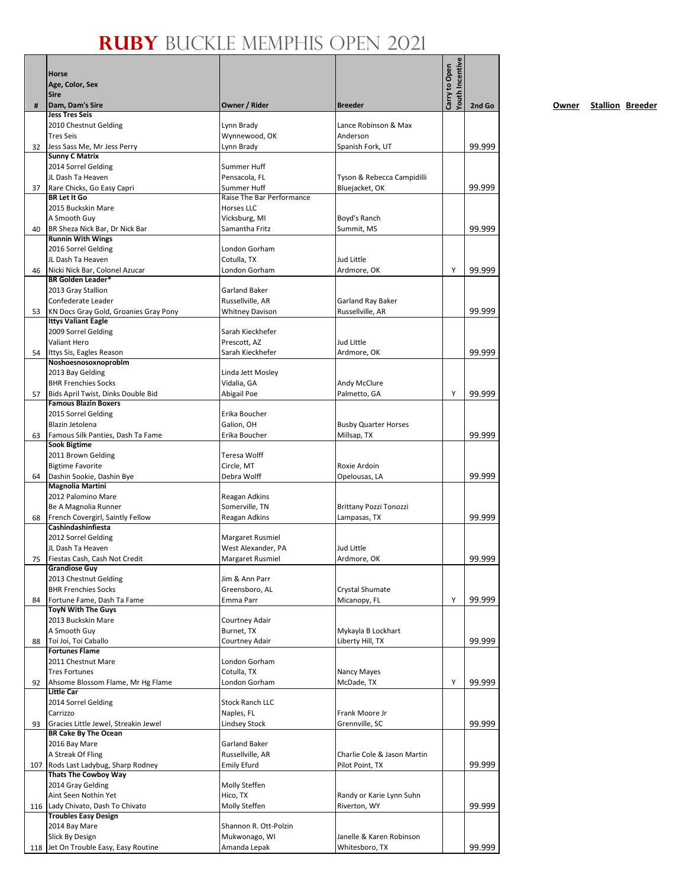|    | Horse<br>Age, Color, Sex<br><b>Sire</b>                             |                                  |                                              | <b>Youth Incentive</b><br>Carry to Open |        |
|----|---------------------------------------------------------------------|----------------------------------|----------------------------------------------|-----------------------------------------|--------|
| #  | Dam, Dam's Sire                                                     | Owner / Rider                    | <b>Breeder</b>                               |                                         | 2nd Go |
|    | <b>Jess Tres Seis</b>                                               |                                  |                                              |                                         |        |
|    | 2010 Chestnut Gelding<br><b>Tres Seis</b>                           | Lynn Brady<br>Wynnewood, OK      | Lance Robinson & Max<br>Anderson             |                                         |        |
| 32 | Jess Sass Me, Mr Jess Perry                                         | Lynn Brady                       | Spanish Fork, UT                             |                                         | 99.999 |
|    | <b>Sunny C Matrix</b>                                               |                                  |                                              |                                         |        |
|    | 2014 Sorrel Gelding                                                 | Summer Huff<br>Pensacola. FL     |                                              |                                         |        |
| 37 | JL Dash Ta Heaven<br>Rare Chicks, Go Easy Capri                     | Summer Huff                      | Tyson & Rebecca Campidilli<br>Bluejacket, OK |                                         | 99.999 |
|    | <b>BR Let It Go</b>                                                 | Raise The Bar Performance        |                                              |                                         |        |
|    | 2015 Buckskin Mare                                                  | <b>Horses LLC</b>                |                                              |                                         |        |
| 40 | A Smooth Guy<br>BR Sheza Nick Bar, Dr Nick Bar                      | Vicksburg, MI<br>Samantha Fritz  | Boyd's Ranch<br>Summit, MS                   |                                         | 99.999 |
|    | <b>Runnin With Wings</b>                                            |                                  |                                              |                                         |        |
|    | 2016 Sorrel Gelding                                                 | London Gorham                    |                                              |                                         |        |
|    | JL Dash Ta Heaven                                                   | Cotulla, TX                      | Jud Little                                   |                                         |        |
| 46 | Nicki Nick Bar, Colonel Azucar<br><b>BR Golden Leader*</b>          | London Gorham                    | Ardmore, OK                                  | Y                                       | 99.999 |
|    | 2013 Gray Stallion                                                  | Garland Baker                    |                                              |                                         |        |
|    | Confederate Leader                                                  | Russellville, AR                 | Garland Ray Baker                            |                                         |        |
| 53 | KN Docs Gray Gold, Groanies Gray Pony<br><b>Ittys Valiant Eagle</b> | <b>Whitney Davison</b>           | Russellville, AR                             |                                         | 99.999 |
|    | 2009 Sorrel Gelding                                                 | Sarah Kieckhefer                 |                                              |                                         |        |
|    | <b>Valiant Hero</b>                                                 | Prescott, AZ                     | Jud Little                                   |                                         |        |
| 54 | Ittys Sis, Eagles Reason                                            | Sarah Kieckhefer                 | Ardmore, OK                                  |                                         | 99.999 |
|    | Noshoesnosoxnoproblm                                                | Linda Jett Mosley                |                                              |                                         |        |
|    | 2013 Bay Gelding<br><b>BHR Frenchies Socks</b>                      | Vidalia, GA                      | Andy McClure                                 |                                         |        |
| 57 | Bids April Twist, Dinks Double Bid                                  | Abigail Poe                      | Palmetto, GA                                 | Y                                       | 99.999 |
|    | <b>Famous Blazin Boxers</b>                                         |                                  |                                              |                                         |        |
|    | 2015 Sorrel Gelding                                                 | Erika Boucher                    |                                              |                                         |        |
| 63 | Blazin Jetolena<br>Famous Silk Panties, Dash Ta Fame                | Galion, OH<br>Erika Boucher      | <b>Busby Quarter Horses</b><br>Millsap, TX   |                                         | 99.999 |
|    | <b>Sook Bigtime</b>                                                 |                                  |                                              |                                         |        |
|    | 2011 Brown Gelding                                                  | Teresa Wolff                     |                                              |                                         |        |
|    | <b>Bigtime Favorite</b>                                             | Circle, MT                       | Roxie Ardoin                                 |                                         |        |
| 64 | Dashin Sookie, Dashin Bye<br>Magnolia Martini                       | Debra Wolff                      | Opelousas, LA                                |                                         | 99.999 |
|    | 2012 Palomino Mare                                                  | Reagan Adkins                    |                                              |                                         |        |
|    | Be A Magnolia Runner                                                | Somerville, TN                   | Brittany Pozzi Tonozzi                       |                                         |        |
| 68 | French Covergirl, Saintly Fellow                                    | Reagan Adkins                    | Lampasas, TX                                 |                                         | 99.999 |
|    | Cashindashinfiesta<br>2012 Sorrel Gelding                           | Margaret Rusmiel                 |                                              |                                         |        |
|    | JL Dash Ta Heaven                                                   | West Alexander, PA               | Jud Little                                   |                                         |        |
| 75 | Fiestas Cash, Cash Not Credit                                       | Margaret Rusmiel                 | Ardmore, OK                                  |                                         | 99.999 |
|    | <b>Grandiose Guy</b>                                                |                                  |                                              |                                         |        |
|    | 2013 Chestnut Gelding<br><b>BHR Frenchies Socks</b>                 | Jim & Ann Parr<br>Greensboro, AL | Crystal Shumate                              |                                         |        |
| 84 | Fortune Fame, Dash Ta Fame                                          | Emma Parr                        | Micanopy, FL                                 | Y                                       | 99.999 |
|    | <b>ToyN With The Guys</b>                                           |                                  |                                              |                                         |        |
|    | 2013 Buckskin Mare<br>A Smooth Guy                                  | Courtney Adair                   |                                              |                                         |        |
| 88 | Toi Joi, Toi Caballo                                                | Burnet, TX<br>Courtney Adair     | Mykayla B Lockhart<br>Liberty Hill, TX       |                                         | 99.999 |
|    | <b>Fortunes Flame</b>                                               |                                  |                                              |                                         |        |
|    | 2011 Chestnut Mare                                                  | London Gorham                    |                                              |                                         |        |
|    | <b>Tres Fortunes</b>                                                | Cotulla, TX                      | Nancy Mayes                                  |                                         |        |
| 92 | Ahsome Blossom Flame, Mr Hg Flame<br><b>Little Car</b>              | London Gorham                    | McDade, TX                                   | Y                                       | 99.999 |
|    | 2014 Sorrel Gelding                                                 | <b>Stock Ranch LLC</b>           |                                              |                                         |        |
|    | Carrizzo                                                            | Naples, FL                       | Frank Moore Jr                               |                                         |        |
| 93 | Gracies Little Jewel, Streakin Jewel                                | Lindsey Stock                    | Grennville, SC                               |                                         | 99.999 |
|    | <b>BR Cake By The Ocean</b><br>2016 Bay Mare                        | Garland Baker                    |                                              |                                         |        |
|    | A Streak Of Fling                                                   | Russellville, AR                 | Charlie Cole & Jason Martin                  |                                         |        |
|    | 107 Rods Last Ladybug, Sharp Rodney                                 | Emily Efurd                      | Pilot Point, TX                              |                                         | 99.999 |
|    | <b>Thats The Cowboy Way</b>                                         |                                  |                                              |                                         |        |
|    | 2014 Gray Gelding<br>Aint Seen Nothin Yet                           | Molly Steffen<br>Hico, TX        | Randy or Karie Lynn Suhn                     |                                         |        |
|    | 116 Lady Chivato, Dash To Chivato                                   | Molly Steffen                    | Riverton, WY                                 |                                         | 99.999 |
|    | <b>Troubles Easy Design</b>                                         |                                  |                                              |                                         |        |
|    | 2014 Bay Mare                                                       | Shannon R. Ott-Polzin            |                                              |                                         |        |
|    | Slick By Design<br>118 Jet On Trouble Easy, Easy Routine            | Mukwonago, WI<br>Amanda Lepak    | Janelle & Karen Robinson<br>Whitesboro, TX   |                                         | 99.999 |
|    |                                                                     |                                  |                                              |                                         |        |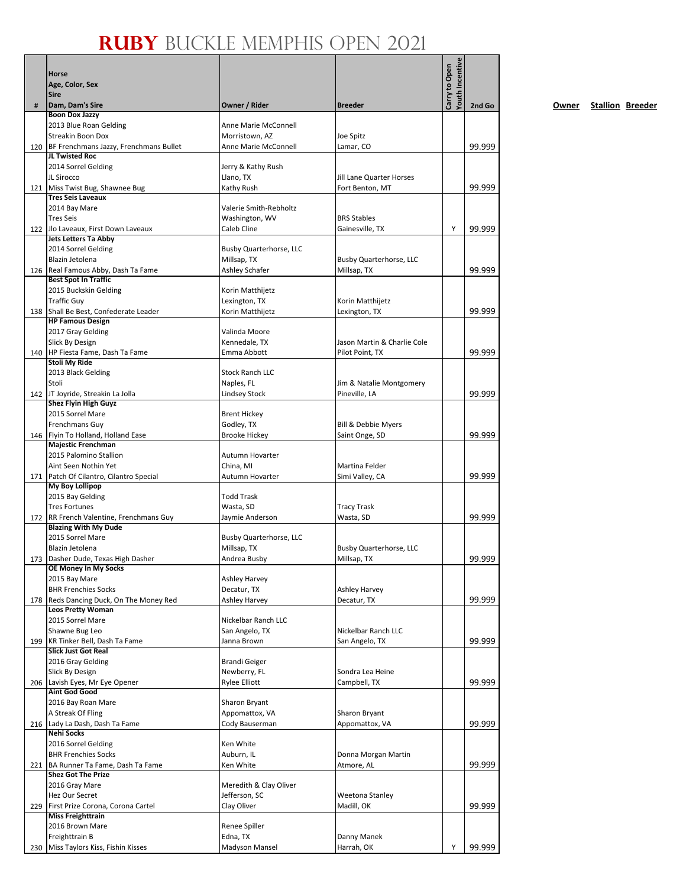|     | Horse<br>Age, Color, Sex<br>Sire                                |                                       |                                                    | <b>Youth Incentive</b><br>Carry to Open |        |
|-----|-----------------------------------------------------------------|---------------------------------------|----------------------------------------------------|-----------------------------------------|--------|
| #   | Dam, Dam's Sire                                                 | Owner / Rider                         | <b>Breeder</b>                                     |                                         | 2nd Go |
|     | <b>Boon Dox Jazzy</b><br>2013 Blue Roan Gelding                 | <b>Anne Marie McConnell</b>           |                                                    |                                         |        |
|     | Streakin Boon Dox                                               | Morristown, AZ                        | Joe Spitz                                          |                                         |        |
| 120 | BF Frenchmans Jazzy, Frenchmans Bullet                          | Anne Marie McConnell                  | Lamar, CO                                          |                                         | 99.999 |
|     | JL Twisted Roc                                                  |                                       |                                                    |                                         |        |
|     | 2014 Sorrel Gelding                                             | Jerry & Kathy Rush                    |                                                    |                                         |        |
|     | JL Sirocco<br>121 Miss Twist Bug, Shawnee Bug                   | Llano, TX<br>Kathy Rush               | <b>Jill Lane Quarter Horses</b><br>Fort Benton, MT |                                         |        |
|     | <b>Tres Seis Laveaux</b>                                        |                                       |                                                    |                                         | 99.999 |
|     | 2014 Bay Mare                                                   | Valerie Smith-Rebholtz                |                                                    |                                         |        |
|     | <b>Tres Seis</b>                                                | Washington, WV                        | <b>BRS Stables</b>                                 |                                         |        |
|     | 122 Jlo Laveaux, First Down Laveaux                             | Caleb Cline                           | Gainesville, TX                                    | Y                                       | 99.999 |
|     | <b>Jets Letters Ta Abby</b><br>2014 Sorrel Gelding              | Busby Quarterhorse, LLC               |                                                    |                                         |        |
|     | Blazin Jetolena                                                 | Millsap, TX                           | Busby Quarterhorse, LLC                            |                                         |        |
|     | 126 Real Famous Abby, Dash Ta Fame                              | Ashley Schafer                        | Millsap, TX                                        |                                         | 99.999 |
|     | <b>Best Spot In Traffic</b>                                     |                                       |                                                    |                                         |        |
|     | 2015 Buckskin Gelding                                           | Korin Matthijetz                      |                                                    |                                         |        |
|     | <b>Traffic Guy</b><br>138 Shall Be Best, Confederate Leader     | Lexington, TX                         | Korin Matthijetz                                   |                                         | 99.999 |
|     | <b>HP Famous Design</b>                                         | Korin Matthijetz                      | Lexington, TX                                      |                                         |        |
|     | 2017 Gray Gelding                                               | Valinda Moore                         |                                                    |                                         |        |
|     | Slick By Design                                                 | Kennedale, TX                         | Jason Martin & Charlie Cole                        |                                         |        |
|     | 140 HP Fiesta Fame, Dash Ta Fame                                | Emma Abbott                           | Pilot Point, TX                                    |                                         | 99.999 |
|     | Stoli My Ride                                                   | <b>Stock Ranch LLC</b>                |                                                    |                                         |        |
|     | 2013 Black Gelding<br>Stoli                                     | Naples, FL                            | Jim & Natalie Montgomery                           |                                         |        |
|     | 142 JT Joyride, Streakin La Jolla                               | <b>Lindsey Stock</b>                  | Pineville, LA                                      |                                         | 99.999 |
|     | <b>Shez Flyin High Guyz</b>                                     |                                       |                                                    |                                         |        |
|     | 2015 Sorrel Mare                                                | <b>Brent Hickey</b>                   |                                                    |                                         |        |
|     | Frenchmans Guy                                                  | Godley, TX                            | Bill & Debbie Myers                                |                                         |        |
|     | 146 Flyin To Holland, Holland Ease<br><b>Majestic Frenchman</b> | <b>Brooke Hickey</b>                  | Saint Onge, SD                                     |                                         | 99.999 |
|     | 2015 Palomino Stallion                                          | Autumn Hovarter                       |                                                    |                                         |        |
|     | Aint Seen Nothin Yet                                            | China, MI                             | Martina Felder                                     |                                         |        |
|     | 171   Patch Of Cilantro, Cilantro Special                       | Autumn Hovarter                       | Simi Valley, CA                                    |                                         | 99.999 |
|     | My Boy Lollipop                                                 |                                       |                                                    |                                         |        |
|     | 2015 Bay Gelding<br><b>Tres Fortunes</b>                        | <b>Todd Trask</b><br>Wasta, SD        | <b>Tracy Trask</b>                                 |                                         |        |
|     | 172 RR French Valentine, Frenchmans Guy                         | Jaymie Anderson                       | Wasta, SD                                          |                                         | 99.999 |
|     | <b>Blazing With My Dude</b>                                     |                                       |                                                    |                                         |        |
|     | 2015 Sorrel Mare                                                | Busby Quarterhorse, LLC               |                                                    |                                         |        |
|     | Blazin Jetolena                                                 | Millsap, TX                           | Busby Quarterhorse, LLC                            |                                         |        |
|     | 173 Dasher Dude, Texas High Dasher<br>OE Money In My Socks      | Andrea Busby                          | Millsap, TX                                        |                                         | 99.999 |
|     | 2015 Bay Mare                                                   | Ashley Harvey                         |                                                    |                                         |        |
|     | <b>BHR Frenchies Socks</b>                                      | Decatur, TX                           | <b>Ashley Harvey</b>                               |                                         |        |
|     | 178 Reds Dancing Duck, On The Money Red                         | <b>Ashley Harvey</b>                  | Decatur, TX                                        |                                         | 99.999 |
|     | <b>Leos Pretty Woman</b>                                        |                                       |                                                    |                                         |        |
|     | 2015 Sorrel Mare<br>Shawne Bug Leo                              | Nickelbar Ranch LLC<br>San Angelo, TX | Nickelbar Ranch LLC                                |                                         |        |
| 199 | KR Tinker Bell, Dash Ta Fame                                    | Janna Brown                           | San Angelo, TX                                     |                                         | 99.999 |
|     | <b>Slick Just Got Real</b>                                      |                                       |                                                    |                                         |        |
|     | 2016 Gray Gelding                                               | <b>Brandi Geiger</b>                  |                                                    |                                         |        |
|     | Slick By Design                                                 | Newberry, FL                          | Sondra Lea Heine                                   |                                         |        |
|     | 206 Lavish Eyes, Mr Eye Opener<br><b>Aint God Good</b>          | <b>Rylee Elliott</b>                  | Campbell, TX                                       |                                         | 99.999 |
|     | 2016 Bay Roan Mare                                              | Sharon Bryant                         |                                                    |                                         |        |
|     | A Streak Of Fling                                               | Appomattox, VA                        | Sharon Bryant                                      |                                         |        |
|     | 216 Lady La Dash, Dash Ta Fame                                  | Cody Bauserman                        | Appomattox, VA                                     |                                         | 99.999 |
|     | <b>Nehi Socks</b>                                               |                                       |                                                    |                                         |        |
|     | 2016 Sorrel Gelding<br><b>BHR Frenchies Socks</b>               | Ken White                             |                                                    |                                         |        |
|     | 221 BA Runner Ta Fame, Dash Ta Fame                             | Auburn, IL<br>Ken White               | Donna Morgan Martin<br>Atmore, AL                  |                                         | 99.999 |
|     | <b>Shez Got The Prize</b>                                       |                                       |                                                    |                                         |        |
|     | 2016 Gray Mare                                                  | Meredith & Clay Oliver                |                                                    |                                         |        |
|     | Hez Our Secret                                                  | Jefferson, SC                         | Weetona Stanley                                    |                                         |        |
|     | 229 First Prize Corona, Corona Cartel                           | Clay Oliver                           | Madill, OK                                         |                                         | 99.999 |
|     | <b>Miss Freighttrain</b><br>2016 Brown Mare                     | Renee Spiller                         |                                                    |                                         |        |
|     | Freighttrain B                                                  | Edna, TX                              | Danny Manek                                        |                                         |        |
| 230 | Miss Taylors Kiss, Fishin Kisses                                | Madyson Mansel                        | Harrah, OK                                         | Y                                       | 99.999 |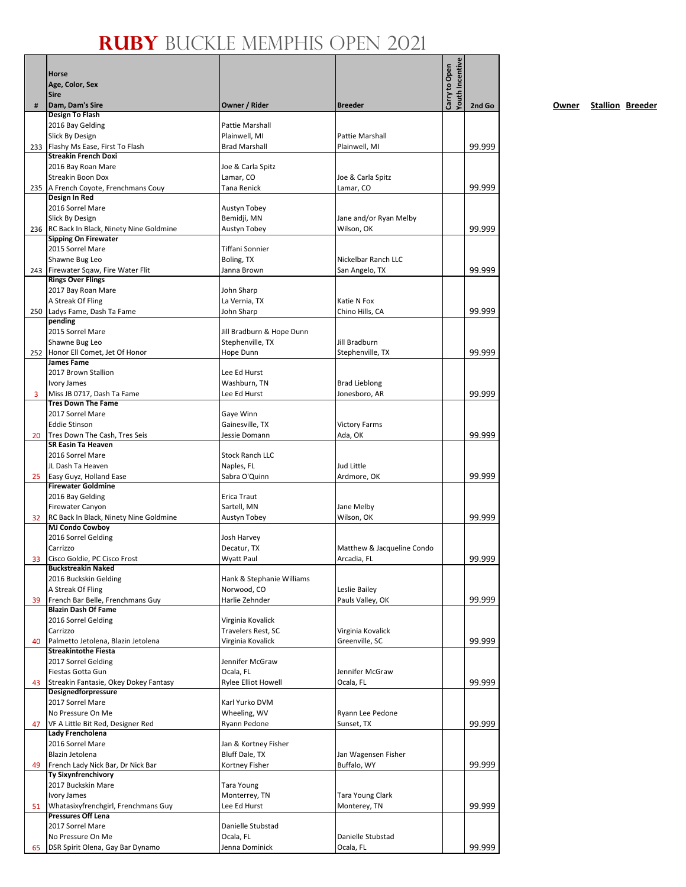|     | Horse                                                            |                                               |                                | Youth Incentive<br>Carry to Open |        |
|-----|------------------------------------------------------------------|-----------------------------------------------|--------------------------------|----------------------------------|--------|
|     | Age, Color, Sex                                                  |                                               |                                |                                  |        |
|     | <b>Sire</b>                                                      |                                               |                                |                                  |        |
| #   | Dam, Dam's Sire<br><b>Design To Flash</b>                        | Owner / Rider                                 | <b>Breeder</b>                 |                                  | 2nd Go |
|     | 2016 Bay Gelding                                                 | Pattie Marshall                               |                                |                                  |        |
|     | Slick By Design                                                  | Plainwell, MI                                 | Pattie Marshall                |                                  |        |
|     | 233 Flashy Ms Ease, First To Flash                               | <b>Brad Marshall</b>                          | Plainwell, MI                  |                                  | 99.999 |
|     | <b>Streakin French Doxi</b>                                      |                                               |                                |                                  |        |
|     | 2016 Bay Roan Mare                                               | Joe & Carla Spitz                             |                                |                                  |        |
|     | <b>Streakin Boon Dox</b>                                         | Lamar, CO                                     | Joe & Carla Spitz              |                                  |        |
|     | 235   A French Coyote, Frenchmans Couy<br>Design In Red          | Tana Renick                                   | Lamar, CO                      |                                  | 99.999 |
|     | 2016 Sorrel Mare                                                 | Austyn Tobey                                  |                                |                                  |        |
|     | Slick By Design                                                  | Bemidji, MN                                   | Jane and/or Ryan Melby         |                                  |        |
|     | 236 RC Back In Black, Ninety Nine Goldmine                       | Austyn Tobey                                  | Wilson, OK                     |                                  | 99.999 |
|     | <b>Sipping On Firewater</b>                                      |                                               |                                |                                  |        |
|     | 2015 Sorrel Mare                                                 | Tiffani Sonnier                               |                                |                                  |        |
|     | Shawne Bug Leo                                                   | Boling, TX                                    | Nickelbar Ranch LLC            |                                  |        |
|     | 243 Firewater Sqaw, Fire Water Flit                              | Janna Brown                                   | San Angelo, TX                 |                                  | 99.999 |
|     | <b>Rings Over Flings</b>                                         |                                               |                                |                                  |        |
|     | 2017 Bay Roan Mare                                               | John Sharp                                    |                                |                                  |        |
|     | A Streak Of Fling<br>Ladys Fame, Dash Ta Fame                    | La Vernia, TX<br>John Sharp                   | Katie N Fox<br>Chino Hills, CA |                                  | 99.999 |
| 250 | pending                                                          |                                               |                                |                                  |        |
|     | 2015 Sorrel Mare                                                 | Jill Bradburn & Hope Dunn                     |                                |                                  |        |
|     | Shawne Bug Leo                                                   | Stephenville, TX                              | Jill Bradburn                  |                                  |        |
|     | 252 Honor Ell Comet, Jet Of Honor                                | Hope Dunn                                     | Stephenville, TX               |                                  | 99.999 |
|     | <b>James Fame</b>                                                |                                               |                                |                                  |        |
|     | 2017 Brown Stallion                                              | Lee Ed Hurst                                  |                                |                                  |        |
|     | Ivory James                                                      | Washburn, TN                                  | <b>Brad Lieblong</b>           |                                  |        |
| 3   | Miss JB 0717, Dash Ta Fame                                       | Lee Ed Hurst                                  | Jonesboro, AR                  |                                  | 99.999 |
|     | <b>Tres Down The Fame</b><br>2017 Sorrel Mare                    | Gaye Winn                                     |                                |                                  |        |
|     | <b>Eddie Stinson</b>                                             | Gainesville, TX                               | <b>Victory Farms</b>           |                                  |        |
| 20  | Tres Down The Cash, Tres Seis                                    | Jessie Domann                                 | Ada, OK                        |                                  | 99.999 |
|     | <b>SR Easin Ta Heaven</b>                                        |                                               |                                |                                  |        |
|     | 2016 Sorrel Mare                                                 | <b>Stock Ranch LLC</b>                        |                                |                                  |        |
|     | JL Dash Ta Heaven                                                | Naples, FL                                    | Jud Little                     |                                  |        |
| 25  | Easy Guyz, Holland Ease                                          | Sabra O'Quinn                                 | Ardmore, OK                    |                                  | 99.999 |
|     | <b>Firewater Goldmine</b>                                        |                                               |                                |                                  |        |
|     | 2016 Bay Gelding                                                 | Erica Traut                                   |                                |                                  |        |
|     | Firewater Canyon                                                 | Sartell, MN                                   | Jane Melby                     |                                  |        |
| 32  | RC Back In Black, Ninety Nine Goldmine<br><b>MJ Condo Cowboy</b> | Austyn Tobey                                  | Wilson, OK                     |                                  | 99.999 |
|     | 2016 Sorrel Gelding                                              | Josh Harvey                                   |                                |                                  |        |
|     | Carrizzo                                                         | Decatur, TX                                   | Matthew & Jacqueline Condo     |                                  |        |
| 33  | Cisco Goldie, PC Cisco Frost                                     | Wyatt Paul                                    | Arcadia, FL                    |                                  | 99.999 |
|     | <b>Buckstreakin Naked</b>                                        |                                               |                                |                                  |        |
|     | 2016 Buckskin Gelding                                            | Hank & Stephanie Williams                     |                                |                                  |        |
|     | A Streak Of Fling                                                | Norwood, CO                                   | Leslie Bailey                  |                                  |        |
| 39  | French Bar Belle, Frenchmans Guy                                 | Harlie Zehnder                                | Pauls Valley, OK               |                                  | 99.999 |
|     | <b>Blazin Dash Of Fame</b>                                       |                                               |                                |                                  |        |
|     | 2016 Sorrel Gelding<br>Carrizzo                                  | Virginia Kovalick<br>Travelers Rest, SC       | Virginia Kovalick              |                                  |        |
| 40  | Palmetto Jetolena, Blazin Jetolena                               | Virginia Kovalick                             | Greenville, SC                 |                                  | 99.999 |
|     | <b>Streakintothe Fiesta</b>                                      |                                               |                                |                                  |        |
|     | 2017 Sorrel Gelding                                              | Jennifer McGraw                               |                                |                                  |        |
|     | Fiestas Gotta Gun                                                | Ocala, FL                                     | Jennifer McGraw                |                                  |        |
| 43  | Streakin Fantasie, Okey Dokey Fantasy                            | <b>Rylee Elliot Howell</b>                    | Ocala, FL                      |                                  | 99.999 |
|     | <b>Designedforpressure</b>                                       |                                               |                                |                                  |        |
|     | 2017 Sorrel Mare                                                 | Karl Yurko DVM                                |                                |                                  |        |
|     | No Pressure On Me                                                | Wheeling, WV                                  | Ryann Lee Pedone               |                                  |        |
| 47  | VF A Little Bit Red, Designer Red                                | Ryann Pedone                                  | Sunset, TX                     |                                  | 99.999 |
|     | Lady Frencholena<br>2016 Sorrel Mare                             |                                               |                                |                                  |        |
|     | Blazin Jetolena                                                  | Jan & Kortney Fisher<br><b>Bluff Dale, TX</b> | Jan Wagensen Fisher            |                                  |        |
| 49  | French Lady Nick Bar, Dr Nick Bar                                | Kortney Fisher                                | Buffalo, WY                    |                                  | 99.999 |
|     | Ty Sixynfrenchivory                                              |                                               |                                |                                  |        |
|     | 2017 Buckskin Mare                                               | <b>Tara Young</b>                             |                                |                                  |        |
|     | Ivory James                                                      | Monterrey, TN                                 | Tara Young Clark               |                                  |        |
| 51  | Whatasixyfrenchgirl, Frenchmans Guy                              | Lee Ed Hurst                                  | Monterey, TN                   |                                  | 99.999 |
|     | <b>Pressures Off Lena</b>                                        |                                               |                                |                                  |        |
|     | 2017 Sorrel Mare                                                 | Danielle Stubstad                             |                                |                                  |        |
|     | No Pressure On Me                                                | Ocala, FL                                     | Danielle Stubstad              |                                  |        |
| 65  | DSR Spirit Olena, Gay Bar Dynamo                                 | Jenna Dominick                                | Ocala, FL                      |                                  | 99.999 |